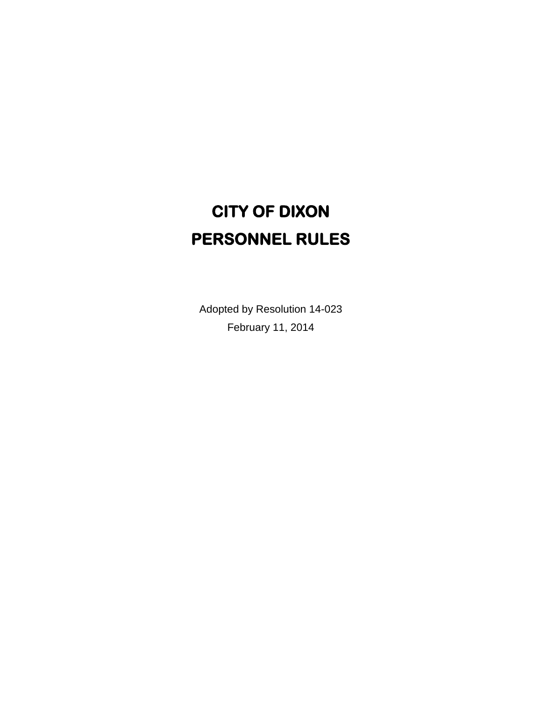# **CITY OF DIXON PERSONNEL RULES**

Adopted by Resolution 14-023 February 11, 2014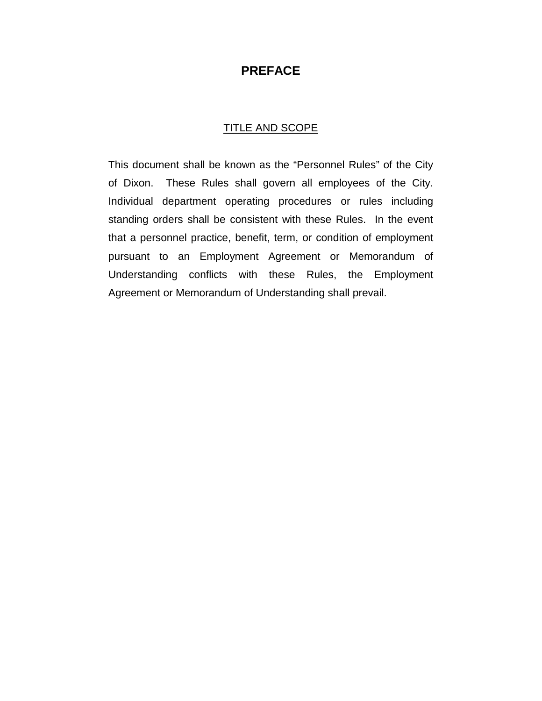# **PREFACE**

#### TITLE AND SCOPE

This document shall be known as the "Personnel Rules" of the City of Dixon. These Rules shall govern all employees of the City. Individual department operating procedures or rules including standing orders shall be consistent with these Rules. In the event that a personnel practice, benefit, term, or condition of employment pursuant to an Employment Agreement or Memorandum of Understanding conflicts with these Rules, the Employment Agreement or Memorandum of Understanding shall prevail.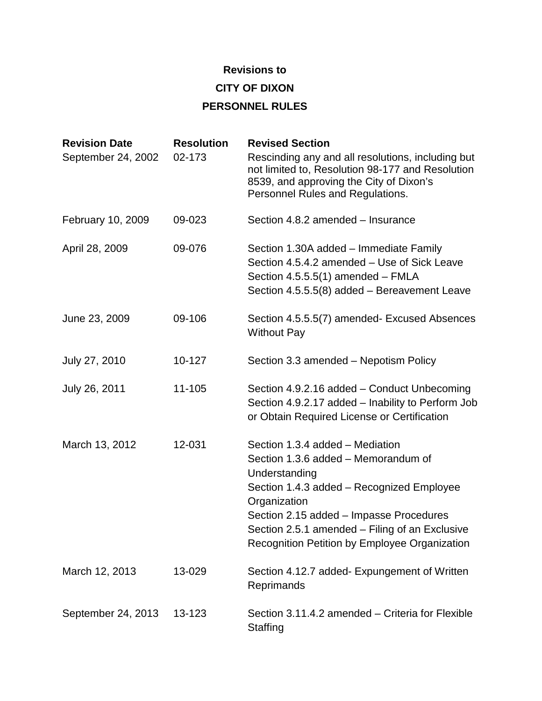## **Revisions to**

**CITY OF DIXON**

# **PERSONNEL RULES**

| <b>Revision Date</b><br>September 24, 2002 | <b>Resolution</b><br>02-173 | <b>Revised Section</b><br>Rescinding any and all resolutions, including but<br>not limited to, Resolution 98-177 and Resolution<br>8539, and approving the City of Dixon's<br>Personnel Rules and Regulations.                                                                                     |
|--------------------------------------------|-----------------------------|----------------------------------------------------------------------------------------------------------------------------------------------------------------------------------------------------------------------------------------------------------------------------------------------------|
| February 10, 2009                          | 09-023                      | Section 4.8.2 amended – Insurance                                                                                                                                                                                                                                                                  |
| April 28, 2009                             | 09-076                      | Section 1.30A added – Immediate Family<br>Section 4.5.4.2 amended - Use of Sick Leave<br>Section 4.5.5.5(1) amended - FMLA<br>Section 4.5.5.5(8) added - Bereavement Leave                                                                                                                         |
| June 23, 2009                              | 09-106                      | Section 4.5.5.5(7) amended- Excused Absences<br><b>Without Pay</b>                                                                                                                                                                                                                                 |
| July 27, 2010                              | 10-127                      | Section 3.3 amended - Nepotism Policy                                                                                                                                                                                                                                                              |
| July 26, 2011                              | 11-105                      | Section 4.9.2.16 added - Conduct Unbecoming<br>Section 4.9.2.17 added - Inability to Perform Job<br>or Obtain Required License or Certification                                                                                                                                                    |
| March 13, 2012                             | 12-031                      | Section 1.3.4 added – Mediation<br>Section 1.3.6 added - Memorandum of<br>Understanding<br>Section 1.4.3 added - Recognized Employee<br>Organization<br>Section 2.15 added - Impasse Procedures<br>Section 2.5.1 amended – Filing of an Exclusive<br>Recognition Petition by Employee Organization |
| March 12, 2013                             | 13-029                      | Section 4.12.7 added- Expungement of Written<br>Reprimands                                                                                                                                                                                                                                         |
| September 24, 2013                         | 13-123                      | Section 3.11.4.2 amended – Criteria for Flexible<br>Staffing                                                                                                                                                                                                                                       |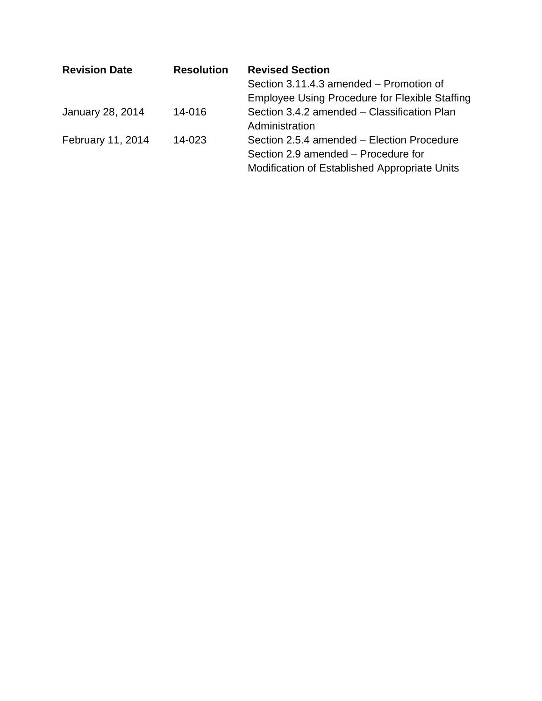| <b>Revision Date</b> | <b>Resolution</b> | <b>Revised Section</b>                                                            |
|----------------------|-------------------|-----------------------------------------------------------------------------------|
|                      |                   | Section 3.11.4.3 amended – Promotion of                                           |
|                      |                   | <b>Employee Using Procedure for Flexible Staffing</b>                             |
| January 28, 2014     | 14-016            | Section 3.4.2 amended - Classification Plan<br>Administration                     |
| February 11, 2014    | 14-023            | Section 2.5.4 amended – Election Procedure<br>Section 2.9 amended – Procedure for |
|                      |                   | Modification of Established Appropriate Units                                     |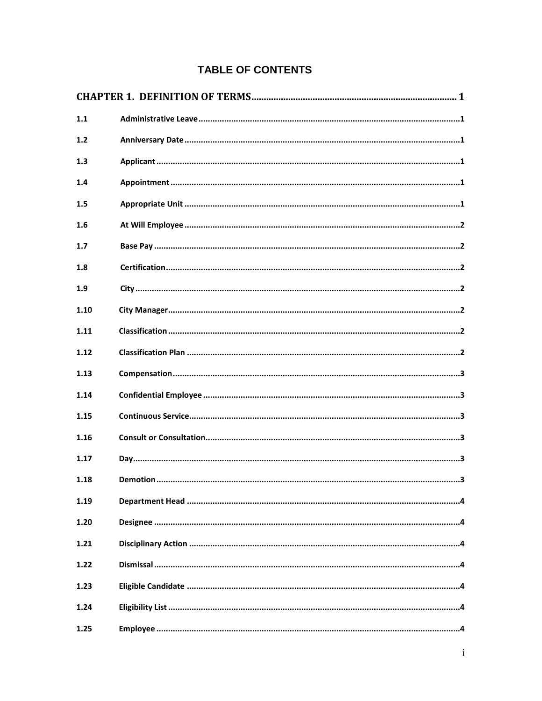# **TABLE OF CONTENTS**

| 1.1  |  |
|------|--|
| 1.2  |  |
| 1.3  |  |
| 1.4  |  |
| 1.5  |  |
| 1.6  |  |
| 1.7  |  |
| 1.8  |  |
| 1.9  |  |
| 1.10 |  |
| 1.11 |  |
| 1.12 |  |
| 1.13 |  |
| 1.14 |  |
| 1.15 |  |
| 1.16 |  |
| 1.17 |  |
| 1.18 |  |
| 1.19 |  |
| 1.20 |  |
| 1.21 |  |
| 1.22 |  |
| 1.23 |  |
| 1.24 |  |
| 1.25 |  |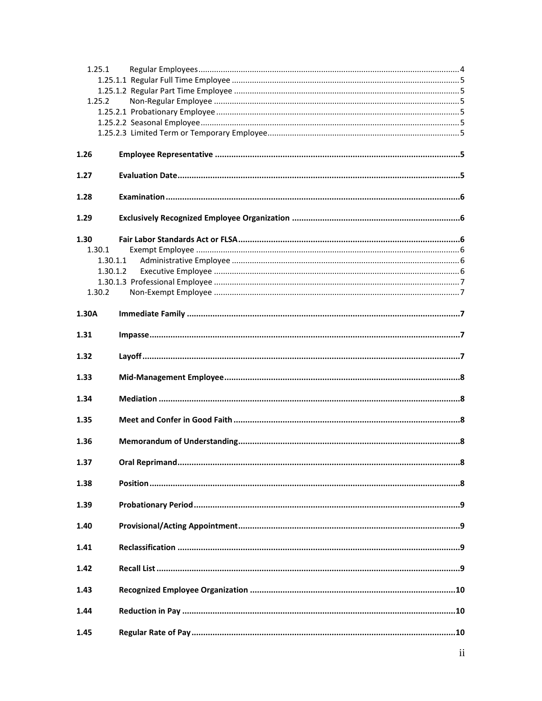| 1.25.1   |  |
|----------|--|
|          |  |
| 1.25.2   |  |
|          |  |
|          |  |
|          |  |
|          |  |
| 1.26     |  |
| 1.27     |  |
| 1.28     |  |
| 1.29     |  |
| 1.30     |  |
| 1.30.1   |  |
| 1.30.1.1 |  |
| 1.30.1.2 |  |
| 1.30.2   |  |
|          |  |
| 1.30A    |  |
| 1.31     |  |
| 1.32     |  |
| 1.33     |  |
| 1.34     |  |
| 1.35     |  |
| 1.36     |  |
| 1.37     |  |
| 1.38     |  |
| 1.39     |  |
| 1.40     |  |
| 1.41     |  |
| 1.42     |  |
| 1.43     |  |
| 1.44     |  |
| 1.45     |  |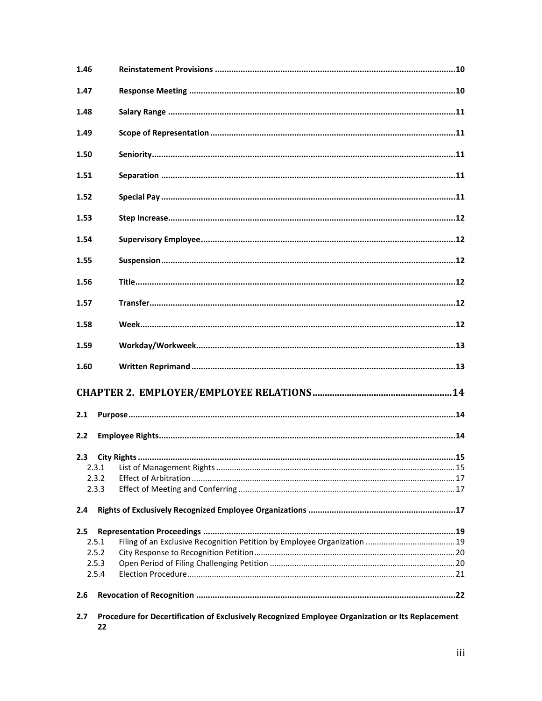| 1.46 |       |                                                                                                  |  |
|------|-------|--------------------------------------------------------------------------------------------------|--|
| 1.47 |       |                                                                                                  |  |
| 1.48 |       |                                                                                                  |  |
| 1.49 |       |                                                                                                  |  |
| 1.50 |       |                                                                                                  |  |
| 1.51 |       |                                                                                                  |  |
| 1.52 |       |                                                                                                  |  |
| 1.53 |       |                                                                                                  |  |
| 1.54 |       |                                                                                                  |  |
| 1.55 |       |                                                                                                  |  |
| 1.56 |       |                                                                                                  |  |
| 1.57 |       |                                                                                                  |  |
| 1.58 |       |                                                                                                  |  |
| 1.59 |       |                                                                                                  |  |
| 1.60 |       |                                                                                                  |  |
|      |       |                                                                                                  |  |
| 2.1  |       |                                                                                                  |  |
| 2.2  |       |                                                                                                  |  |
| 2.3  |       |                                                                                                  |  |
|      | 2.3.1 |                                                                                                  |  |
|      | 2.3.2 |                                                                                                  |  |
|      | 2.3.3 |                                                                                                  |  |
| 2.4  |       |                                                                                                  |  |
| 2.5  |       |                                                                                                  |  |
|      | 2.5.1 |                                                                                                  |  |
|      | 2.5.2 |                                                                                                  |  |
|      | 2.5.3 |                                                                                                  |  |
|      | 2.5.4 |                                                                                                  |  |
| 2.6  |       |                                                                                                  |  |
| 2.7  | 22    | Procedure for Decertification of Exclusively Recognized Employee Organization or Its Replacement |  |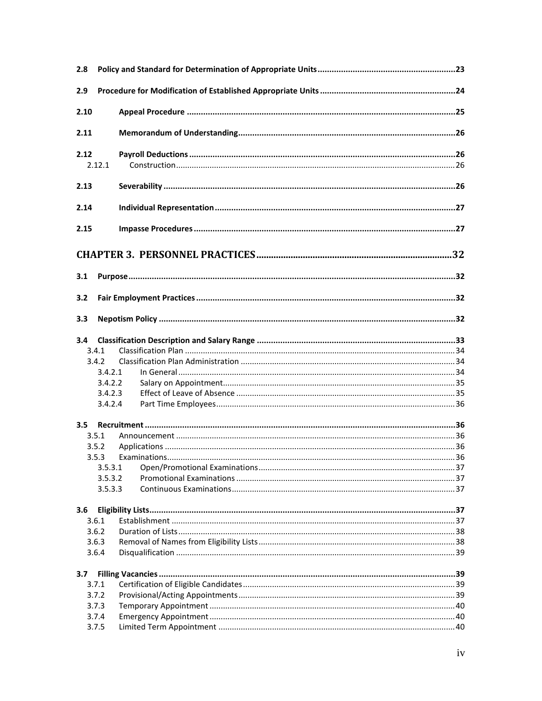| 2.8    |                    |  |
|--------|--------------------|--|
| 2.9    |                    |  |
| 2.10   |                    |  |
| 2.11   |                    |  |
| 2.12   |                    |  |
| 2.12.1 |                    |  |
| 2.13   |                    |  |
| 2.14   |                    |  |
| 2.15   |                    |  |
|        |                    |  |
| 3.1    |                    |  |
| 3.2    |                    |  |
| 3.3    |                    |  |
| 3.4    |                    |  |
| 3.4.1  |                    |  |
| 3.4.2  |                    |  |
|        | 3.4.2.1            |  |
|        | 3.4.2.2            |  |
|        | 3.4.2.3            |  |
|        | 3.4.2.4            |  |
| 3.5    |                    |  |
| 3.5.1  |                    |  |
| 3.5.2  |                    |  |
| 3.5.3  |                    |  |
|        | 3.5.3.1            |  |
|        | 3.5.3.2<br>3.5.3.3 |  |
|        |                    |  |
| 3.6    |                    |  |
| 3.6.1  |                    |  |
| 3.6.2  |                    |  |
| 3.6.3  |                    |  |
| 3.6.4  |                    |  |
| 3.7    |                    |  |
| 3.7.1  |                    |  |
| 3.7.2  |                    |  |
| 3.7.3  |                    |  |
| 3.7.4  |                    |  |
| 3.7.5  |                    |  |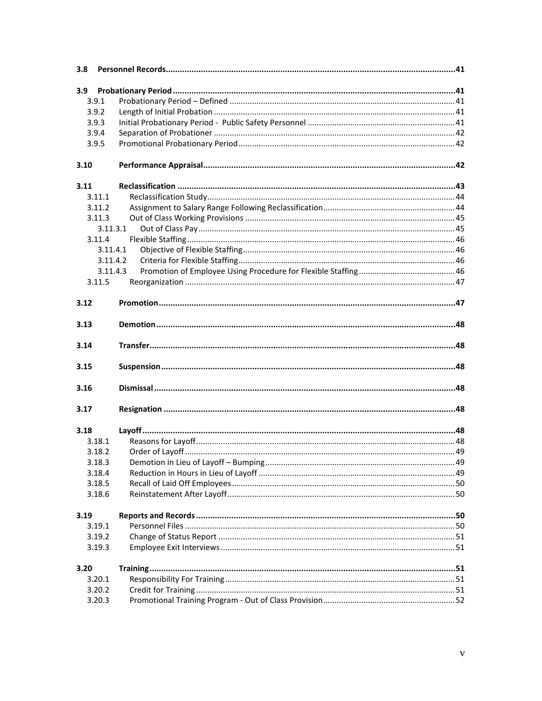| 3.8              |          |  |
|------------------|----------|--|
| 3.9 <sub>1</sub> |          |  |
|                  | 3.9.1    |  |
|                  | 3.9.2    |  |
|                  | 3.9.3    |  |
|                  | 3.9.4    |  |
|                  | 3.9.5    |  |
| 3.10             |          |  |
| 3.11             |          |  |
|                  | 3.11.1   |  |
|                  | 3.11.2   |  |
|                  | 3.11.3   |  |
|                  | 3.11.3.1 |  |
|                  | 3.11.4   |  |
|                  | 3.11.4.1 |  |
|                  | 3.11.4.2 |  |
|                  | 3.11.4.3 |  |
|                  | 3.11.5   |  |
| 3.12             |          |  |
| 3.13             |          |  |
| 3.14             |          |  |
| 3.15             |          |  |
| 3.16             |          |  |
| 3.17             |          |  |
| 3.18             |          |  |
|                  | 3.18.1   |  |
|                  | 3.18.2   |  |
|                  | 3.18.3   |  |
|                  | 3.18.4   |  |
|                  | 3.18.5   |  |
|                  | 3.18.6   |  |
| 3.19             |          |  |
|                  | 3.19.1   |  |
|                  | 3.19.2   |  |
|                  | 3.19.3   |  |
| 3.20             |          |  |
|                  | 3.20.1   |  |
|                  | 3.20.2   |  |
|                  | 3.20.3   |  |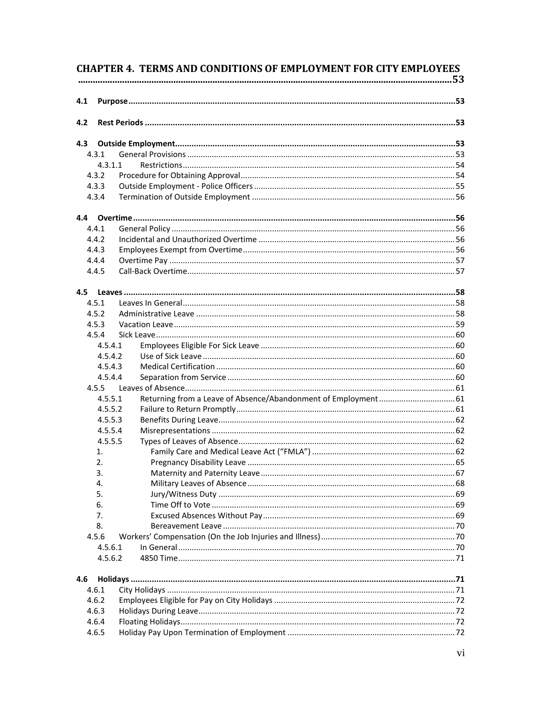| 4.1<br>4.2<br>4.3<br>4.3.1<br>4.3.1.1<br>4.3.2<br>4.3.3<br>4.3.4<br>4.4.1<br>4.4.2<br>4.4.3<br>4.4.4<br>4.4.5<br>4.5.1<br>4.5.2<br>4.5.3<br>4.5.4<br>4.5.4.1<br>4.5.4.2<br>4.5.4.3<br>4.5.4.4<br>4.5.5<br>Returning from a Leave of Absence/Abandonment of Employment 61<br>4.5.5.1<br>4.5.5.2<br>4.5.5.3<br>4.5.5.4<br>4.5.5.5<br>1.<br>2.<br>3.<br>4.<br>5.<br>6.<br>7.<br>8.<br>4.5.6<br>4.5.6.1<br>4.5.6.2<br>4.6<br>4.6.1<br>4.6.2<br>4.6.3<br>4.6.4<br>4.6.5 |  | <b>CHAPTER 4. TERMS AND CONDITIONS OF EMPLOYMENT FOR CITY EMPLOYEES</b> |  |
|--------------------------------------------------------------------------------------------------------------------------------------------------------------------------------------------------------------------------------------------------------------------------------------------------------------------------------------------------------------------------------------------------------------------------------------------------------------------|--|-------------------------------------------------------------------------|--|
|                                                                                                                                                                                                                                                                                                                                                                                                                                                                    |  |                                                                         |  |
|                                                                                                                                                                                                                                                                                                                                                                                                                                                                    |  |                                                                         |  |
|                                                                                                                                                                                                                                                                                                                                                                                                                                                                    |  |                                                                         |  |
|                                                                                                                                                                                                                                                                                                                                                                                                                                                                    |  |                                                                         |  |
|                                                                                                                                                                                                                                                                                                                                                                                                                                                                    |  |                                                                         |  |
|                                                                                                                                                                                                                                                                                                                                                                                                                                                                    |  |                                                                         |  |
|                                                                                                                                                                                                                                                                                                                                                                                                                                                                    |  |                                                                         |  |
|                                                                                                                                                                                                                                                                                                                                                                                                                                                                    |  |                                                                         |  |
|                                                                                                                                                                                                                                                                                                                                                                                                                                                                    |  |                                                                         |  |
|                                                                                                                                                                                                                                                                                                                                                                                                                                                                    |  |                                                                         |  |
|                                                                                                                                                                                                                                                                                                                                                                                                                                                                    |  |                                                                         |  |
|                                                                                                                                                                                                                                                                                                                                                                                                                                                                    |  |                                                                         |  |
|                                                                                                                                                                                                                                                                                                                                                                                                                                                                    |  |                                                                         |  |
|                                                                                                                                                                                                                                                                                                                                                                                                                                                                    |  |                                                                         |  |
|                                                                                                                                                                                                                                                                                                                                                                                                                                                                    |  |                                                                         |  |
|                                                                                                                                                                                                                                                                                                                                                                                                                                                                    |  |                                                                         |  |
|                                                                                                                                                                                                                                                                                                                                                                                                                                                                    |  |                                                                         |  |
|                                                                                                                                                                                                                                                                                                                                                                                                                                                                    |  |                                                                         |  |
|                                                                                                                                                                                                                                                                                                                                                                                                                                                                    |  |                                                                         |  |
|                                                                                                                                                                                                                                                                                                                                                                                                                                                                    |  |                                                                         |  |
|                                                                                                                                                                                                                                                                                                                                                                                                                                                                    |  |                                                                         |  |
|                                                                                                                                                                                                                                                                                                                                                                                                                                                                    |  |                                                                         |  |
|                                                                                                                                                                                                                                                                                                                                                                                                                                                                    |  |                                                                         |  |
|                                                                                                                                                                                                                                                                                                                                                                                                                                                                    |  |                                                                         |  |
|                                                                                                                                                                                                                                                                                                                                                                                                                                                                    |  |                                                                         |  |
|                                                                                                                                                                                                                                                                                                                                                                                                                                                                    |  |                                                                         |  |
|                                                                                                                                                                                                                                                                                                                                                                                                                                                                    |  |                                                                         |  |
|                                                                                                                                                                                                                                                                                                                                                                                                                                                                    |  |                                                                         |  |
|                                                                                                                                                                                                                                                                                                                                                                                                                                                                    |  |                                                                         |  |
|                                                                                                                                                                                                                                                                                                                                                                                                                                                                    |  |                                                                         |  |
|                                                                                                                                                                                                                                                                                                                                                                                                                                                                    |  |                                                                         |  |
|                                                                                                                                                                                                                                                                                                                                                                                                                                                                    |  |                                                                         |  |
|                                                                                                                                                                                                                                                                                                                                                                                                                                                                    |  |                                                                         |  |
|                                                                                                                                                                                                                                                                                                                                                                                                                                                                    |  |                                                                         |  |
|                                                                                                                                                                                                                                                                                                                                                                                                                                                                    |  |                                                                         |  |
|                                                                                                                                                                                                                                                                                                                                                                                                                                                                    |  |                                                                         |  |
|                                                                                                                                                                                                                                                                                                                                                                                                                                                                    |  |                                                                         |  |
|                                                                                                                                                                                                                                                                                                                                                                                                                                                                    |  |                                                                         |  |
|                                                                                                                                                                                                                                                                                                                                                                                                                                                                    |  |                                                                         |  |
|                                                                                                                                                                                                                                                                                                                                                                                                                                                                    |  |                                                                         |  |
|                                                                                                                                                                                                                                                                                                                                                                                                                                                                    |  |                                                                         |  |
|                                                                                                                                                                                                                                                                                                                                                                                                                                                                    |  |                                                                         |  |
|                                                                                                                                                                                                                                                                                                                                                                                                                                                                    |  |                                                                         |  |
|                                                                                                                                                                                                                                                                                                                                                                                                                                                                    |  |                                                                         |  |
|                                                                                                                                                                                                                                                                                                                                                                                                                                                                    |  |                                                                         |  |
|                                                                                                                                                                                                                                                                                                                                                                                                                                                                    |  |                                                                         |  |
|                                                                                                                                                                                                                                                                                                                                                                                                                                                                    |  |                                                                         |  |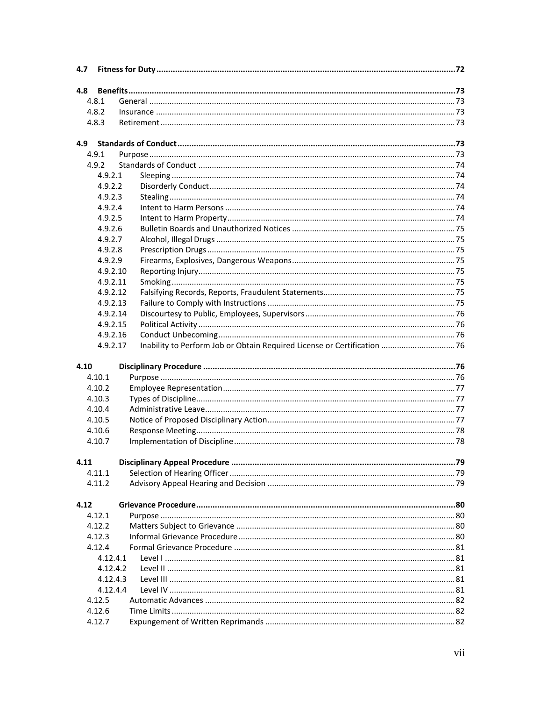| 4.7  |                  |                                                                          |    |
|------|------------------|--------------------------------------------------------------------------|----|
| 4.8  |                  |                                                                          |    |
|      | 4.8.1            |                                                                          |    |
|      | 4.8.2            |                                                                          |    |
|      | 4.8.3            |                                                                          |    |
|      |                  |                                                                          |    |
| 4.9  | 4.9.1            |                                                                          |    |
|      | 4.9.2            |                                                                          |    |
|      | 4.9.2.1          |                                                                          |    |
|      | 4.9.2.2          |                                                                          |    |
|      | 4.9.2.3          |                                                                          |    |
|      | 4.9.2.4          |                                                                          |    |
|      | 4.9.2.5          |                                                                          |    |
|      | 4.9.2.6          |                                                                          |    |
|      | 4.9.2.7          |                                                                          |    |
|      | 4.9.2.8          |                                                                          |    |
|      | 4.9.2.9          |                                                                          |    |
|      | 4.9.2.10         |                                                                          |    |
|      | 4.9.2.11         |                                                                          |    |
|      | 4.9.2.12         |                                                                          |    |
|      | 4.9.2.13         |                                                                          |    |
|      | 4.9.2.14         |                                                                          |    |
|      | 4.9.2.15         |                                                                          |    |
|      | 4.9.2.16         |                                                                          |    |
|      | 4.9.2.17         | Inability to Perform Job or Obtain Required License or Certification  76 |    |
|      |                  |                                                                          |    |
| 4.10 |                  |                                                                          |    |
|      | 4.10.1           |                                                                          |    |
|      | 4.10.2           |                                                                          |    |
|      | 4.10.3           |                                                                          |    |
|      | 4.10.4           |                                                                          |    |
|      | 4.10.5           |                                                                          |    |
|      | 4.10.6           |                                                                          |    |
|      | 4.10.7           |                                                                          |    |
|      |                  |                                                                          |    |
| 4.11 |                  |                                                                          | 79 |
|      | 4.11.1           |                                                                          |    |
|      | 4.11.2           |                                                                          |    |
| 4.12 |                  |                                                                          |    |
|      | 4.12.1           |                                                                          |    |
|      | 4.12.2           |                                                                          |    |
|      | 4.12.3           |                                                                          |    |
|      | 4.12.4           |                                                                          |    |
|      | 4.12.4.1         |                                                                          |    |
|      | 4.12.4.2         |                                                                          |    |
|      |                  |                                                                          |    |
|      | 4.12.4.3         |                                                                          |    |
|      |                  |                                                                          |    |
|      | 4.12.4.4         |                                                                          |    |
|      | 4.12.5<br>4.12.6 |                                                                          |    |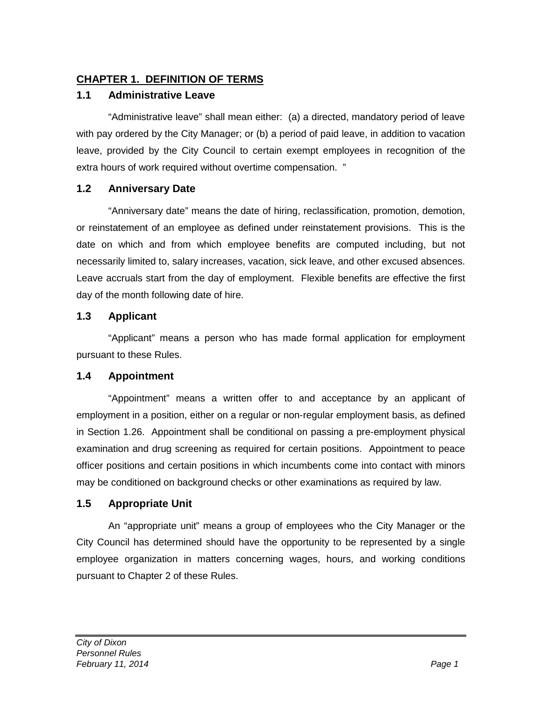# <span id="page-11-0"></span>**CHAPTER 1. DEFINITION OF TERMS**

# <span id="page-11-1"></span>**1.1 Administrative Leave**

"Administrative leave" shall mean either: (a) a directed, mandatory period of leave with pay ordered by the City Manager; or (b) a period of paid leave, in addition to vacation leave, provided by the City Council to certain exempt employees in recognition of the extra hours of work required without overtime compensation. "

# <span id="page-11-2"></span>**1.2 Anniversary Date**

"Anniversary date" means the date of hiring, reclassification, promotion, demotion, or reinstatement of an employee as defined under reinstatement provisions. This is the date on which and from which employee benefits are computed including, but not necessarily limited to, salary increases, vacation, sick leave, and other excused absences. Leave accruals start from the day of employment. Flexible benefits are effective the first day of the month following date of hire.

# <span id="page-11-3"></span>**1.3 Applicant**

"Applicant" means a person who has made formal application for employment pursuant to these Rules.

# <span id="page-11-4"></span>**1.4 Appointment**

"Appointment" means a written offer to and acceptance by an applicant of employment in a position, either on a regular or non-regular employment basis, as defined in Section 1.26. Appointment shall be conditional on passing a pre-employment physical examination and drug screening as required for certain positions. Appointment to peace officer positions and certain positions in which incumbents come into contact with minors may be conditioned on background checks or other examinations as required by law.

# <span id="page-11-5"></span>**1.5 Appropriate Unit**

An "appropriate unit" means a group of employees who the City Manager or the City Council has determined should have the opportunity to be represented by a single employee organization in matters concerning wages, hours, and working conditions pursuant to Chapter 2 of these Rules.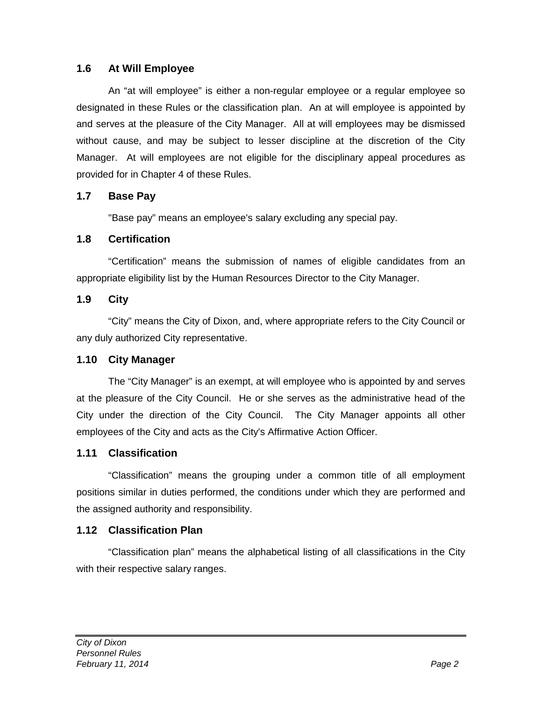## <span id="page-12-0"></span>**1.6 At Will Employee**

An "at will employee" is either a non-regular employee or a regular employee so designated in these Rules or the classification plan. An at will employee is appointed by and serves at the pleasure of the City Manager. All at will employees may be dismissed without cause, and may be subject to lesser discipline at the discretion of the City Manager. At will employees are not eligible for the disciplinary appeal procedures as provided for in Chapter 4 of these Rules.

#### <span id="page-12-1"></span>**1.7 Base Pay**

"Base pay" means an employee's salary excluding any special pay.

## <span id="page-12-2"></span>**1.8 Certification**

"Certification" means the submission of names of eligible candidates from an appropriate eligibility list by the Human Resources Director to the City Manager.

## <span id="page-12-3"></span>**1.9 City**

"City" means the City of Dixon, and, where appropriate refers to the City Council or any duly authorized City representative.

#### <span id="page-12-4"></span>**1.10 City Manager**

The "City Manager" is an exempt, at will employee who is appointed by and serves at the pleasure of the City Council. He or she serves as the administrative head of the City under the direction of the City Council. The City Manager appoints all other employees of the City and acts as the City's Affirmative Action Officer.

#### <span id="page-12-5"></span>**1.11 Classification**

"Classification" means the grouping under a common title of all employment positions similar in duties performed, the conditions under which they are performed and the assigned authority and responsibility.

#### <span id="page-12-6"></span>**1.12 Classification Plan**

"Classification plan" means the alphabetical listing of all classifications in the City with their respective salary ranges.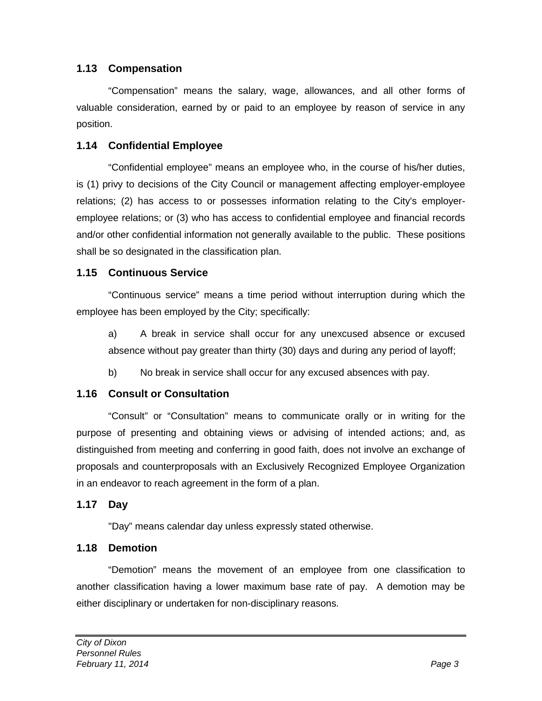# <span id="page-13-0"></span>**1.13 Compensation**

"Compensation" means the salary, wage, allowances, and all other forms of valuable consideration, earned by or paid to an employee by reason of service in any position.

# <span id="page-13-1"></span>**1.14 Confidential Employee**

"Confidential employee" means an employee who, in the course of his/her duties, is (1) privy to decisions of the City Council or management affecting employer-employee relations; (2) has access to or possesses information relating to the City's employeremployee relations; or (3) who has access to confidential employee and financial records and/or other confidential information not generally available to the public. These positions shall be so designated in the classification plan.

# <span id="page-13-2"></span>**1.15 Continuous Service**

"Continuous service" means a time period without interruption during which the employee has been employed by the City; specifically:

a) A break in service shall occur for any unexcused absence or excused absence without pay greater than thirty (30) days and during any period of layoff;

b) No break in service shall occur for any excused absences with pay.

# <span id="page-13-3"></span>**1.16 Consult or Consultation**

"Consult" or "Consultation" means to communicate orally or in writing for the purpose of presenting and obtaining views or advising of intended actions; and, as distinguished from meeting and conferring in good faith, does not involve an exchange of proposals and counterproposals with an Exclusively Recognized Employee Organization in an endeavor to reach agreement in the form of a plan.

# <span id="page-13-4"></span>**1.17 Day**

"Day" means calendar day unless expressly stated otherwise.

# <span id="page-13-5"></span>**1.18 Demotion**

"Demotion" means the movement of an employee from one classification to another classification having a lower maximum base rate of pay. A demotion may be either disciplinary or undertaken for non-disciplinary reasons.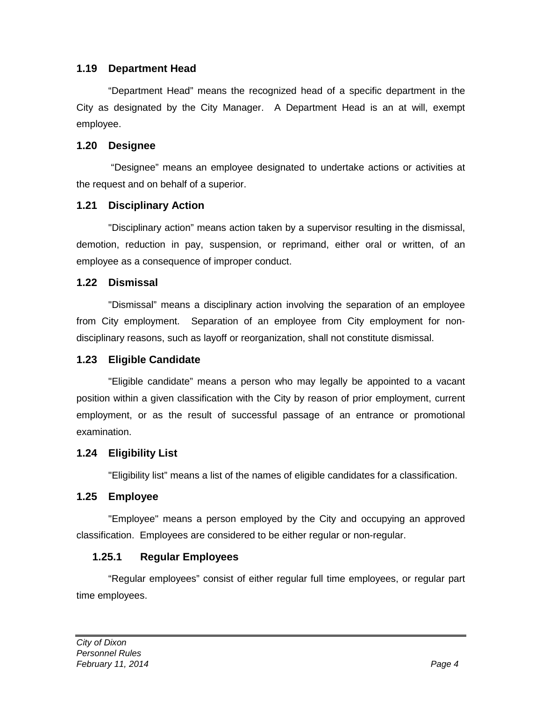## <span id="page-14-0"></span>**1.19 Department Head**

"Department Head" means the recognized head of a specific department in the City as designated by the City Manager. A Department Head is an at will, exempt employee.

#### <span id="page-14-1"></span>**1.20 Designee**

"Designee" means an employee designated to undertake actions or activities at the request and on behalf of a superior.

#### <span id="page-14-2"></span>**1.21 Disciplinary Action**

"Disciplinary action" means action taken by a supervisor resulting in the dismissal, demotion, reduction in pay, suspension, or reprimand, either oral or written, of an employee as a consequence of improper conduct.

## <span id="page-14-3"></span>**1.22 Dismissal**

"Dismissal" means a disciplinary action involving the separation of an employee from City employment. Separation of an employee from City employment for nondisciplinary reasons, such as layoff or reorganization, shall not constitute dismissal.

# <span id="page-14-4"></span>**1.23 Eligible Candidate**

"Eligible candidate" means a person who may legally be appointed to a vacant position within a given classification with the City by reason of prior employment, current employment, or as the result of successful passage of an entrance or promotional examination.

#### <span id="page-14-5"></span>**1.24 Eligibility List**

"Eligibility list" means a list of the names of eligible candidates for a classification.

# <span id="page-14-6"></span>**1.25 Employee**

"Employee" means a person employed by the City and occupying an approved classification. Employees are considered to be either regular or non-regular.

# <span id="page-14-7"></span>**1.25.1 Regular Employees**

"Regular employees" consist of either regular full time employees, or regular part time employees.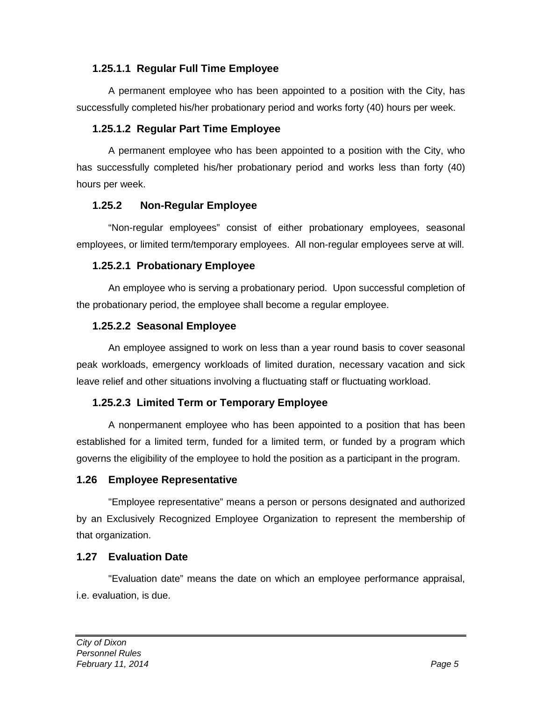# <span id="page-15-0"></span>**1.25.1.1 Regular Full Time Employee**

A permanent employee who has been appointed to a position with the City, has successfully completed his/her probationary period and works forty (40) hours per week.

## <span id="page-15-1"></span>**1.25.1.2 Regular Part Time Employee**

A permanent employee who has been appointed to a position with the City, who has successfully completed his/her probationary period and works less than forty (40) hours per week.

## <span id="page-15-2"></span>**1.25.2 Non-Regular Employee**

"Non-regular employees" consist of either probationary employees, seasonal employees, or limited term/temporary employees. All non-regular employees serve at will.

# <span id="page-15-3"></span>**1.25.2.1 Probationary Employee**

An employee who is serving a probationary period. Upon successful completion of the probationary period, the employee shall become a regular employee.

# <span id="page-15-4"></span>**1.25.2.2 Seasonal Employee**

An employee assigned to work on less than a year round basis to cover seasonal peak workloads, emergency workloads of limited duration, necessary vacation and sick leave relief and other situations involving a fluctuating staff or fluctuating workload.

# <span id="page-15-5"></span>**1.25.2.3 Limited Term or Temporary Employee**

A nonpermanent employee who has been appointed to a position that has been established for a limited term, funded for a limited term, or funded by a program which governs the eligibility of the employee to hold the position as a participant in the program.

#### <span id="page-15-6"></span>**1.26 Employee Representative**

"Employee representative" means a person or persons designated and authorized by an Exclusively Recognized Employee Organization to represent the membership of that organization.

#### <span id="page-15-7"></span>**1.27 Evaluation Date**

"Evaluation date" means the date on which an employee performance appraisal, i.e. evaluation, is due.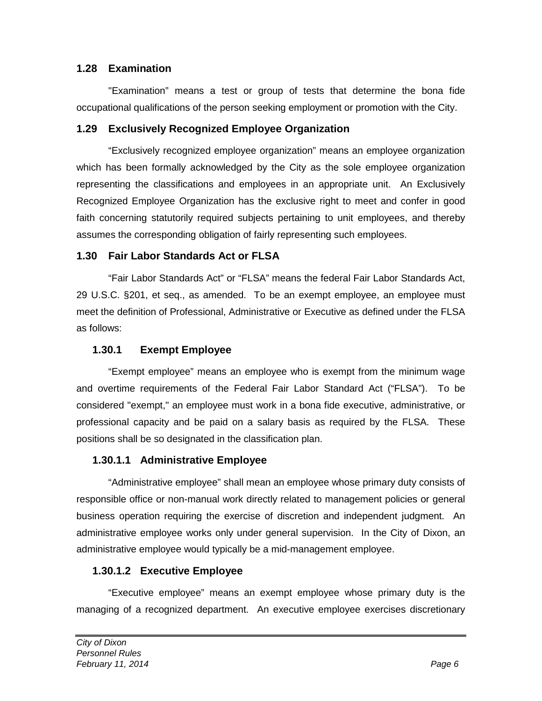## <span id="page-16-0"></span>**1.28 Examination**

"Examination" means a test or group of tests that determine the bona fide occupational qualifications of the person seeking employment or promotion with the City.

#### <span id="page-16-1"></span>**1.29 Exclusively Recognized Employee Organization**

"Exclusively recognized employee organization" means an employee organization which has been formally acknowledged by the City as the sole employee organization representing the classifications and employees in an appropriate unit. An Exclusively Recognized Employee Organization has the exclusive right to meet and confer in good faith concerning statutorily required subjects pertaining to unit employees, and thereby assumes the corresponding obligation of fairly representing such employees.

## <span id="page-16-2"></span>**1.30 Fair Labor Standards Act or FLSA**

"Fair Labor Standards Act" or "FLSA" means the federal Fair Labor Standards Act, 29 U.S.C. §201, et seq., as amended. To be an exempt employee, an employee must meet the definition of Professional, Administrative or Executive as defined under the FLSA as follows:

## <span id="page-16-3"></span>**1.30.1 Exempt Employee**

"Exempt employee" means an employee who is exempt from the minimum wage and overtime requirements of the Federal Fair Labor Standard Act ("FLSA"). To be considered "exempt," an employee must work in a bona fide executive, administrative, or professional capacity and be paid on a salary basis as required by the FLSA. These positions shall be so designated in the classification plan.

#### <span id="page-16-4"></span>**1.30.1.1 Administrative Employee**

"Administrative employee" shall mean an employee whose primary duty consists of responsible office or non-manual work directly related to management policies or general business operation requiring the exercise of discretion and independent judgment. An administrative employee works only under general supervision. In the City of Dixon, an administrative employee would typically be a mid-management employee.

#### <span id="page-16-5"></span>**1.30.1.2 Executive Employee**

"Executive employee" means an exempt employee whose primary duty is the managing of a recognized department. An executive employee exercises discretionary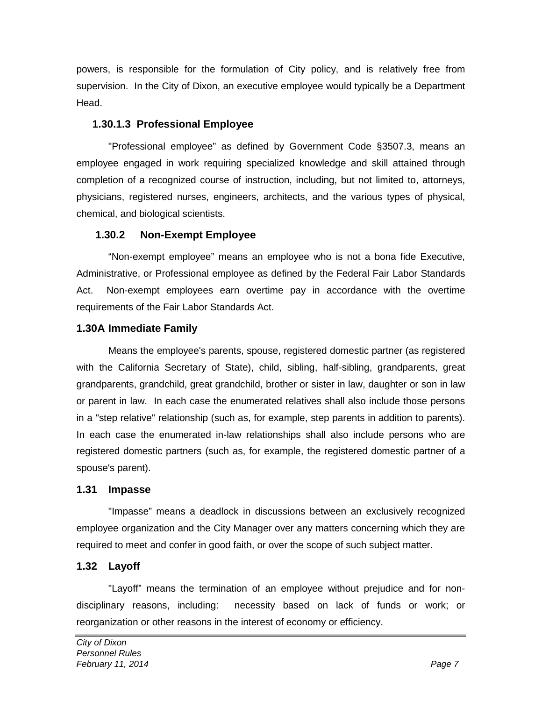powers, is responsible for the formulation of City policy, and is relatively free from supervision. In the City of Dixon, an executive employee would typically be a Department Head.

# <span id="page-17-0"></span>**1.30.1.3 Professional Employee**

"Professional employee" as defined by Government Code §3507.3, means an employee engaged in work requiring specialized knowledge and skill attained through completion of a recognized course of instruction, including, but not limited to, attorneys, physicians, registered nurses, engineers, architects, and the various types of physical, chemical, and biological scientists.

## <span id="page-17-1"></span>**1.30.2 Non-Exempt Employee**

"Non-exempt employee" means an employee who is not a bona fide Executive, Administrative, or Professional employee as defined by the Federal Fair Labor Standards Act. Non-exempt employees earn overtime pay in accordance with the overtime requirements of the Fair Labor Standards Act.

# <span id="page-17-2"></span>**1.30A Immediate Family**

Means the employee's parents, spouse, registered domestic partner (as registered with the California Secretary of State), child, sibling, half-sibling, grandparents, great grandparents, grandchild, great grandchild, brother or sister in law, daughter or son in law or parent in law. In each case the enumerated relatives shall also include those persons in a "step relative" relationship (such as, for example, step parents in addition to parents). In each case the enumerated in-law relationships shall also include persons who are registered domestic partners (such as, for example, the registered domestic partner of a spouse's parent).

#### <span id="page-17-3"></span>**1.31 Impasse**

"Impasse" means a deadlock in discussions between an exclusively recognized employee organization and the City Manager over any matters concerning which they are required to meet and confer in good faith, or over the scope of such subject matter.

# <span id="page-17-4"></span>**1.32 Layoff**

"Layoff" means the termination of an employee without prejudice and for nondisciplinary reasons, including: necessity based on lack of funds or work; or reorganization or other reasons in the interest of economy or efficiency.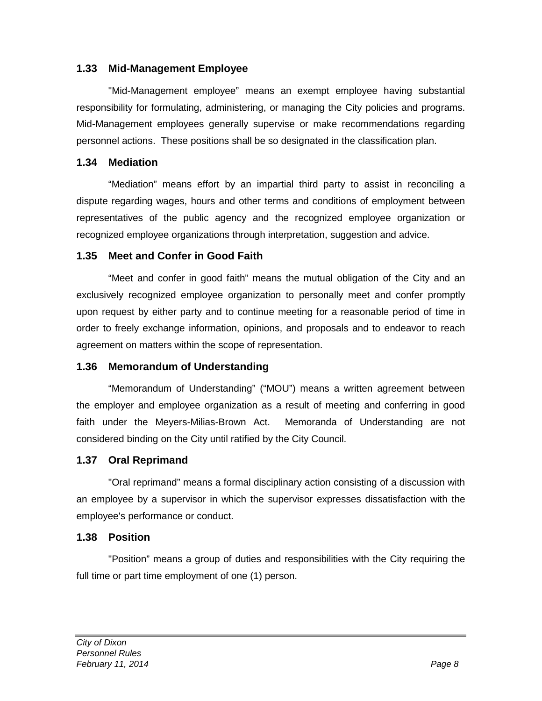## <span id="page-18-0"></span>**1.33 Mid-Management Employee**

"Mid-Management employee" means an exempt employee having substantial responsibility for formulating, administering, or managing the City policies and programs. Mid-Management employees generally supervise or make recommendations regarding personnel actions. These positions shall be so designated in the classification plan.

#### <span id="page-18-1"></span>**1.34 Mediation**

"Mediation" means effort by an impartial third party to assist in reconciling a dispute regarding wages, hours and other terms and conditions of employment between representatives of the public agency and the recognized employee organization or recognized employee organizations through interpretation, suggestion and advice.

# <span id="page-18-2"></span>**1.35 Meet and Confer in Good Faith**

"Meet and confer in good faith" means the mutual obligation of the City and an exclusively recognized employee organization to personally meet and confer promptly upon request by either party and to continue meeting for a reasonable period of time in order to freely exchange information, opinions, and proposals and to endeavor to reach agreement on matters within the scope of representation.

#### <span id="page-18-3"></span>**1.36 Memorandum of Understanding**

"Memorandum of Understanding" ("MOU") means a written agreement between the employer and employee organization as a result of meeting and conferring in good faith under the Meyers-Milias-Brown Act. Memoranda of Understanding are not considered binding on the City until ratified by the City Council.

# <span id="page-18-4"></span>**1.37 Oral Reprimand**

"Oral reprimand" means a formal disciplinary action consisting of a discussion with an employee by a supervisor in which the supervisor expresses dissatisfaction with the employee's performance or conduct.

#### <span id="page-18-5"></span>**1.38 Position**

"Position" means a group of duties and responsibilities with the City requiring the full time or part time employment of one (1) person.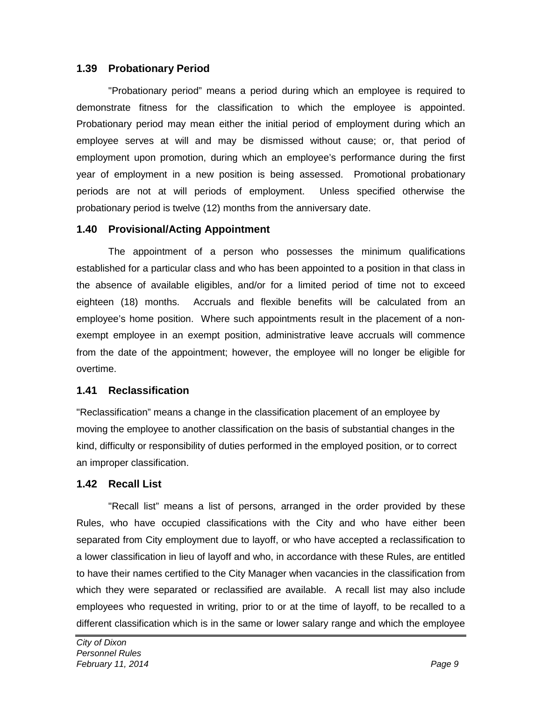## <span id="page-19-0"></span>**1.39 Probationary Period**

"Probationary period" means a period during which an employee is required to demonstrate fitness for the classification to which the employee is appointed. Probationary period may mean either the initial period of employment during which an employee serves at will and may be dismissed without cause; or, that period of employment upon promotion, during which an employee's performance during the first year of employment in a new position is being assessed. Promotional probationary periods are not at will periods of employment. Unless specified otherwise the probationary period is twelve (12) months from the anniversary date.

## <span id="page-19-1"></span>**1.40 Provisional/Acting Appointment**

The appointment of a person who possesses the minimum qualifications established for a particular class and who has been appointed to a position in that class in the absence of available eligibles, and/or for a limited period of time not to exceed eighteen (18) months. Accruals and flexible benefits will be calculated from an employee's home position. Where such appointments result in the placement of a nonexempt employee in an exempt position, administrative leave accruals will commence from the date of the appointment; however, the employee will no longer be eligible for overtime.

#### <span id="page-19-2"></span>**1.41 Reclassification**

"Reclassification" means a change in the classification placement of an employee by moving the employee to another classification on the basis of substantial changes in the kind, difficulty or responsibility of duties performed in the employed position, or to correct an improper classification.

# <span id="page-19-3"></span>**1.42 Recall List**

"Recall list" means a list of persons, arranged in the order provided by these Rules, who have occupied classifications with the City and who have either been separated from City employment due to layoff, or who have accepted a reclassification to a lower classification in lieu of layoff and who, in accordance with these Rules, are entitled to have their names certified to the City Manager when vacancies in the classification from which they were separated or reclassified are available. A recall list may also include employees who requested in writing, prior to or at the time of layoff, to be recalled to a different classification which is in the same or lower salary range and which the employee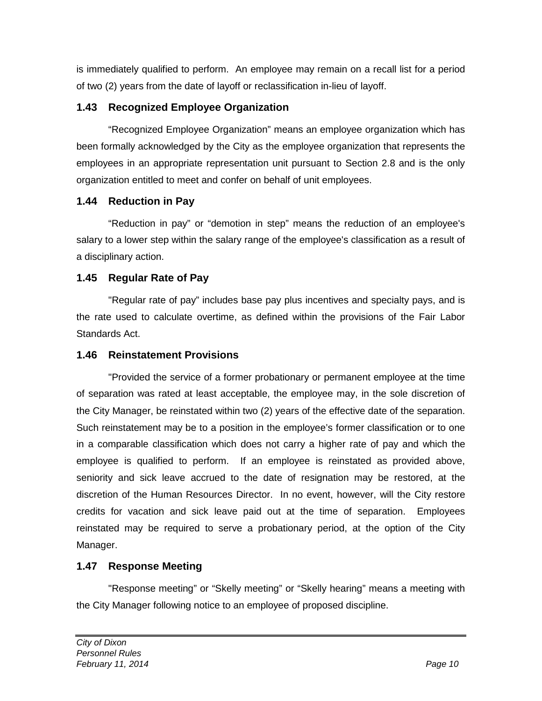is immediately qualified to perform. An employee may remain on a recall list for a period of two (2) years from the date of layoff or reclassification in-lieu of layoff.

# <span id="page-20-0"></span>**1.43 Recognized Employee Organization**

"Recognized Employee Organization" means an employee organization which has been formally acknowledged by the City as the employee organization that represents the employees in an appropriate representation unit pursuant to Section 2.8 and is the only organization entitled to meet and confer on behalf of unit employees.

# <span id="page-20-1"></span>**1.44 Reduction in Pay**

"Reduction in pay" or "demotion in step" means the reduction of an employee's salary to a lower step within the salary range of the employee's classification as a result of a disciplinary action.

# <span id="page-20-2"></span>**1.45 Regular Rate of Pay**

"Regular rate of pay" includes base pay plus incentives and specialty pays, and is the rate used to calculate overtime, as defined within the provisions of the Fair Labor Standards Act.

## <span id="page-20-3"></span>**1.46 Reinstatement Provisions**

"Provided the service of a former probationary or permanent employee at the time of separation was rated at least acceptable, the employee may, in the sole discretion of the City Manager, be reinstated within two (2) years of the effective date of the separation. Such reinstatement may be to a position in the employee's former classification or to one in a comparable classification which does not carry a higher rate of pay and which the employee is qualified to perform. If an employee is reinstated as provided above, seniority and sick leave accrued to the date of resignation may be restored, at the discretion of the Human Resources Director. In no event, however, will the City restore credits for vacation and sick leave paid out at the time of separation. Employees reinstated may be required to serve a probationary period, at the option of the City Manager.

# <span id="page-20-4"></span>**1.47 Response Meeting**

"Response meeting" or "Skelly meeting" or "Skelly hearing" means a meeting with the City Manager following notice to an employee of proposed discipline.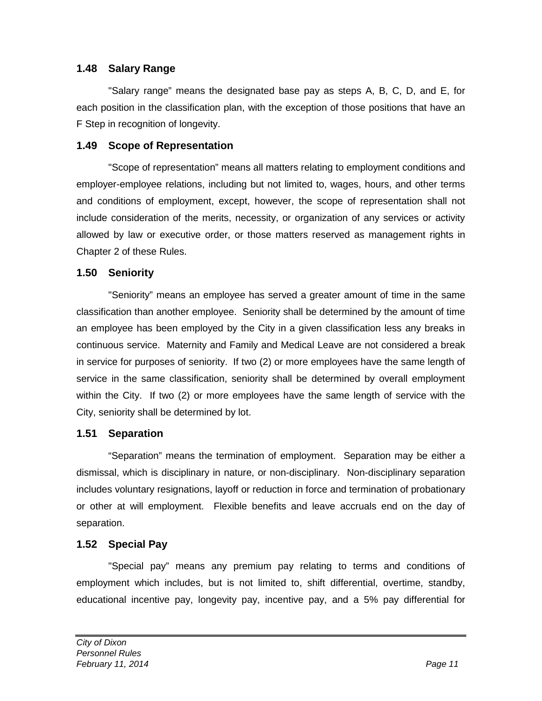# <span id="page-21-0"></span>**1.48 Salary Range**

"Salary range" means the designated base pay as steps A, B, C, D, and E, for each position in the classification plan, with the exception of those positions that have an F Step in recognition of longevity.

#### <span id="page-21-1"></span>**1.49 Scope of Representation**

"Scope of representation" means all matters relating to employment conditions and employer-employee relations, including but not limited to, wages, hours, and other terms and conditions of employment, except, however, the scope of representation shall not include consideration of the merits, necessity, or organization of any services or activity allowed by law or executive order, or those matters reserved as management rights in Chapter 2 of these Rules.

#### <span id="page-21-2"></span>**1.50 Seniority**

"Seniority" means an employee has served a greater amount of time in the same classification than another employee. Seniority shall be determined by the amount of time an employee has been employed by the City in a given classification less any breaks in continuous service. Maternity and Family and Medical Leave are not considered a break in service for purposes of seniority. If two (2) or more employees have the same length of service in the same classification, seniority shall be determined by overall employment within the City. If two (2) or more employees have the same length of service with the City, seniority shall be determined by lot.

#### <span id="page-21-3"></span>**1.51 Separation**

"Separation" means the termination of employment. Separation may be either a dismissal, which is disciplinary in nature, or non-disciplinary. Non-disciplinary separation includes voluntary resignations, layoff or reduction in force and termination of probationary or other at will employment. Flexible benefits and leave accruals end on the day of separation.

#### <span id="page-21-4"></span>**1.52 Special Pay**

"Special pay" means any premium pay relating to terms and conditions of employment which includes, but is not limited to, shift differential, overtime, standby, educational incentive pay, longevity pay, incentive pay, and a 5% pay differential for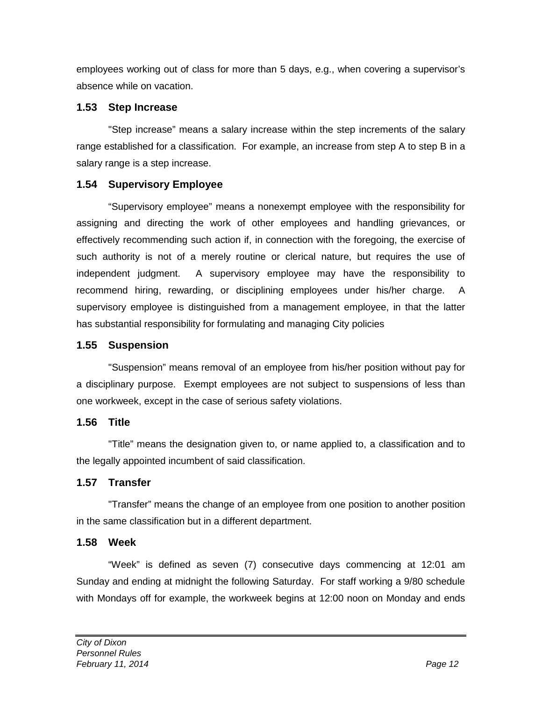employees working out of class for more than 5 days, e.g., when covering a supervisor's absence while on vacation.

# <span id="page-22-0"></span>**1.53 Step Increase**

"Step increase" means a salary increase within the step increments of the salary range established for a classification. For example, an increase from step A to step B in a salary range is a step increase.

# <span id="page-22-1"></span>**1.54 Supervisory Employee**

"Supervisory employee" means a nonexempt employee with the responsibility for assigning and directing the work of other employees and handling grievances, or effectively recommending such action if, in connection with the foregoing, the exercise of such authority is not of a merely routine or clerical nature, but requires the use of independent judgment. A supervisory employee may have the responsibility to recommend hiring, rewarding, or disciplining employees under his/her charge. A supervisory employee is distinguished from a management employee, in that the latter has substantial responsibility for formulating and managing City policies

# <span id="page-22-2"></span>**1.55 Suspension**

"Suspension" means removal of an employee from his/her position without pay for a disciplinary purpose. Exempt employees are not subject to suspensions of less than one workweek, except in the case of serious safety violations.

# <span id="page-22-3"></span>**1.56 Title**

"Title" means the designation given to, or name applied to, a classification and to the legally appointed incumbent of said classification.

# <span id="page-22-4"></span>**1.57 Transfer**

"Transfer" means the change of an employee from one position to another position in the same classification but in a different department.

# <span id="page-22-5"></span>**1.58 Week**

"Week" is defined as seven (7) consecutive days commencing at 12:01 am Sunday and ending at midnight the following Saturday. For staff working a 9/80 schedule with Mondays off for example, the workweek begins at 12:00 noon on Monday and ends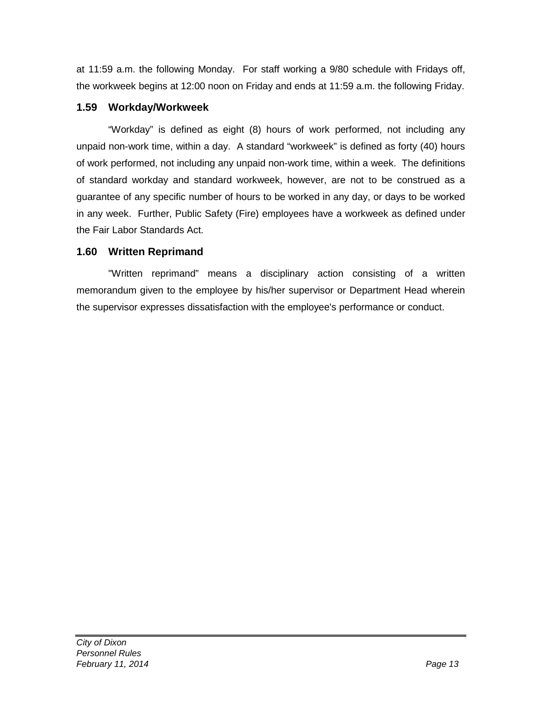at 11:59 a.m. the following Monday. For staff working a 9/80 schedule with Fridays off, the workweek begins at 12:00 noon on Friday and ends at 11:59 a.m. the following Friday.

#### <span id="page-23-0"></span>**1.59 Workday/Workweek**

"Workday" is defined as eight (8) hours of work performed, not including any unpaid non-work time, within a day. A standard "workweek" is defined as forty (40) hours of work performed, not including any unpaid non-work time, within a week. The definitions of standard workday and standard workweek, however, are not to be construed as a guarantee of any specific number of hours to be worked in any day, or days to be worked in any week. Further, Public Safety (Fire) employees have a workweek as defined under the Fair Labor Standards Act.

# <span id="page-23-1"></span>**1.60 Written Reprimand**

"Written reprimand" means a disciplinary action consisting of a written memorandum given to the employee by his/her supervisor or Department Head wherein the supervisor expresses dissatisfaction with the employee's performance or conduct.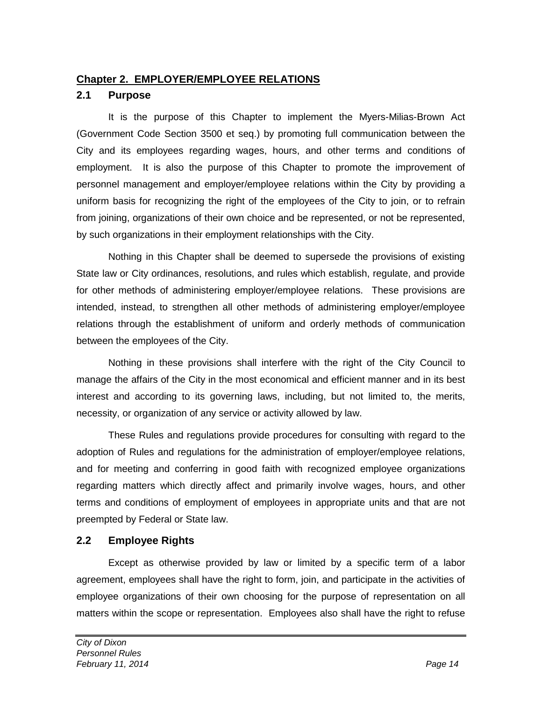## <span id="page-24-0"></span>**Chapter 2. EMPLOYER/EMPLOYEE RELATIONS**

#### <span id="page-24-1"></span>**2.1 Purpose**

It is the purpose of this Chapter to implement the Myers-Milias-Brown Act (Government Code Section 3500 et seq.) by promoting full communication between the City and its employees regarding wages, hours, and other terms and conditions of employment. It is also the purpose of this Chapter to promote the improvement of personnel management and employer/employee relations within the City by providing a uniform basis for recognizing the right of the employees of the City to join, or to refrain from joining, organizations of their own choice and be represented, or not be represented, by such organizations in their employment relationships with the City.

Nothing in this Chapter shall be deemed to supersede the provisions of existing State law or City ordinances, resolutions, and rules which establish, regulate, and provide for other methods of administering employer/employee relations. These provisions are intended, instead, to strengthen all other methods of administering employer/employee relations through the establishment of uniform and orderly methods of communication between the employees of the City.

Nothing in these provisions shall interfere with the right of the City Council to manage the affairs of the City in the most economical and efficient manner and in its best interest and according to its governing laws, including, but not limited to, the merits, necessity, or organization of any service or activity allowed by law.

These Rules and regulations provide procedures for consulting with regard to the adoption of Rules and regulations for the administration of employer/employee relations, and for meeting and conferring in good faith with recognized employee organizations regarding matters which directly affect and primarily involve wages, hours, and other terms and conditions of employment of employees in appropriate units and that are not preempted by Federal or State law.

# <span id="page-24-2"></span>**2.2 Employee Rights**

Except as otherwise provided by law or limited by a specific term of a labor agreement, employees shall have the right to form, join, and participate in the activities of employee organizations of their own choosing for the purpose of representation on all matters within the scope or representation. Employees also shall have the right to refuse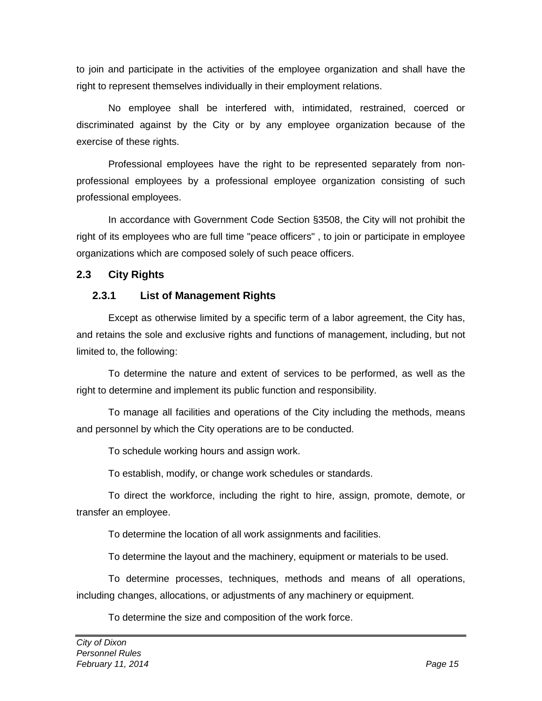to join and participate in the activities of the employee organization and shall have the right to represent themselves individually in their employment relations.

No employee shall be interfered with, intimidated, restrained, coerced or discriminated against by the City or by any employee organization because of the exercise of these rights.

Professional employees have the right to be represented separately from nonprofessional employees by a professional employee organization consisting of such professional employees.

In accordance with Government Code Section §3508, the City will not prohibit the right of its employees who are full time "peace officers" , to join or participate in employee organizations which are composed solely of such peace officers.

# **2.3 City Rights**

## <span id="page-25-1"></span><span id="page-25-0"></span>**2.3.1 List of Management Rights**

Except as otherwise limited by a specific term of a labor agreement, the City has, and retains the sole and exclusive rights and functions of management, including, but not limited to, the following:

To determine the nature and extent of services to be performed, as well as the right to determine and implement its public function and responsibility.

To manage all facilities and operations of the City including the methods, means and personnel by which the City operations are to be conducted.

To schedule working hours and assign work.

To establish, modify, or change work schedules or standards.

To direct the workforce, including the right to hire, assign, promote, demote, or transfer an employee.

To determine the location of all work assignments and facilities.

To determine the layout and the machinery, equipment or materials to be used.

To determine processes, techniques, methods and means of all operations, including changes, allocations, or adjustments of any machinery or equipment.

To determine the size and composition of the work force.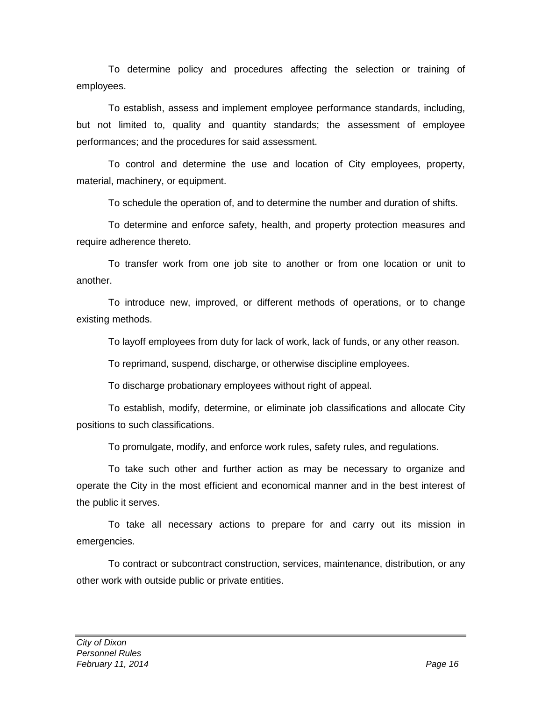To determine policy and procedures affecting the selection or training of employees.

To establish, assess and implement employee performance standards, including, but not limited to, quality and quantity standards; the assessment of employee performances; and the procedures for said assessment.

To control and determine the use and location of City employees, property, material, machinery, or equipment.

To schedule the operation of, and to determine the number and duration of shifts.

To determine and enforce safety, health, and property protection measures and require adherence thereto.

To transfer work from one job site to another or from one location or unit to another.

To introduce new, improved, or different methods of operations, or to change existing methods.

To layoff employees from duty for lack of work, lack of funds, or any other reason.

To reprimand, suspend, discharge, or otherwise discipline employees.

To discharge probationary employees without right of appeal.

To establish, modify, determine, or eliminate job classifications and allocate City positions to such classifications.

To promulgate, modify, and enforce work rules, safety rules, and regulations.

To take such other and further action as may be necessary to organize and operate the City in the most efficient and economical manner and in the best interest of the public it serves.

To take all necessary actions to prepare for and carry out its mission in emergencies.

To contract or subcontract construction, services, maintenance, distribution, or any other work with outside public or private entities.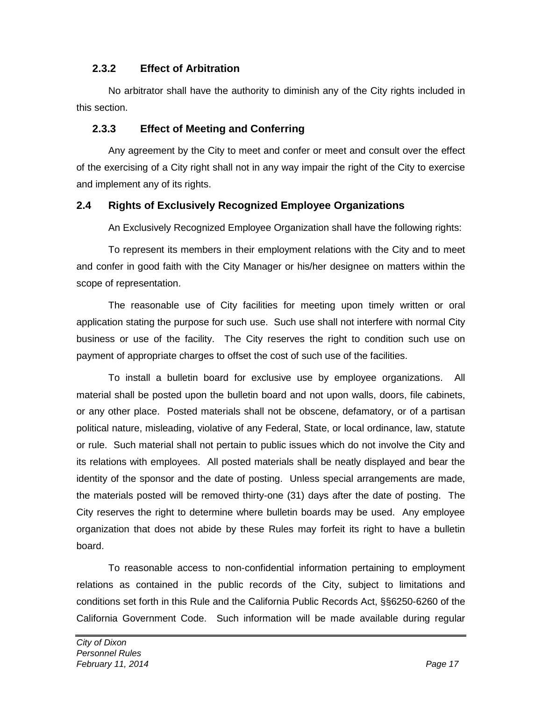# <span id="page-27-0"></span>**2.3.2 Effect of Arbitration**

No arbitrator shall have the authority to diminish any of the City rights included in this section.

## <span id="page-27-1"></span>**2.3.3 Effect of Meeting and Conferring**

Any agreement by the City to meet and confer or meet and consult over the effect of the exercising of a City right shall not in any way impair the right of the City to exercise and implement any of its rights.

#### <span id="page-27-2"></span>**2.4 Rights of Exclusively Recognized Employee Organizations**

An Exclusively Recognized Employee Organization shall have the following rights:

To represent its members in their employment relations with the City and to meet and confer in good faith with the City Manager or his/her designee on matters within the scope of representation.

The reasonable use of City facilities for meeting upon timely written or oral application stating the purpose for such use. Such use shall not interfere with normal City business or use of the facility. The City reserves the right to condition such use on payment of appropriate charges to offset the cost of such use of the facilities.

To install a bulletin board for exclusive use by employee organizations. All material shall be posted upon the bulletin board and not upon walls, doors, file cabinets, or any other place. Posted materials shall not be obscene, defamatory, or of a partisan political nature, misleading, violative of any Federal, State, or local ordinance, law, statute or rule. Such material shall not pertain to public issues which do not involve the City and its relations with employees. All posted materials shall be neatly displayed and bear the identity of the sponsor and the date of posting. Unless special arrangements are made, the materials posted will be removed thirty-one (31) days after the date of posting. The City reserves the right to determine where bulletin boards may be used. Any employee organization that does not abide by these Rules may forfeit its right to have a bulletin board.

To reasonable access to non-confidential information pertaining to employment relations as contained in the public records of the City, subject to limitations and conditions set forth in this Rule and the California Public Records Act, §§6250-6260 of the California Government Code. Such information will be made available during regular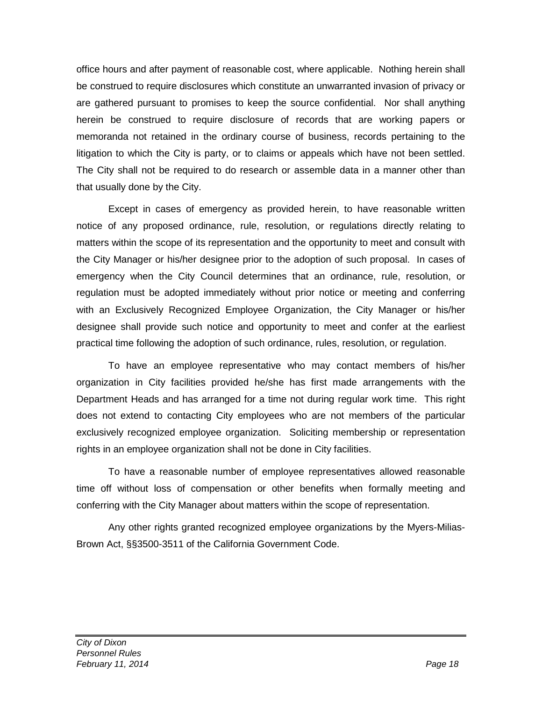office hours and after payment of reasonable cost, where applicable. Nothing herein shall be construed to require disclosures which constitute an unwarranted invasion of privacy or are gathered pursuant to promises to keep the source confidential. Nor shall anything herein be construed to require disclosure of records that are working papers or memoranda not retained in the ordinary course of business, records pertaining to the litigation to which the City is party, or to claims or appeals which have not been settled. The City shall not be required to do research or assemble data in a manner other than that usually done by the City.

Except in cases of emergency as provided herein, to have reasonable written notice of any proposed ordinance, rule, resolution, or regulations directly relating to matters within the scope of its representation and the opportunity to meet and consult with the City Manager or his/her designee prior to the adoption of such proposal. In cases of emergency when the City Council determines that an ordinance, rule, resolution, or regulation must be adopted immediately without prior notice or meeting and conferring with an Exclusively Recognized Employee Organization, the City Manager or his/her designee shall provide such notice and opportunity to meet and confer at the earliest practical time following the adoption of such ordinance, rules, resolution, or regulation.

To have an employee representative who may contact members of his/her organization in City facilities provided he/she has first made arrangements with the Department Heads and has arranged for a time not during regular work time. This right does not extend to contacting City employees who are not members of the particular exclusively recognized employee organization. Soliciting membership or representation rights in an employee organization shall not be done in City facilities.

To have a reasonable number of employee representatives allowed reasonable time off without loss of compensation or other benefits when formally meeting and conferring with the City Manager about matters within the scope of representation.

Any other rights granted recognized employee organizations by the Myers-Milias-Brown Act, §§3500-3511 of the California Government Code.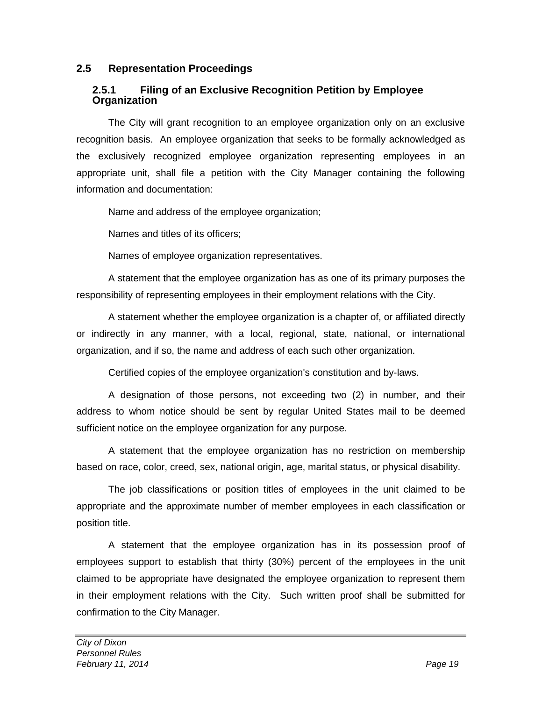#### <span id="page-29-0"></span>**2.5 Representation Proceedings**

#### <span id="page-29-1"></span>**2.5.1 Filing of an Exclusive Recognition Petition by Employee Organization**

The City will grant recognition to an employee organization only on an exclusive recognition basis. An employee organization that seeks to be formally acknowledged as the exclusively recognized employee organization representing employees in an appropriate unit, shall file a petition with the City Manager containing the following information and documentation:

Name and address of the employee organization;

Names and titles of its officers;

Names of employee organization representatives.

A statement that the employee organization has as one of its primary purposes the responsibility of representing employees in their employment relations with the City.

A statement whether the employee organization is a chapter of, or affiliated directly or indirectly in any manner, with a local, regional, state, national, or international organization, and if so, the name and address of each such other organization.

Certified copies of the employee organization's constitution and by-laws.

A designation of those persons, not exceeding two (2) in number, and their address to whom notice should be sent by regular United States mail to be deemed sufficient notice on the employee organization for any purpose.

A statement that the employee organization has no restriction on membership based on race, color, creed, sex, national origin, age, marital status, or physical disability.

The job classifications or position titles of employees in the unit claimed to be appropriate and the approximate number of member employees in each classification or position title.

A statement that the employee organization has in its possession proof of employees support to establish that thirty (30%) percent of the employees in the unit claimed to be appropriate have designated the employee organization to represent them in their employment relations with the City. Such written proof shall be submitted for confirmation to the City Manager.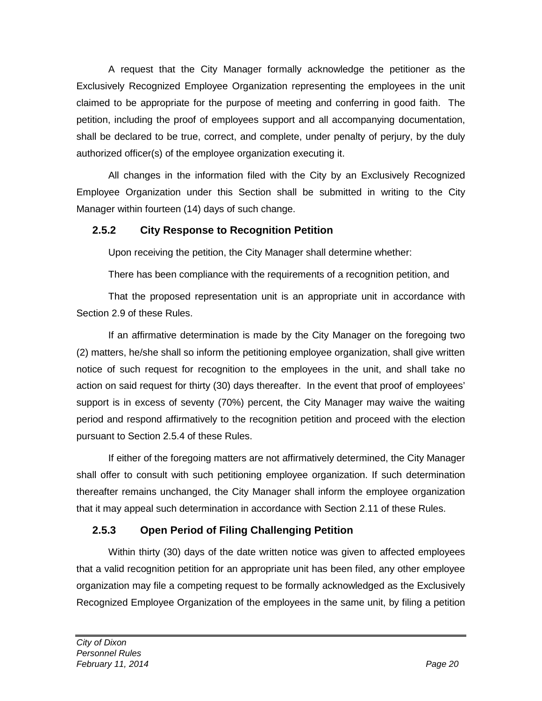A request that the City Manager formally acknowledge the petitioner as the Exclusively Recognized Employee Organization representing the employees in the unit claimed to be appropriate for the purpose of meeting and conferring in good faith. The petition, including the proof of employees support and all accompanying documentation, shall be declared to be true, correct, and complete, under penalty of perjury, by the duly authorized officer(s) of the employee organization executing it.

All changes in the information filed with the City by an Exclusively Recognized Employee Organization under this Section shall be submitted in writing to the City Manager within fourteen (14) days of such change.

# <span id="page-30-0"></span>**2.5.2 City Response to Recognition Petition**

Upon receiving the petition, the City Manager shall determine whether:

There has been compliance with the requirements of a recognition petition, and

That the proposed representation unit is an appropriate unit in accordance with Section 2.9 of these Rules.

If an affirmative determination is made by the City Manager on the foregoing two (2) matters, he/she shall so inform the petitioning employee organization, shall give written notice of such request for recognition to the employees in the unit, and shall take no action on said request for thirty (30) days thereafter. In the event that proof of employees' support is in excess of seventy (70%) percent, the City Manager may waive the waiting period and respond affirmatively to the recognition petition and proceed with the election pursuant to Section 2.5.4 of these Rules.

If either of the foregoing matters are not affirmatively determined, the City Manager shall offer to consult with such petitioning employee organization. If such determination thereafter remains unchanged, the City Manager shall inform the employee organization that it may appeal such determination in accordance with Section 2.11 of these Rules.

# <span id="page-30-1"></span>**2.5.3 Open Period of Filing Challenging Petition**

Within thirty (30) days of the date written notice was given to affected employees that a valid recognition petition for an appropriate unit has been filed, any other employee organization may file a competing request to be formally acknowledged as the Exclusively Recognized Employee Organization of the employees in the same unit, by filing a petition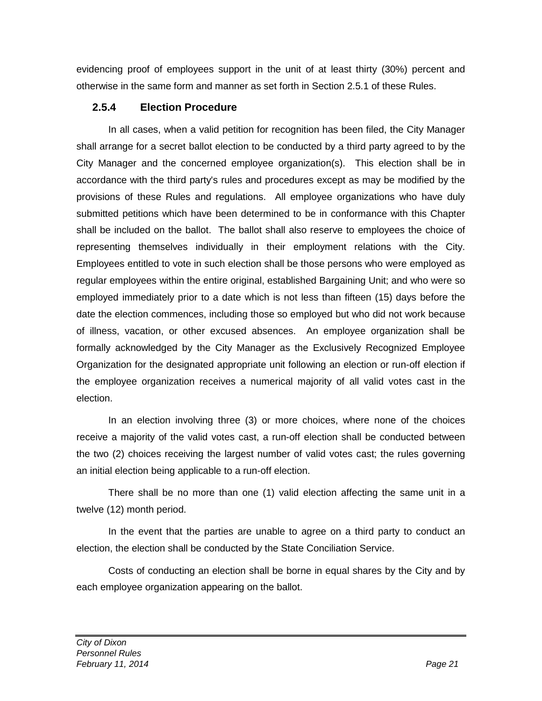evidencing proof of employees support in the unit of at least thirty (30%) percent and otherwise in the same form and manner as set forth in Section 2.5.1 of these Rules.

## <span id="page-31-0"></span>**2.5.4 Election Procedure**

In all cases, when a valid petition for recognition has been filed, the City Manager shall arrange for a secret ballot election to be conducted by a third party agreed to by the City Manager and the concerned employee organization(s). This election shall be in accordance with the third party's rules and procedures except as may be modified by the provisions of these Rules and regulations. All employee organizations who have duly submitted petitions which have been determined to be in conformance with this Chapter shall be included on the ballot. The ballot shall also reserve to employees the choice of representing themselves individually in their employment relations with the City. Employees entitled to vote in such election shall be those persons who were employed as regular employees within the entire original, established Bargaining Unit; and who were so employed immediately prior to a date which is not less than fifteen (15) days before the date the election commences, including those so employed but who did not work because of illness, vacation, or other excused absences. An employee organization shall be formally acknowledged by the City Manager as the Exclusively Recognized Employee Organization for the designated appropriate unit following an election or run-off election if the employee organization receives a numerical majority of all valid votes cast in the election.

In an election involving three (3) or more choices, where none of the choices receive a majority of the valid votes cast, a run-off election shall be conducted between the two (2) choices receiving the largest number of valid votes cast; the rules governing an initial election being applicable to a run-off election.

There shall be no more than one (1) valid election affecting the same unit in a twelve (12) month period.

In the event that the parties are unable to agree on a third party to conduct an election, the election shall be conducted by the State Conciliation Service.

Costs of conducting an election shall be borne in equal shares by the City and by each employee organization appearing on the ballot.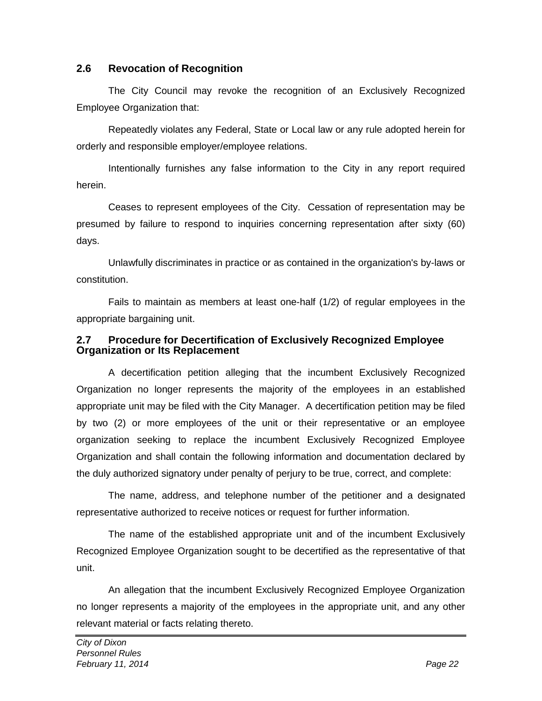#### <span id="page-32-0"></span>**2.6 Revocation of Recognition**

The City Council may revoke the recognition of an Exclusively Recognized Employee Organization that:

Repeatedly violates any Federal, State or Local law or any rule adopted herein for orderly and responsible employer/employee relations.

Intentionally furnishes any false information to the City in any report required herein.

Ceases to represent employees of the City. Cessation of representation may be presumed by failure to respond to inquiries concerning representation after sixty (60) days.

Unlawfully discriminates in practice or as contained in the organization's by-laws or constitution.

Fails to maintain as members at least one-half (1/2) of regular employees in the appropriate bargaining unit.

#### <span id="page-32-1"></span>**2.7 Procedure for Decertification of Exclusively Recognized Employee Organization or Its Replacement**

A decertification petition alleging that the incumbent Exclusively Recognized Organization no longer represents the majority of the employees in an established appropriate unit may be filed with the City Manager. A decertification petition may be filed by two (2) or more employees of the unit or their representative or an employee organization seeking to replace the incumbent Exclusively Recognized Employee Organization and shall contain the following information and documentation declared by the duly authorized signatory under penalty of perjury to be true, correct, and complete:

The name, address, and telephone number of the petitioner and a designated representative authorized to receive notices or request for further information.

The name of the established appropriate unit and of the incumbent Exclusively Recognized Employee Organization sought to be decertified as the representative of that unit.

An allegation that the incumbent Exclusively Recognized Employee Organization no longer represents a majority of the employees in the appropriate unit, and any other relevant material or facts relating thereto.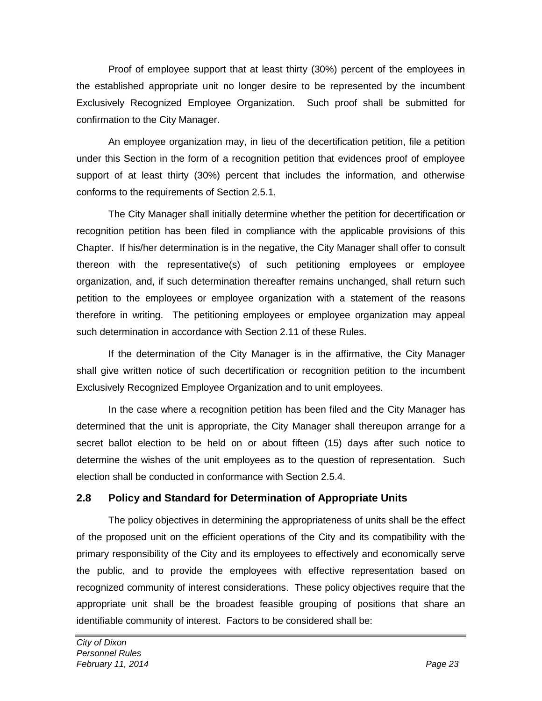Proof of employee support that at least thirty (30%) percent of the employees in the established appropriate unit no longer desire to be represented by the incumbent Exclusively Recognized Employee Organization. Such proof shall be submitted for confirmation to the City Manager.

An employee organization may, in lieu of the decertification petition, file a petition under this Section in the form of a recognition petition that evidences proof of employee support of at least thirty (30%) percent that includes the information, and otherwise conforms to the requirements of Section 2.5.1.

The City Manager shall initially determine whether the petition for decertification or recognition petition has been filed in compliance with the applicable provisions of this Chapter. If his/her determination is in the negative, the City Manager shall offer to consult thereon with the representative(s) of such petitioning employees or employee organization, and, if such determination thereafter remains unchanged, shall return such petition to the employees or employee organization with a statement of the reasons therefore in writing. The petitioning employees or employee organization may appeal such determination in accordance with Section 2.11 of these Rules.

If the determination of the City Manager is in the affirmative, the City Manager shall give written notice of such decertification or recognition petition to the incumbent Exclusively Recognized Employee Organization and to unit employees.

In the case where a recognition petition has been filed and the City Manager has determined that the unit is appropriate, the City Manager shall thereupon arrange for a secret ballot election to be held on or about fifteen (15) days after such notice to determine the wishes of the unit employees as to the question of representation. Such election shall be conducted in conformance with Section 2.5.4.

#### <span id="page-33-0"></span>**2.8 Policy and Standard for Determination of Appropriate Units**

The policy objectives in determining the appropriateness of units shall be the effect of the proposed unit on the efficient operations of the City and its compatibility with the primary responsibility of the City and its employees to effectively and economically serve the public, and to provide the employees with effective representation based on recognized community of interest considerations. These policy objectives require that the appropriate unit shall be the broadest feasible grouping of positions that share an identifiable community of interest. Factors to be considered shall be: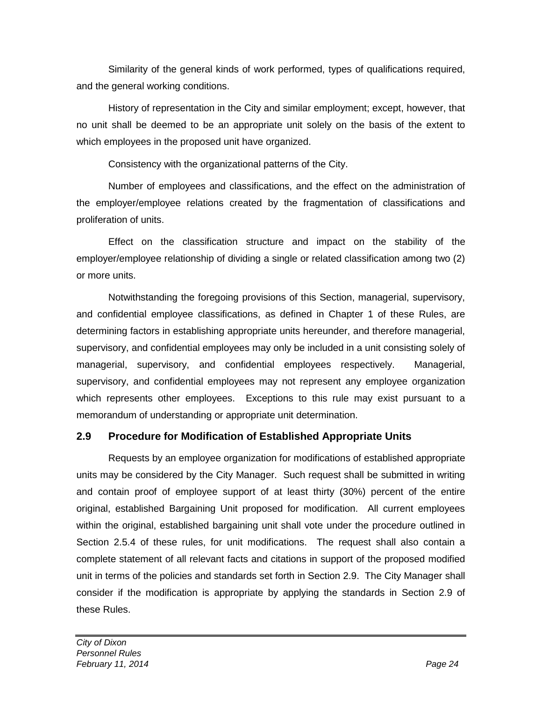Similarity of the general kinds of work performed, types of qualifications required, and the general working conditions.

History of representation in the City and similar employment; except, however, that no unit shall be deemed to be an appropriate unit solely on the basis of the extent to which employees in the proposed unit have organized.

Consistency with the organizational patterns of the City.

Number of employees and classifications, and the effect on the administration of the employer/employee relations created by the fragmentation of classifications and proliferation of units.

Effect on the classification structure and impact on the stability of the employer/employee relationship of dividing a single or related classification among two (2) or more units.

Notwithstanding the foregoing provisions of this Section, managerial, supervisory, and confidential employee classifications, as defined in Chapter 1 of these Rules, are determining factors in establishing appropriate units hereunder, and therefore managerial, supervisory, and confidential employees may only be included in a unit consisting solely of managerial, supervisory, and confidential employees respectively. Managerial, supervisory, and confidential employees may not represent any employee organization which represents other employees. Exceptions to this rule may exist pursuant to a memorandum of understanding or appropriate unit determination.

# <span id="page-34-0"></span>**2.9 Procedure for Modification of Established Appropriate Units**

Requests by an employee organization for modifications of established appropriate units may be considered by the City Manager. Such request shall be submitted in writing and contain proof of employee support of at least thirty (30%) percent of the entire original, established Bargaining Unit proposed for modification. All current employees within the original, established bargaining unit shall vote under the procedure outlined in Section 2.5.4 of these rules, for unit modifications. The request shall also contain a complete statement of all relevant facts and citations in support of the proposed modified unit in terms of the policies and standards set forth in Section 2.9. The City Manager shall consider if the modification is appropriate by applying the standards in Section 2.9 of these Rules.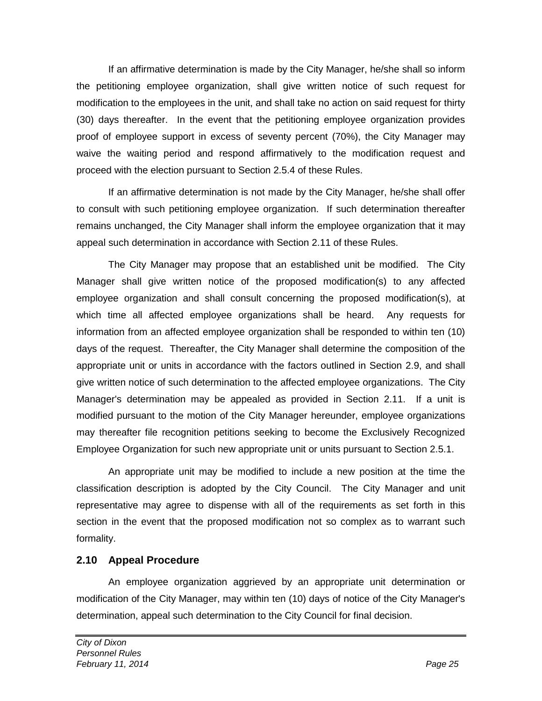If an affirmative determination is made by the City Manager, he/she shall so inform the petitioning employee organization, shall give written notice of such request for modification to the employees in the unit, and shall take no action on said request for thirty (30) days thereafter. In the event that the petitioning employee organization provides proof of employee support in excess of seventy percent (70%), the City Manager may waive the waiting period and respond affirmatively to the modification request and proceed with the election pursuant to Section 2.5.4 of these Rules.

If an affirmative determination is not made by the City Manager, he/she shall offer to consult with such petitioning employee organization. If such determination thereafter remains unchanged, the City Manager shall inform the employee organization that it may appeal such determination in accordance with Section 2.11 of these Rules.

The City Manager may propose that an established unit be modified. The City Manager shall give written notice of the proposed modification(s) to any affected employee organization and shall consult concerning the proposed modification(s), at which time all affected employee organizations shall be heard. Any requests for information from an affected employee organization shall be responded to within ten (10) days of the request. Thereafter, the City Manager shall determine the composition of the appropriate unit or units in accordance with the factors outlined in Section 2.9, and shall give written notice of such determination to the affected employee organizations. The City Manager's determination may be appealed as provided in Section 2.11. If a unit is modified pursuant to the motion of the City Manager hereunder, employee organizations may thereafter file recognition petitions seeking to become the Exclusively Recognized Employee Organization for such new appropriate unit or units pursuant to Section 2.5.1.

An appropriate unit may be modified to include a new position at the time the classification description is adopted by the City Council. The City Manager and unit representative may agree to dispense with all of the requirements as set forth in this section in the event that the proposed modification not so complex as to warrant such formality.

# <span id="page-35-0"></span>**2.10 Appeal Procedure**

An employee organization aggrieved by an appropriate unit determination or modification of the City Manager, may within ten (10) days of notice of the City Manager's determination, appeal such determination to the City Council for final decision.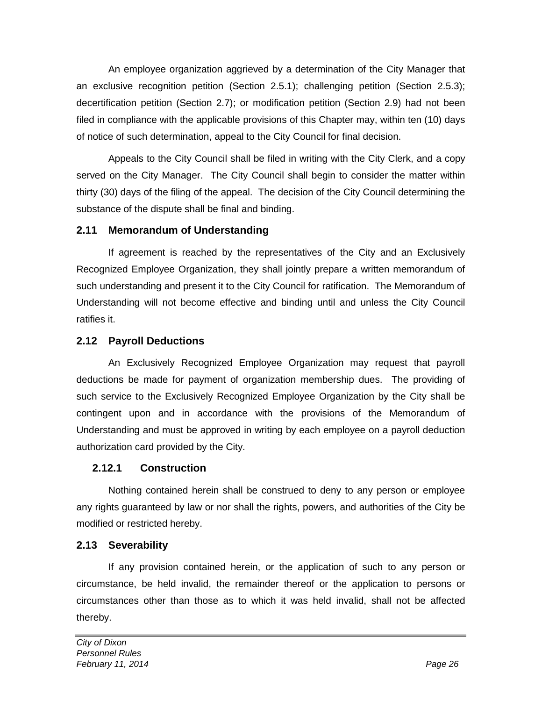An employee organization aggrieved by a determination of the City Manager that an exclusive recognition petition (Section 2.5.1); challenging petition (Section 2.5.3); decertification petition (Section 2.7); or modification petition (Section 2.9) had not been filed in compliance with the applicable provisions of this Chapter may, within ten (10) days of notice of such determination, appeal to the City Council for final decision.

Appeals to the City Council shall be filed in writing with the City Clerk, and a copy served on the City Manager. The City Council shall begin to consider the matter within thirty (30) days of the filing of the appeal. The decision of the City Council determining the substance of the dispute shall be final and binding.

### **2.11 Memorandum of Understanding**

If agreement is reached by the representatives of the City and an Exclusively Recognized Employee Organization, they shall jointly prepare a written memorandum of such understanding and present it to the City Council for ratification. The Memorandum of Understanding will not become effective and binding until and unless the City Council ratifies it.

### **2.12 Payroll Deductions**

An Exclusively Recognized Employee Organization may request that payroll deductions be made for payment of organization membership dues. The providing of such service to the Exclusively Recognized Employee Organization by the City shall be contingent upon and in accordance with the provisions of the Memorandum of Understanding and must be approved in writing by each employee on a payroll deduction authorization card provided by the City.

#### **2.12.1 Construction**

Nothing contained herein shall be construed to deny to any person or employee any rights guaranteed by law or nor shall the rights, powers, and authorities of the City be modified or restricted hereby.

# **2.13 Severability**

If any provision contained herein, or the application of such to any person or circumstance, be held invalid, the remainder thereof or the application to persons or circumstances other than those as to which it was held invalid, shall not be affected thereby.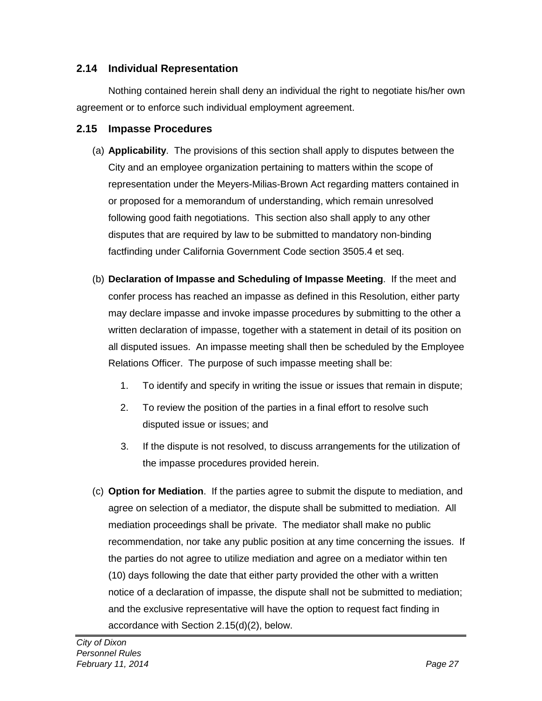#### **2.14 Individual Representation**

Nothing contained herein shall deny an individual the right to negotiate his/her own agreement or to enforce such individual employment agreement.

#### **2.15 Impasse Procedures**

- (a) **Applicability**. The provisions of this section shall apply to disputes between the City and an employee organization pertaining to matters within the scope of representation under the Meyers-Milias-Brown Act regarding matters contained in or proposed for a memorandum of understanding, which remain unresolved following good faith negotiations. This section also shall apply to any other disputes that are required by law to be submitted to mandatory non-binding factfinding under California Government Code section 3505.4 et seq.
- (b) **Declaration of Impasse and Scheduling of Impasse Meeting**. If the meet and confer process has reached an impasse as defined in this Resolution, either party may declare impasse and invoke impasse procedures by submitting to the other a written declaration of impasse, together with a statement in detail of its position on all disputed issues. An impasse meeting shall then be scheduled by the Employee Relations Officer. The purpose of such impasse meeting shall be:
	- 1. To identify and specify in writing the issue or issues that remain in dispute;
	- 2. To review the position of the parties in a final effort to resolve such disputed issue or issues; and
	- 3. If the dispute is not resolved, to discuss arrangements for the utilization of the impasse procedures provided herein.
- (c) **Option for Mediation**. If the parties agree to submit the dispute to mediation, and agree on selection of a mediator, the dispute shall be submitted to mediation. All mediation proceedings shall be private. The mediator shall make no public recommendation, nor take any public position at any time concerning the issues. If the parties do not agree to utilize mediation and agree on a mediator within ten (10) days following the date that either party provided the other with a written notice of a declaration of impasse, the dispute shall not be submitted to mediation; and the exclusive representative will have the option to request fact finding in accordance with Section 2.15(d)(2), below.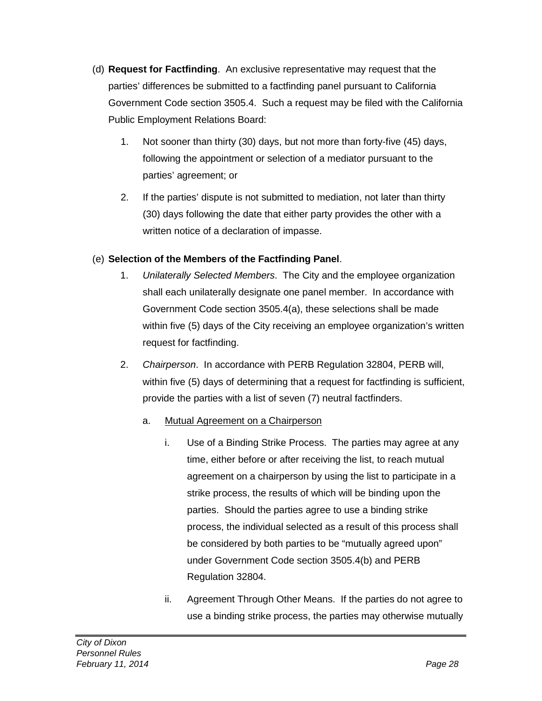- (d) **Request for Factfinding**. An exclusive representative may request that the parties' differences be submitted to a factfinding panel pursuant to California Government Code section 3505.4. Such a request may be filed with the California Public Employment Relations Board:
	- 1. Not sooner than thirty (30) days, but not more than forty-five (45) days, following the appointment or selection of a mediator pursuant to the parties' agreement; or
	- 2. If the parties' dispute is not submitted to mediation, not later than thirty (30) days following the date that either party provides the other with a written notice of a declaration of impasse.

#### (e) **Selection of the Members of the Factfinding Panel**.

- 1. *Unilaterally Selected Members*. The City and the employee organization shall each unilaterally designate one panel member. In accordance with Government Code section 3505.4(a), these selections shall be made within five (5) days of the City receiving an employee organization's written request for factfinding.
- 2. *Chairperson*. In accordance with PERB Regulation 32804, PERB will, within five (5) days of determining that a request for factfinding is sufficient, provide the parties with a list of seven (7) neutral factfinders.
	- a. Mutual Agreement on a Chairperson
		- i. Use of a Binding Strike Process. The parties may agree at any time, either before or after receiving the list, to reach mutual agreement on a chairperson by using the list to participate in a strike process, the results of which will be binding upon the parties. Should the parties agree to use a binding strike process, the individual selected as a result of this process shall be considered by both parties to be "mutually agreed upon" under Government Code section 3505.4(b) and PERB Regulation 32804.
		- ii. Agreement Through Other Means. If the parties do not agree to use a binding strike process, the parties may otherwise mutually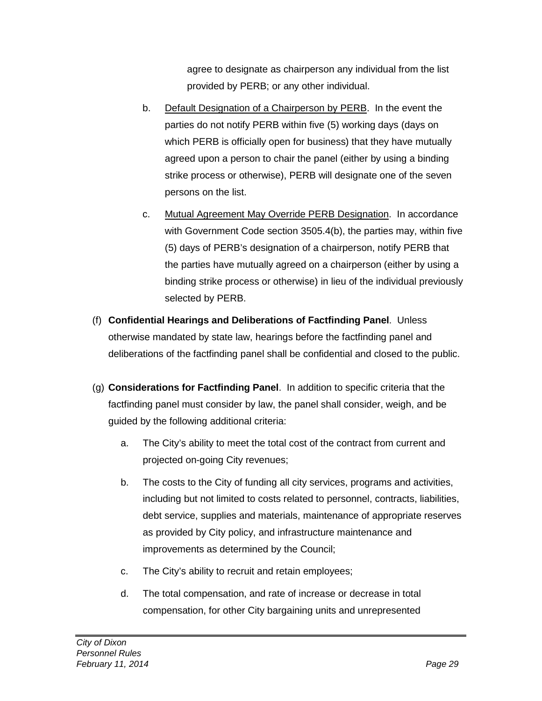agree to designate as chairperson any individual from the list provided by PERB; or any other individual.

- b. Default Designation of a Chairperson by PERB. In the event the parties do not notify PERB within five (5) working days (days on which PERB is officially open for business) that they have mutually agreed upon a person to chair the panel (either by using a binding strike process or otherwise), PERB will designate one of the seven persons on the list.
- c. Mutual Agreement May Override PERB Designation. In accordance with Government Code section 3505.4(b), the parties may, within five (5) days of PERB's designation of a chairperson, notify PERB that the parties have mutually agreed on a chairperson (either by using a binding strike process or otherwise) in lieu of the individual previously selected by PERB.
- (f) **Confidential Hearings and Deliberations of Factfinding Panel**. Unless otherwise mandated by state law, hearings before the factfinding panel and deliberations of the factfinding panel shall be confidential and closed to the public.
- (g) **Considerations for Factfinding Panel**. In addition to specific criteria that the factfinding panel must consider by law, the panel shall consider, weigh, and be guided by the following additional criteria:
	- a. The City's ability to meet the total cost of the contract from current and projected on-going City revenues;
	- b. The costs to the City of funding all city services, programs and activities, including but not limited to costs related to personnel, contracts, liabilities, debt service, supplies and materials, maintenance of appropriate reserves as provided by City policy, and infrastructure maintenance and improvements as determined by the Council;
	- c. The City's ability to recruit and retain employees;
	- d. The total compensation, and rate of increase or decrease in total compensation, for other City bargaining units and unrepresented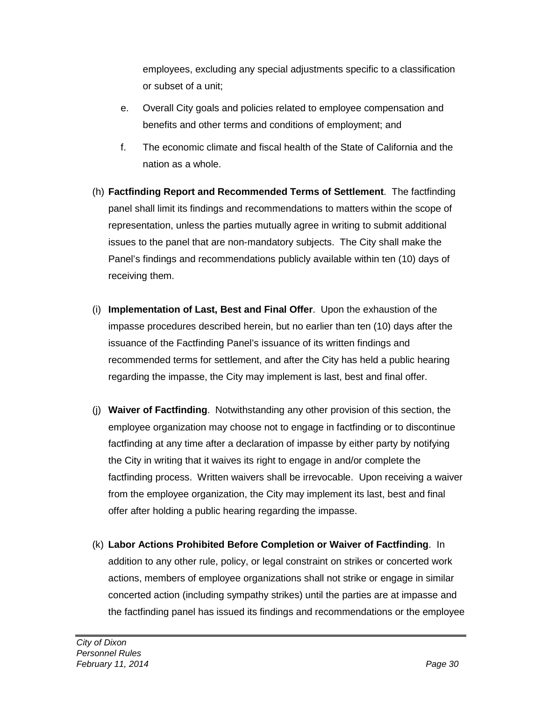employees, excluding any special adjustments specific to a classification or subset of a unit;

- e. Overall City goals and policies related to employee compensation and benefits and other terms and conditions of employment; and
- f. The economic climate and fiscal health of the State of California and the nation as a whole.
- (h) **Factfinding Report and Recommended Terms of Settlement**. The factfinding panel shall limit its findings and recommendations to matters within the scope of representation, unless the parties mutually agree in writing to submit additional issues to the panel that are non-mandatory subjects. The City shall make the Panel's findings and recommendations publicly available within ten (10) days of receiving them.
- (i) **Implementation of Last, Best and Final Offer**. Upon the exhaustion of the impasse procedures described herein, but no earlier than ten (10) days after the issuance of the Factfinding Panel's issuance of its written findings and recommended terms for settlement, and after the City has held a public hearing regarding the impasse, the City may implement is last, best and final offer.
- (j) **Waiver of Factfinding**. Notwithstanding any other provision of this section, the employee organization may choose not to engage in factfinding or to discontinue factfinding at any time after a declaration of impasse by either party by notifying the City in writing that it waives its right to engage in and/or complete the factfinding process. Written waivers shall be irrevocable. Upon receiving a waiver from the employee organization, the City may implement its last, best and final offer after holding a public hearing regarding the impasse.
- (k) **Labor Actions Prohibited Before Completion or Waiver of Factfinding**. In addition to any other rule, policy, or legal constraint on strikes or concerted work actions, members of employee organizations shall not strike or engage in similar concerted action (including sympathy strikes) until the parties are at impasse and the factfinding panel has issued its findings and recommendations or the employee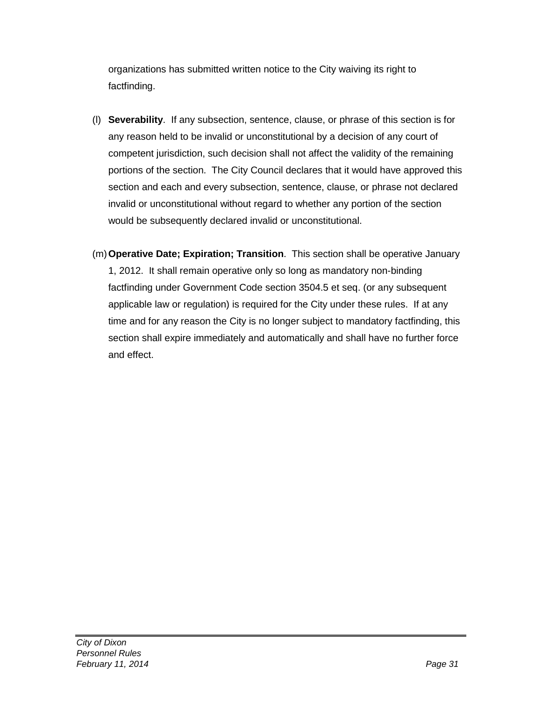organizations has submitted written notice to the City waiving its right to factfinding.

- (l) **Severability**. If any subsection, sentence, clause, or phrase of this section is for any reason held to be invalid or unconstitutional by a decision of any court of competent jurisdiction, such decision shall not affect the validity of the remaining portions of the section. The City Council declares that it would have approved this section and each and every subsection, sentence, clause, or phrase not declared invalid or unconstitutional without regard to whether any portion of the section would be subsequently declared invalid or unconstitutional.
- (m)**Operative Date; Expiration; Transition**. This section shall be operative January 1, 2012. It shall remain operative only so long as mandatory non-binding factfinding under Government Code section 3504.5 et seq. (or any subsequent applicable law or regulation) is required for the City under these rules. If at any time and for any reason the City is no longer subject to mandatory factfinding, this section shall expire immediately and automatically and shall have no further force and effect.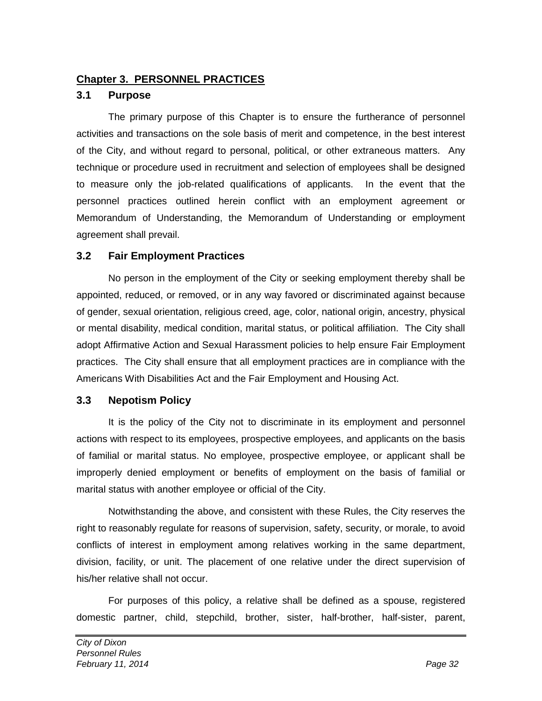#### **Chapter 3. PERSONNEL PRACTICES**

#### **3.1 Purpose**

The primary purpose of this Chapter is to ensure the furtherance of personnel activities and transactions on the sole basis of merit and competence, in the best interest of the City, and without regard to personal, political, or other extraneous matters. Any technique or procedure used in recruitment and selection of employees shall be designed to measure only the job-related qualifications of applicants. In the event that the personnel practices outlined herein conflict with an employment agreement or Memorandum of Understanding, the Memorandum of Understanding or employment agreement shall prevail.

#### **3.2 Fair Employment Practices**

No person in the employment of the City or seeking employment thereby shall be appointed, reduced, or removed, or in any way favored or discriminated against because of gender, sexual orientation, religious creed, age, color, national origin, ancestry, physical or mental disability, medical condition, marital status, or political affiliation. The City shall adopt Affirmative Action and Sexual Harassment policies to help ensure Fair Employment practices. The City shall ensure that all employment practices are in compliance with the Americans With Disabilities Act and the Fair Employment and Housing Act.

#### **3.3 Nepotism Policy**

It is the policy of the City not to discriminate in its employment and personnel actions with respect to its employees, prospective employees, and applicants on the basis of familial or marital status. No employee, prospective employee, or applicant shall be improperly denied employment or benefits of employment on the basis of familial or marital status with another employee or official of the City.

Notwithstanding the above, and consistent with these Rules, the City reserves the right to reasonably regulate for reasons of supervision, safety, security, or morale, to avoid conflicts of interest in employment among relatives working in the same department, division, facility, or unit. The placement of one relative under the direct supervision of his/her relative shall not occur.

For purposes of this policy, a relative shall be defined as a spouse, registered domestic partner, child, stepchild, brother, sister, half-brother, half-sister, parent,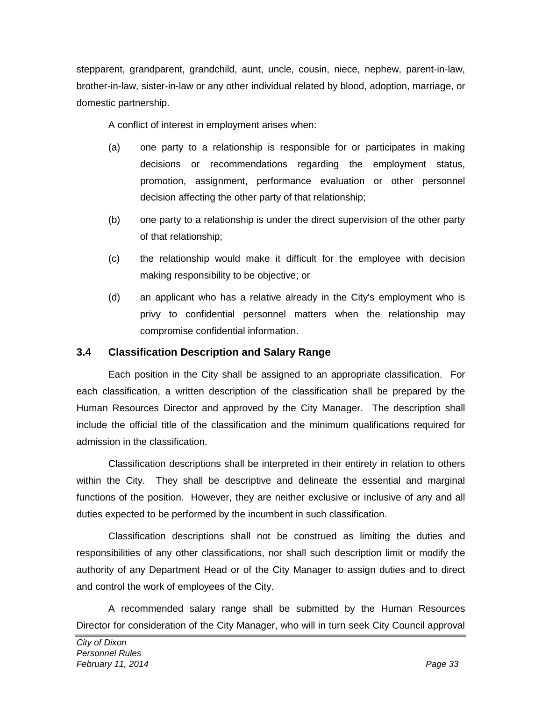stepparent, grandparent, grandchild, aunt, uncle, cousin, niece, nephew, parent-in-law, brother-in-law, sister-in-law or any other individual related by blood, adoption, marriage, or domestic partnership.

A conflict of interest in employment arises when:

- (a) one party to a relationship is responsible for or participates in making decisions or recommendations regarding the employment status, promotion, assignment, performance evaluation or other personnel decision affecting the other party of that relationship;
- (b) one party to a relationship is under the direct supervision of the other party of that relationship;
- (c) the relationship would make it difficult for the employee with decision making responsibility to be objective; or
- (d) an applicant who has a relative already in the City's employment who is privy to confidential personnel matters when the relationship may compromise confidential information.

#### **3.4 Classification Description and Salary Range**

Each position in the City shall be assigned to an appropriate classification. For each classification, a written description of the classification shall be prepared by the Human Resources Director and approved by the City Manager. The description shall include the official title of the classification and the minimum qualifications required for admission in the classification.

Classification descriptions shall be interpreted in their entirety in relation to others within the City. They shall be descriptive and delineate the essential and marginal functions of the position. However, they are neither exclusive or inclusive of any and all duties expected to be performed by the incumbent in such classification.

Classification descriptions shall not be construed as limiting the duties and responsibilities of any other classifications, nor shall such description limit or modify the authority of any Department Head or of the City Manager to assign duties and to direct and control the work of employees of the City.

A recommended salary range shall be submitted by the Human Resources Director for consideration of the City Manager, who will in turn seek City Council approval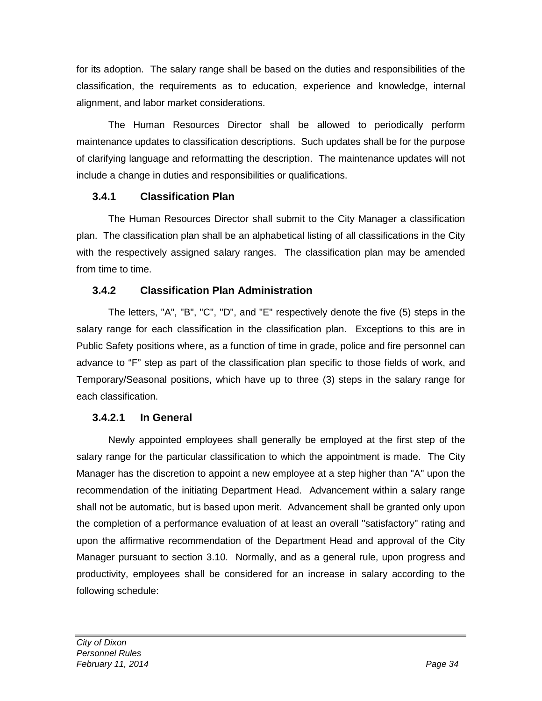for its adoption. The salary range shall be based on the duties and responsibilities of the classification, the requirements as to education, experience and knowledge, internal alignment, and labor market considerations.

The Human Resources Director shall be allowed to periodically perform maintenance updates to classification descriptions. Such updates shall be for the purpose of clarifying language and reformatting the description. The maintenance updates will not include a change in duties and responsibilities or qualifications.

### **3.4.1 Classification Plan**

The Human Resources Director shall submit to the City Manager a classification plan. The classification plan shall be an alphabetical listing of all classifications in the City with the respectively assigned salary ranges. The classification plan may be amended from time to time.

# **3.4.2 Classification Plan Administration**

The letters, "A", "B", "C", "D", and "E" respectively denote the five (5) steps in the salary range for each classification in the classification plan. Exceptions to this are in Public Safety positions where, as a function of time in grade, police and fire personnel can advance to "F" step as part of the classification plan specific to those fields of work, and Temporary/Seasonal positions, which have up to three (3) steps in the salary range for each classification.

# **3.4.2.1 In General**

Newly appointed employees shall generally be employed at the first step of the salary range for the particular classification to which the appointment is made. The City Manager has the discretion to appoint a new employee at a step higher than "A" upon the recommendation of the initiating Department Head. Advancement within a salary range shall not be automatic, but is based upon merit. Advancement shall be granted only upon the completion of a performance evaluation of at least an overall "satisfactory" rating and upon the affirmative recommendation of the Department Head and approval of the City Manager pursuant to section 3.10. Normally, and as a general rule, upon progress and productivity, employees shall be considered for an increase in salary according to the following schedule: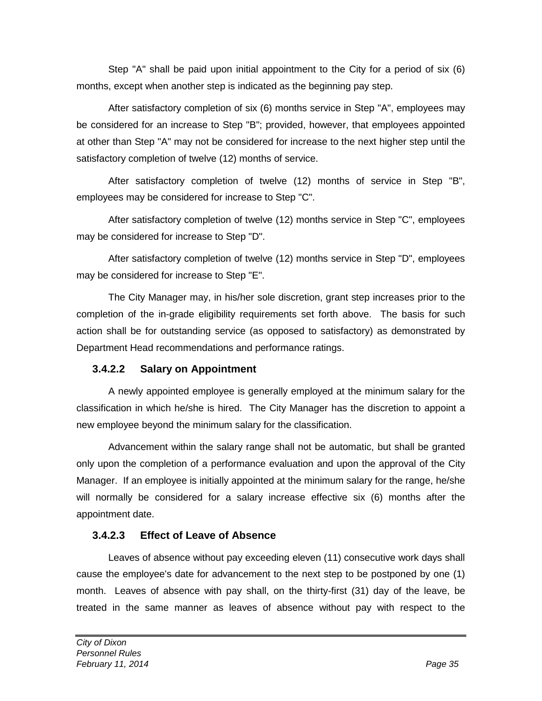Step "A" shall be paid upon initial appointment to the City for a period of six (6) months, except when another step is indicated as the beginning pay step.

After satisfactory completion of six (6) months service in Step "A", employees may be considered for an increase to Step "B"; provided, however, that employees appointed at other than Step "A" may not be considered for increase to the next higher step until the satisfactory completion of twelve (12) months of service.

After satisfactory completion of twelve (12) months of service in Step "B", employees may be considered for increase to Step "C".

After satisfactory completion of twelve (12) months service in Step "C", employees may be considered for increase to Step "D".

After satisfactory completion of twelve (12) months service in Step "D", employees may be considered for increase to Step "E".

The City Manager may, in his/her sole discretion, grant step increases prior to the completion of the in-grade eligibility requirements set forth above. The basis for such action shall be for outstanding service (as opposed to satisfactory) as demonstrated by Department Head recommendations and performance ratings.

#### **3.4.2.2 Salary on Appointment**

A newly appointed employee is generally employed at the minimum salary for the classification in which he/she is hired. The City Manager has the discretion to appoint a new employee beyond the minimum salary for the classification.

Advancement within the salary range shall not be automatic, but shall be granted only upon the completion of a performance evaluation and upon the approval of the City Manager. If an employee is initially appointed at the minimum salary for the range, he/she will normally be considered for a salary increase effective six (6) months after the appointment date.

#### **3.4.2.3 Effect of Leave of Absence**

Leaves of absence without pay exceeding eleven (11) consecutive work days shall cause the employee's date for advancement to the next step to be postponed by one (1) month. Leaves of absence with pay shall, on the thirty-first (31) day of the leave, be treated in the same manner as leaves of absence without pay with respect to the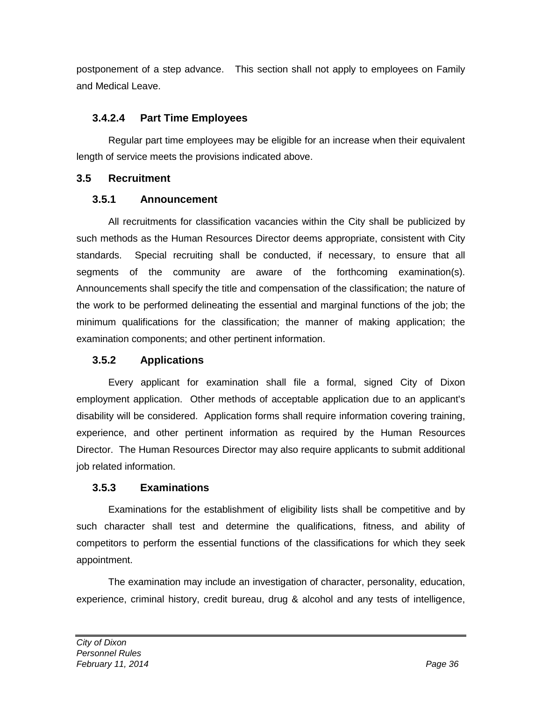postponement of a step advance. This section shall not apply to employees on Family and Medical Leave.

#### **3.4.2.4 Part Time Employees**

Regular part time employees may be eligible for an increase when their equivalent length of service meets the provisions indicated above.

#### **3.5 Recruitment**

### **3.5.1 Announcement**

All recruitments for classification vacancies within the City shall be publicized by such methods as the Human Resources Director deems appropriate, consistent with City standards. Special recruiting shall be conducted, if necessary, to ensure that all segments of the community are aware of the forthcoming examination(s). Announcements shall specify the title and compensation of the classification; the nature of the work to be performed delineating the essential and marginal functions of the job; the minimum qualifications for the classification; the manner of making application; the examination components; and other pertinent information.

# **3.5.2 Applications**

Every applicant for examination shall file a formal, signed City of Dixon employment application. Other methods of acceptable application due to an applicant's disability will be considered. Application forms shall require information covering training, experience, and other pertinent information as required by the Human Resources Director. The Human Resources Director may also require applicants to submit additional job related information.

# **3.5.3 Examinations**

Examinations for the establishment of eligibility lists shall be competitive and by such character shall test and determine the qualifications, fitness, and ability of competitors to perform the essential functions of the classifications for which they seek appointment.

The examination may include an investigation of character, personality, education, experience, criminal history, credit bureau, drug & alcohol and any tests of intelligence,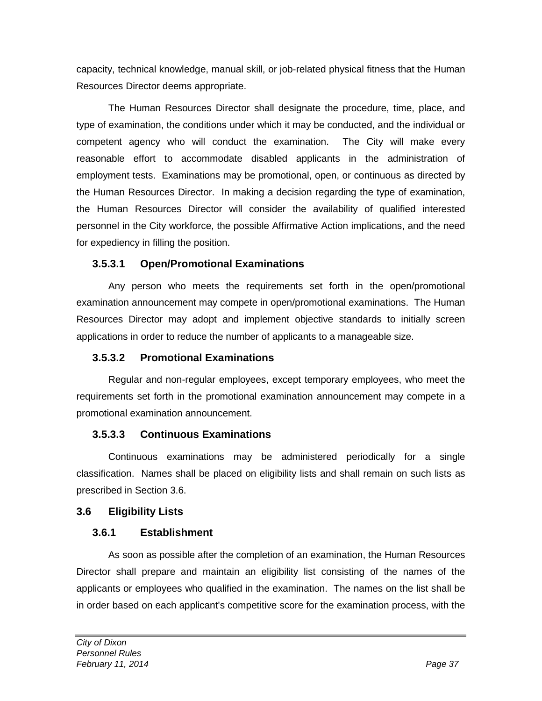capacity, technical knowledge, manual skill, or job-related physical fitness that the Human Resources Director deems appropriate.

The Human Resources Director shall designate the procedure, time, place, and type of examination, the conditions under which it may be conducted, and the individual or competent agency who will conduct the examination. The City will make every reasonable effort to accommodate disabled applicants in the administration of employment tests. Examinations may be promotional, open, or continuous as directed by the Human Resources Director. In making a decision regarding the type of examination, the Human Resources Director will consider the availability of qualified interested personnel in the City workforce, the possible Affirmative Action implications, and the need for expediency in filling the position.

#### **3.5.3.1 Open/Promotional Examinations**

Any person who meets the requirements set forth in the open/promotional examination announcement may compete in open/promotional examinations. The Human Resources Director may adopt and implement objective standards to initially screen applications in order to reduce the number of applicants to a manageable size.

# **3.5.3.2 Promotional Examinations**

Regular and non-regular employees, except temporary employees, who meet the requirements set forth in the promotional examination announcement may compete in a promotional examination announcement.

# **3.5.3.3 Continuous Examinations**

Continuous examinations may be administered periodically for a single classification. Names shall be placed on eligibility lists and shall remain on such lists as prescribed in Section 3.6.

# **3.6 Eligibility Lists**

# **3.6.1 Establishment**

As soon as possible after the completion of an examination, the Human Resources Director shall prepare and maintain an eligibility list consisting of the names of the applicants or employees who qualified in the examination. The names on the list shall be in order based on each applicant's competitive score for the examination process, with the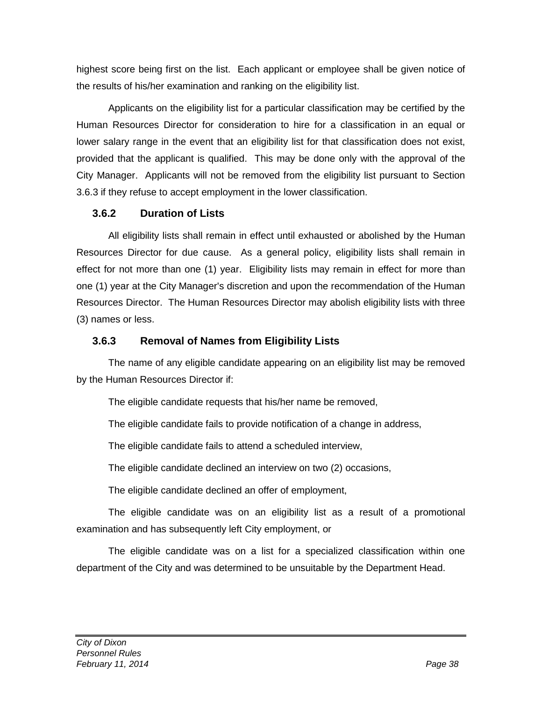highest score being first on the list. Each applicant or employee shall be given notice of the results of his/her examination and ranking on the eligibility list.

Applicants on the eligibility list for a particular classification may be certified by the Human Resources Director for consideration to hire for a classification in an equal or lower salary range in the event that an eligibility list for that classification does not exist, provided that the applicant is qualified. This may be done only with the approval of the City Manager. Applicants will not be removed from the eligibility list pursuant to Section 3.6.3 if they refuse to accept employment in the lower classification.

### **3.6.2 Duration of Lists**

All eligibility lists shall remain in effect until exhausted or abolished by the Human Resources Director for due cause. As a general policy, eligibility lists shall remain in effect for not more than one (1) year. Eligibility lists may remain in effect for more than one (1) year at the City Manager's discretion and upon the recommendation of the Human Resources Director. The Human Resources Director may abolish eligibility lists with three (3) names or less.

# **3.6.3 Removal of Names from Eligibility Lists**

The name of any eligible candidate appearing on an eligibility list may be removed by the Human Resources Director if:

The eligible candidate requests that his/her name be removed,

The eligible candidate fails to provide notification of a change in address,

The eligible candidate fails to attend a scheduled interview,

The eligible candidate declined an interview on two (2) occasions,

The eligible candidate declined an offer of employment,

The eligible candidate was on an eligibility list as a result of a promotional examination and has subsequently left City employment, or

The eligible candidate was on a list for a specialized classification within one department of the City and was determined to be unsuitable by the Department Head.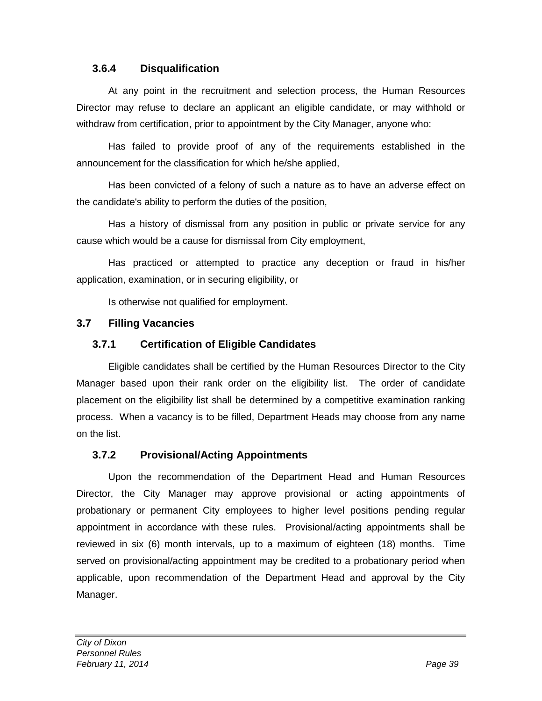#### **3.6.4 Disqualification**

At any point in the recruitment and selection process, the Human Resources Director may refuse to declare an applicant an eligible candidate, or may withhold or withdraw from certification, prior to appointment by the City Manager, anyone who:

Has failed to provide proof of any of the requirements established in the announcement for the classification for which he/she applied,

Has been convicted of a felony of such a nature as to have an adverse effect on the candidate's ability to perform the duties of the position,

Has a history of dismissal from any position in public or private service for any cause which would be a cause for dismissal from City employment,

Has practiced or attempted to practice any deception or fraud in his/her application, examination, or in securing eligibility, or

Is otherwise not qualified for employment.

#### **3.7 Filling Vacancies**

#### **3.7.1 Certification of Eligible Candidates**

Eligible candidates shall be certified by the Human Resources Director to the City Manager based upon their rank order on the eligibility list. The order of candidate placement on the eligibility list shall be determined by a competitive examination ranking process. When a vacancy is to be filled, Department Heads may choose from any name on the list.

#### **3.7.2 Provisional/Acting Appointments**

Upon the recommendation of the Department Head and Human Resources Director, the City Manager may approve provisional or acting appointments of probationary or permanent City employees to higher level positions pending regular appointment in accordance with these rules. Provisional/acting appointments shall be reviewed in six (6) month intervals, up to a maximum of eighteen (18) months. Time served on provisional/acting appointment may be credited to a probationary period when applicable, upon recommendation of the Department Head and approval by the City Manager.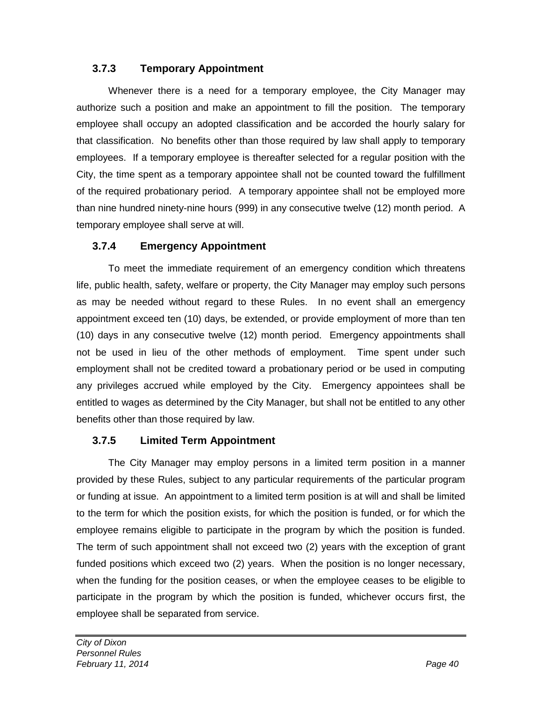# **3.7.3 Temporary Appointment**

Whenever there is a need for a temporary employee, the City Manager may authorize such a position and make an appointment to fill the position. The temporary employee shall occupy an adopted classification and be accorded the hourly salary for that classification. No benefits other than those required by law shall apply to temporary employees. If a temporary employee is thereafter selected for a regular position with the City, the time spent as a temporary appointee shall not be counted toward the fulfillment of the required probationary period. A temporary appointee shall not be employed more than nine hundred ninety-nine hours (999) in any consecutive twelve (12) month period. A temporary employee shall serve at will.

#### **3.7.4 Emergency Appointment**

To meet the immediate requirement of an emergency condition which threatens life, public health, safety, welfare or property, the City Manager may employ such persons as may be needed without regard to these Rules. In no event shall an emergency appointment exceed ten (10) days, be extended, or provide employment of more than ten (10) days in any consecutive twelve (12) month period. Emergency appointments shall not be used in lieu of the other methods of employment. Time spent under such employment shall not be credited toward a probationary period or be used in computing any privileges accrued while employed by the City. Emergency appointees shall be entitled to wages as determined by the City Manager, but shall not be entitled to any other benefits other than those required by law.

#### **3.7.5 Limited Term Appointment**

The City Manager may employ persons in a limited term position in a manner provided by these Rules, subject to any particular requirements of the particular program or funding at issue. An appointment to a limited term position is at will and shall be limited to the term for which the position exists, for which the position is funded, or for which the employee remains eligible to participate in the program by which the position is funded. The term of such appointment shall not exceed two (2) years with the exception of grant funded positions which exceed two (2) years. When the position is no longer necessary, when the funding for the position ceases, or when the employee ceases to be eligible to participate in the program by which the position is funded, whichever occurs first, the employee shall be separated from service.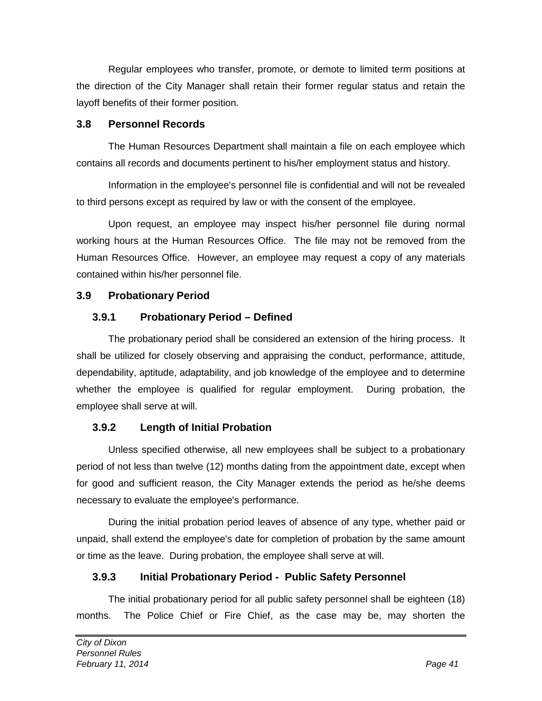Regular employees who transfer, promote, or demote to limited term positions at the direction of the City Manager shall retain their former regular status and retain the layoff benefits of their former position.

#### **3.8 Personnel Records**

The Human Resources Department shall maintain a file on each employee which contains all records and documents pertinent to his/her employment status and history.

Information in the employee's personnel file is confidential and will not be revealed to third persons except as required by law or with the consent of the employee.

Upon request, an employee may inspect his/her personnel file during normal working hours at the Human Resources Office. The file may not be removed from the Human Resources Office. However, an employee may request a copy of any materials contained within his/her personnel file.

#### **3.9 Probationary Period**

### **3.9.1 Probationary Period – Defined**

The probationary period shall be considered an extension of the hiring process. It shall be utilized for closely observing and appraising the conduct, performance, attitude, dependability, aptitude, adaptability, and job knowledge of the employee and to determine whether the employee is qualified for regular employment. During probation, the employee shall serve at will.

# **3.9.2 Length of Initial Probation**

Unless specified otherwise, all new employees shall be subject to a probationary period of not less than twelve (12) months dating from the appointment date, except when for good and sufficient reason, the City Manager extends the period as he/she deems necessary to evaluate the employee's performance.

During the initial probation period leaves of absence of any type, whether paid or unpaid, shall extend the employee's date for completion of probation by the same amount or time as the leave. During probation, the employee shall serve at will.

# **3.9.3 Initial Probationary Period - Public Safety Personnel**

The initial probationary period for all public safety personnel shall be eighteen (18) months. The Police Chief or Fire Chief, as the case may be, may shorten the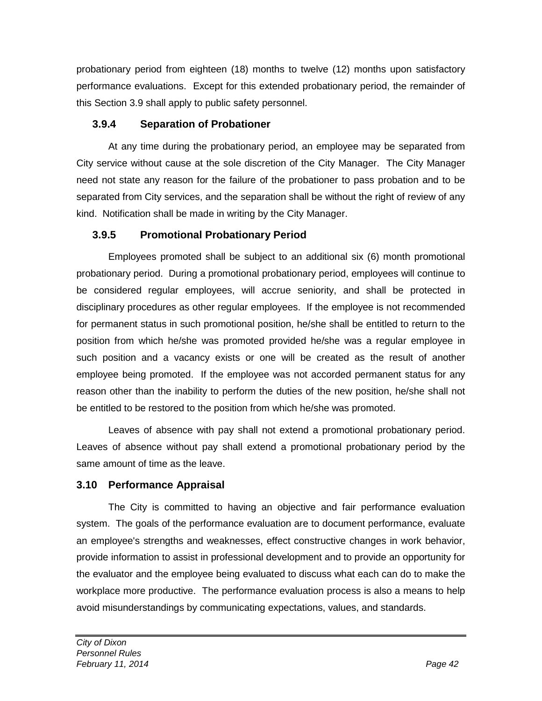probationary period from eighteen (18) months to twelve (12) months upon satisfactory performance evaluations. Except for this extended probationary period, the remainder of this Section 3.9 shall apply to public safety personnel.

# **3.9.4 Separation of Probationer**

At any time during the probationary period, an employee may be separated from City service without cause at the sole discretion of the City Manager. The City Manager need not state any reason for the failure of the probationer to pass probation and to be separated from City services, and the separation shall be without the right of review of any kind. Notification shall be made in writing by the City Manager.

# **3.9.5 Promotional Probationary Period**

Employees promoted shall be subject to an additional six (6) month promotional probationary period. During a promotional probationary period, employees will continue to be considered regular employees, will accrue seniority, and shall be protected in disciplinary procedures as other regular employees. If the employee is not recommended for permanent status in such promotional position, he/she shall be entitled to return to the position from which he/she was promoted provided he/she was a regular employee in such position and a vacancy exists or one will be created as the result of another employee being promoted. If the employee was not accorded permanent status for any reason other than the inability to perform the duties of the new position, he/she shall not be entitled to be restored to the position from which he/she was promoted.

Leaves of absence with pay shall not extend a promotional probationary period. Leaves of absence without pay shall extend a promotional probationary period by the same amount of time as the leave.

# **3.10 Performance Appraisal**

The City is committed to having an objective and fair performance evaluation system. The goals of the performance evaluation are to document performance, evaluate an employee's strengths and weaknesses, effect constructive changes in work behavior, provide information to assist in professional development and to provide an opportunity for the evaluator and the employee being evaluated to discuss what each can do to make the workplace more productive. The performance evaluation process is also a means to help avoid misunderstandings by communicating expectations, values, and standards.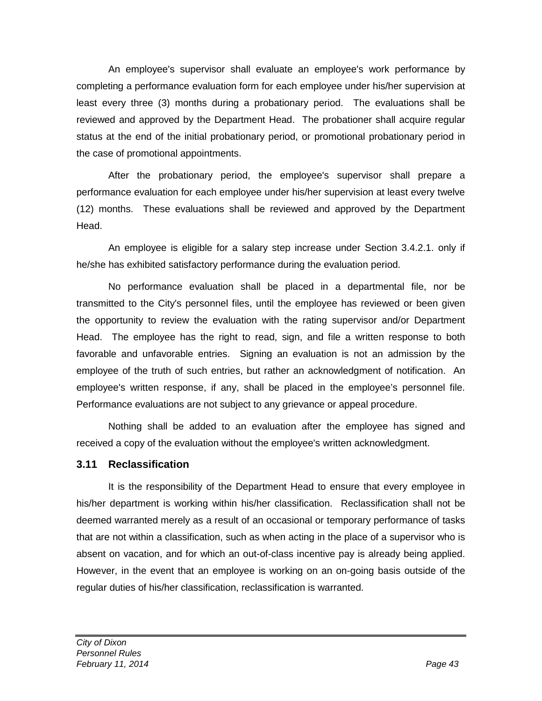An employee's supervisor shall evaluate an employee's work performance by completing a performance evaluation form for each employee under his/her supervision at least every three (3) months during a probationary period. The evaluations shall be reviewed and approved by the Department Head. The probationer shall acquire regular status at the end of the initial probationary period, or promotional probationary period in the case of promotional appointments.

After the probationary period, the employee's supervisor shall prepare a performance evaluation for each employee under his/her supervision at least every twelve (12) months. These evaluations shall be reviewed and approved by the Department Head.

An employee is eligible for a salary step increase under Section 3.4.2.1. only if he/she has exhibited satisfactory performance during the evaluation period.

No performance evaluation shall be placed in a departmental file, nor be transmitted to the City's personnel files, until the employee has reviewed or been given the opportunity to review the evaluation with the rating supervisor and/or Department Head. The employee has the right to read, sign, and file a written response to both favorable and unfavorable entries. Signing an evaluation is not an admission by the employee of the truth of such entries, but rather an acknowledgment of notification. An employee's written response, if any, shall be placed in the employee's personnel file. Performance evaluations are not subject to any grievance or appeal procedure.

Nothing shall be added to an evaluation after the employee has signed and received a copy of the evaluation without the employee's written acknowledgment.

#### **3.11 Reclassification**

It is the responsibility of the Department Head to ensure that every employee in his/her department is working within his/her classification. Reclassification shall not be deemed warranted merely as a result of an occasional or temporary performance of tasks that are not within a classification, such as when acting in the place of a supervisor who is absent on vacation, and for which an out-of-class incentive pay is already being applied. However, in the event that an employee is working on an on-going basis outside of the regular duties of his/her classification, reclassification is warranted.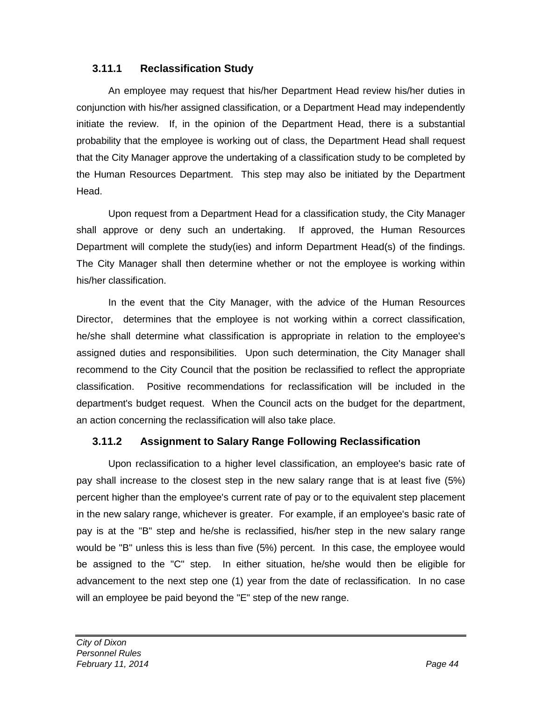#### **3.11.1 Reclassification Study**

An employee may request that his/her Department Head review his/her duties in conjunction with his/her assigned classification, or a Department Head may independently initiate the review. If, in the opinion of the Department Head, there is a substantial probability that the employee is working out of class, the Department Head shall request that the City Manager approve the undertaking of a classification study to be completed by the Human Resources Department. This step may also be initiated by the Department Head.

Upon request from a Department Head for a classification study, the City Manager shall approve or deny such an undertaking. If approved, the Human Resources Department will complete the study(ies) and inform Department Head(s) of the findings. The City Manager shall then determine whether or not the employee is working within his/her classification.

In the event that the City Manager, with the advice of the Human Resources Director, determines that the employee is not working within a correct classification, he/she shall determine what classification is appropriate in relation to the employee's assigned duties and responsibilities. Upon such determination, the City Manager shall recommend to the City Council that the position be reclassified to reflect the appropriate classification. Positive recommendations for reclassification will be included in the department's budget request. When the Council acts on the budget for the department, an action concerning the reclassification will also take place.

#### **3.11.2 Assignment to Salary Range Following Reclassification**

Upon reclassification to a higher level classification, an employee's basic rate of pay shall increase to the closest step in the new salary range that is at least five (5%) percent higher than the employee's current rate of pay or to the equivalent step placement in the new salary range, whichever is greater. For example, if an employee's basic rate of pay is at the "B" step and he/she is reclassified, his/her step in the new salary range would be "B" unless this is less than five (5%) percent. In this case, the employee would be assigned to the "C" step. In either situation, he/she would then be eligible for advancement to the next step one (1) year from the date of reclassification. In no case will an employee be paid beyond the "E" step of the new range.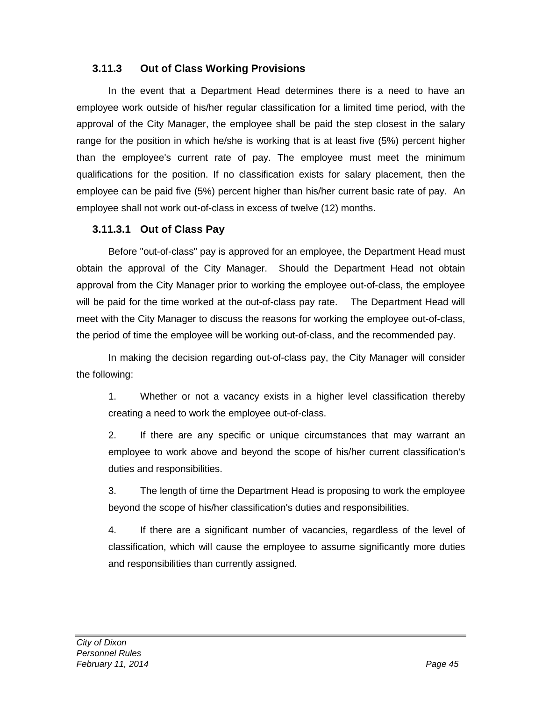### **3.11.3 Out of Class Working Provisions**

In the event that a Department Head determines there is a need to have an employee work outside of his/her regular classification for a limited time period, with the approval of the City Manager, the employee shall be paid the step closest in the salary range for the position in which he/she is working that is at least five (5%) percent higher than the employee's current rate of pay. The employee must meet the minimum qualifications for the position. If no classification exists for salary placement, then the employee can be paid five (5%) percent higher than his/her current basic rate of pay. An employee shall not work out-of-class in excess of twelve (12) months.

### **3.11.3.1 Out of Class Pay**

Before "out-of-class" pay is approved for an employee, the Department Head must obtain the approval of the City Manager. Should the Department Head not obtain approval from the City Manager prior to working the employee out-of-class, the employee will be paid for the time worked at the out-of-class pay rate. The Department Head will meet with the City Manager to discuss the reasons for working the employee out-of-class, the period of time the employee will be working out-of-class, and the recommended pay.

In making the decision regarding out-of-class pay, the City Manager will consider the following:

1. Whether or not a vacancy exists in a higher level classification thereby creating a need to work the employee out-of-class.

2. If there are any specific or unique circumstances that may warrant an employee to work above and beyond the scope of his/her current classification's duties and responsibilities.

3. The length of time the Department Head is proposing to work the employee beyond the scope of his/her classification's duties and responsibilities.

4. If there are a significant number of vacancies, regardless of the level of classification, which will cause the employee to assume significantly more duties and responsibilities than currently assigned.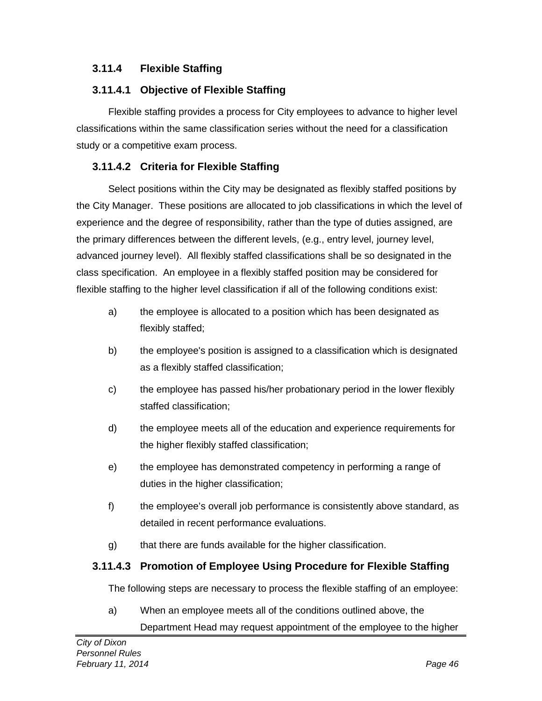# **3.11.4 Flexible Staffing**

### **3.11.4.1 Objective of Flexible Staffing**

Flexible staffing provides a process for City employees to advance to higher level classifications within the same classification series without the need for a classification study or a competitive exam process.

# **3.11.4.2 Criteria for Flexible Staffing**

Select positions within the City may be designated as flexibly staffed positions by the City Manager. These positions are allocated to job classifications in which the level of experience and the degree of responsibility, rather than the type of duties assigned, are the primary differences between the different levels, (e.g., entry level, journey level, advanced journey level). All flexibly staffed classifications shall be so designated in the class specification. An employee in a flexibly staffed position may be considered for flexible staffing to the higher level classification if all of the following conditions exist:

- a) the employee is allocated to a position which has been designated as flexibly staffed;
- b) the employee's position is assigned to a classification which is designated as a flexibly staffed classification;
- c) the employee has passed his/her probationary period in the lower flexibly staffed classification;
- d) the employee meets all of the education and experience requirements for the higher flexibly staffed classification;
- e) the employee has demonstrated competency in performing a range of duties in the higher classification;
- f) the employee's overall job performance is consistently above standard, as detailed in recent performance evaluations.
- g) that there are funds available for the higher classification.

# **3.11.4.3 Promotion of Employee Using Procedure for Flexible Staffing**

The following steps are necessary to process the flexible staffing of an employee:

a) When an employee meets all of the conditions outlined above, the Department Head may request appointment of the employee to the higher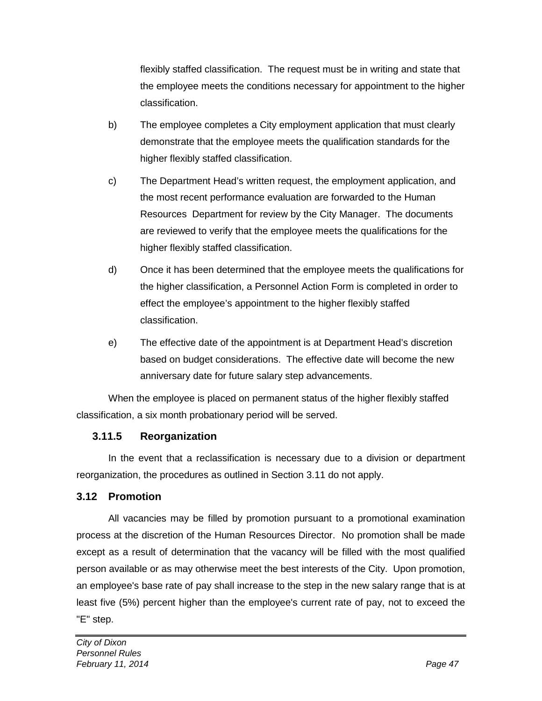flexibly staffed classification. The request must be in writing and state that the employee meets the conditions necessary for appointment to the higher classification.

- b) The employee completes a City employment application that must clearly demonstrate that the employee meets the qualification standards for the higher flexibly staffed classification.
- c) The Department Head's written request, the employment application, and the most recent performance evaluation are forwarded to the Human Resources Department for review by the City Manager. The documents are reviewed to verify that the employee meets the qualifications for the higher flexibly staffed classification.
- d) Once it has been determined that the employee meets the qualifications for the higher classification, a Personnel Action Form is completed in order to effect the employee's appointment to the higher flexibly staffed classification.
- e) The effective date of the appointment is at Department Head's discretion based on budget considerations. The effective date will become the new anniversary date for future salary step advancements.

When the employee is placed on permanent status of the higher flexibly staffed classification, a six month probationary period will be served.

# **3.11.5 Reorganization**

In the event that a reclassification is necessary due to a division or department reorganization, the procedures as outlined in Section 3.11 do not apply.

#### **3.12 Promotion**

All vacancies may be filled by promotion pursuant to a promotional examination process at the discretion of the Human Resources Director. No promotion shall be made except as a result of determination that the vacancy will be filled with the most qualified person available or as may otherwise meet the best interests of the City. Upon promotion, an employee's base rate of pay shall increase to the step in the new salary range that is at least five (5%) percent higher than the employee's current rate of pay, not to exceed the "E" step.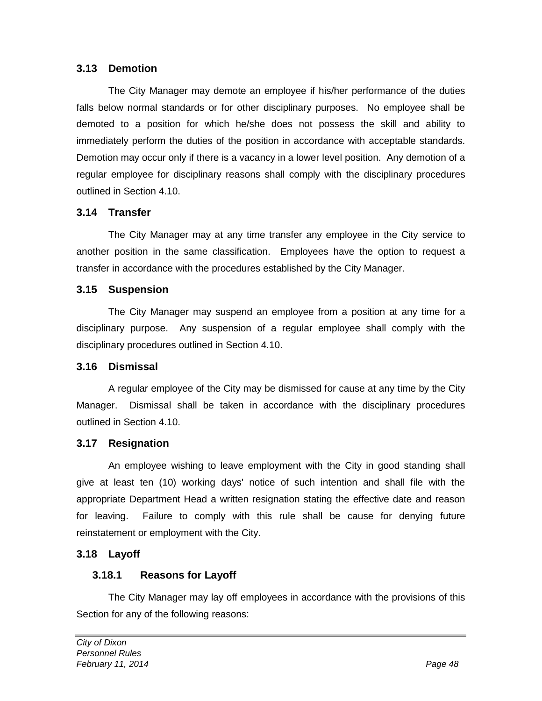#### **3.13 Demotion**

The City Manager may demote an employee if his/her performance of the duties falls below normal standards or for other disciplinary purposes. No employee shall be demoted to a position for which he/she does not possess the skill and ability to immediately perform the duties of the position in accordance with acceptable standards. Demotion may occur only if there is a vacancy in a lower level position. Any demotion of a regular employee for disciplinary reasons shall comply with the disciplinary procedures outlined in Section 4.10.

#### **3.14 Transfer**

The City Manager may at any time transfer any employee in the City service to another position in the same classification. Employees have the option to request a transfer in accordance with the procedures established by the City Manager.

#### **3.15 Suspension**

The City Manager may suspend an employee from a position at any time for a disciplinary purpose. Any suspension of a regular employee shall comply with the disciplinary procedures outlined in Section 4.10.

#### **3.16 Dismissal**

A regular employee of the City may be dismissed for cause at any time by the City Manager. Dismissal shall be taken in accordance with the disciplinary procedures outlined in Section 4.10.

#### **3.17 Resignation**

An employee wishing to leave employment with the City in good standing shall give at least ten (10) working days' notice of such intention and shall file with the appropriate Department Head a written resignation stating the effective date and reason for leaving. Failure to comply with this rule shall be cause for denying future reinstatement or employment with the City.

#### **3.18 Layoff**

#### **3.18.1 Reasons for Layoff**

The City Manager may lay off employees in accordance with the provisions of this Section for any of the following reasons: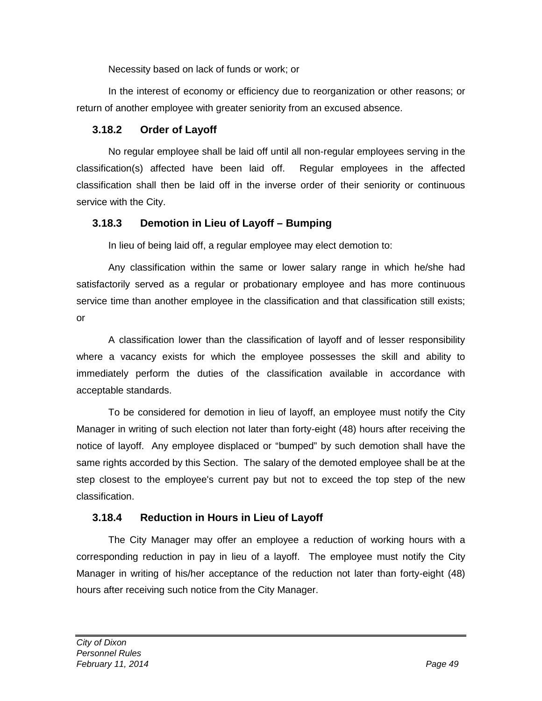Necessity based on lack of funds or work; or

In the interest of economy or efficiency due to reorganization or other reasons; or return of another employee with greater seniority from an excused absence.

#### **3.18.2 Order of Layoff**

No regular employee shall be laid off until all non-regular employees serving in the classification(s) affected have been laid off. Regular employees in the affected classification shall then be laid off in the inverse order of their seniority or continuous service with the City.

### **3.18.3 Demotion in Lieu of Layoff – Bumping**

In lieu of being laid off, a regular employee may elect demotion to:

Any classification within the same or lower salary range in which he/she had satisfactorily served as a regular or probationary employee and has more continuous service time than another employee in the classification and that classification still exists; or

A classification lower than the classification of layoff and of lesser responsibility where a vacancy exists for which the employee possesses the skill and ability to immediately perform the duties of the classification available in accordance with acceptable standards.

To be considered for demotion in lieu of layoff, an employee must notify the City Manager in writing of such election not later than forty-eight (48) hours after receiving the notice of layoff. Any employee displaced or "bumped" by such demotion shall have the same rights accorded by this Section. The salary of the demoted employee shall be at the step closest to the employee's current pay but not to exceed the top step of the new classification.

# **3.18.4 Reduction in Hours in Lieu of Layoff**

The City Manager may offer an employee a reduction of working hours with a corresponding reduction in pay in lieu of a layoff. The employee must notify the City Manager in writing of his/her acceptance of the reduction not later than forty-eight (48) hours after receiving such notice from the City Manager.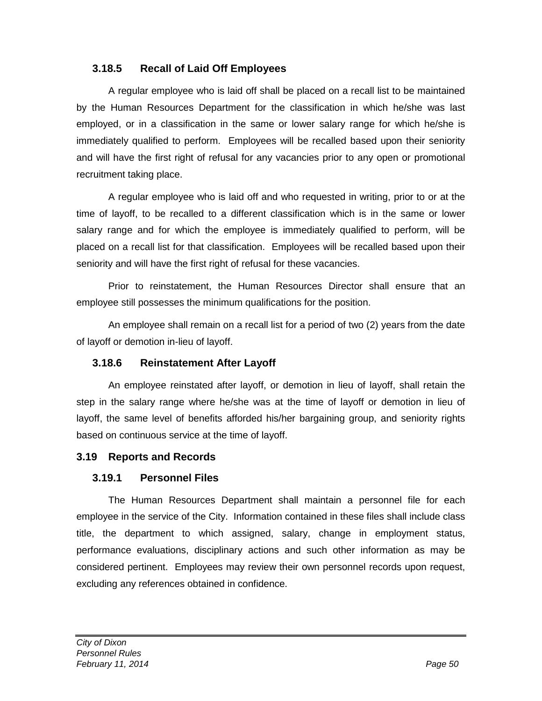#### **3.18.5 Recall of Laid Off Employees**

A regular employee who is laid off shall be placed on a recall list to be maintained by the Human Resources Department for the classification in which he/she was last employed, or in a classification in the same or lower salary range for which he/she is immediately qualified to perform. Employees will be recalled based upon their seniority and will have the first right of refusal for any vacancies prior to any open or promotional recruitment taking place.

A regular employee who is laid off and who requested in writing, prior to or at the time of layoff, to be recalled to a different classification which is in the same or lower salary range and for which the employee is immediately qualified to perform, will be placed on a recall list for that classification. Employees will be recalled based upon their seniority and will have the first right of refusal for these vacancies.

Prior to reinstatement, the Human Resources Director shall ensure that an employee still possesses the minimum qualifications for the position.

An employee shall remain on a recall list for a period of two (2) years from the date of layoff or demotion in-lieu of layoff.

#### **3.18.6 Reinstatement After Layoff**

An employee reinstated after layoff, or demotion in lieu of layoff, shall retain the step in the salary range where he/she was at the time of layoff or demotion in lieu of layoff, the same level of benefits afforded his/her bargaining group, and seniority rights based on continuous service at the time of layoff.

#### **3.19 Reports and Records**

#### **3.19.1 Personnel Files**

The Human Resources Department shall maintain a personnel file for each employee in the service of the City. Information contained in these files shall include class title, the department to which assigned, salary, change in employment status, performance evaluations, disciplinary actions and such other information as may be considered pertinent. Employees may review their own personnel records upon request, excluding any references obtained in confidence.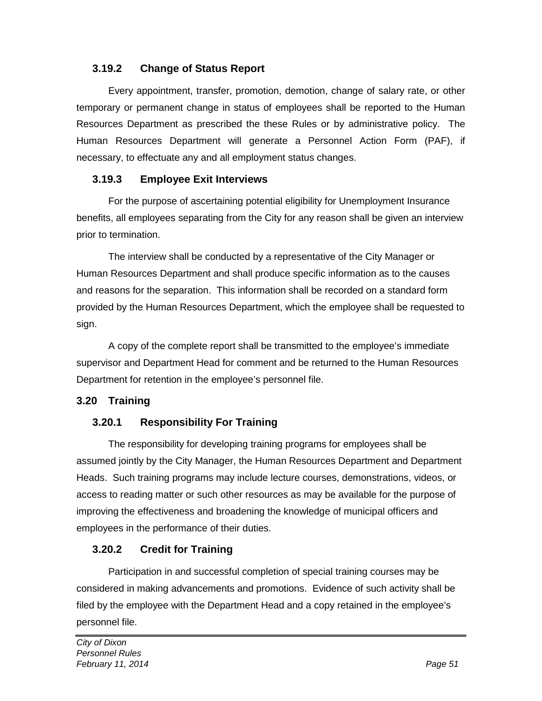#### **3.19.2 Change of Status Report**

Every appointment, transfer, promotion, demotion, change of salary rate, or other temporary or permanent change in status of employees shall be reported to the Human Resources Department as prescribed the these Rules or by administrative policy. The Human Resources Department will generate a Personnel Action Form (PAF), if necessary, to effectuate any and all employment status changes.

#### **3.19.3 Employee Exit Interviews**

For the purpose of ascertaining potential eligibility for Unemployment Insurance benefits, all employees separating from the City for any reason shall be given an interview prior to termination.

The interview shall be conducted by a representative of the City Manager or Human Resources Department and shall produce specific information as to the causes and reasons for the separation. This information shall be recorded on a standard form provided by the Human Resources Department, which the employee shall be requested to sign.

A copy of the complete report shall be transmitted to the employee's immediate supervisor and Department Head for comment and be returned to the Human Resources Department for retention in the employee's personnel file.

#### **3.20 Training**

#### **3.20.1 Responsibility For Training**

The responsibility for developing training programs for employees shall be assumed jointly by the City Manager, the Human Resources Department and Department Heads. Such training programs may include lecture courses, demonstrations, videos, or access to reading matter or such other resources as may be available for the purpose of improving the effectiveness and broadening the knowledge of municipal officers and employees in the performance of their duties.

#### **3.20.2 Credit for Training**

Participation in and successful completion of special training courses may be considered in making advancements and promotions. Evidence of such activity shall be filed by the employee with the Department Head and a copy retained in the employee's personnel file.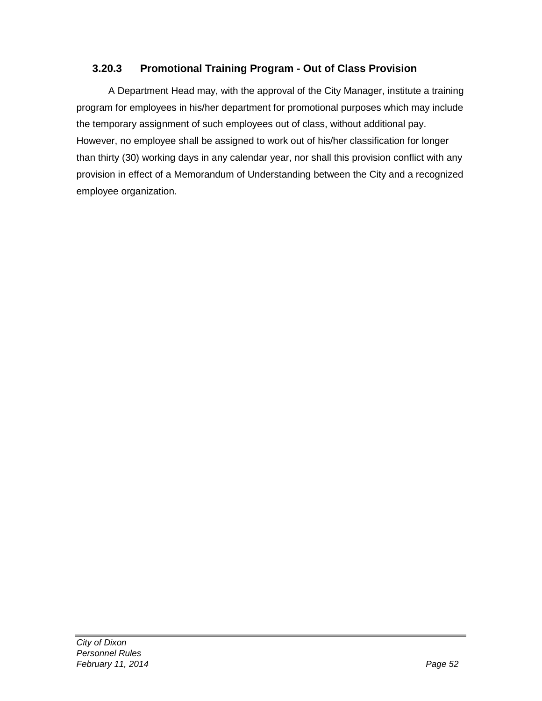#### **3.20.3 Promotional Training Program - Out of Class Provision**

A Department Head may, with the approval of the City Manager, institute a training program for employees in his/her department for promotional purposes which may include the temporary assignment of such employees out of class, without additional pay. However, no employee shall be assigned to work out of his/her classification for longer than thirty (30) working days in any calendar year, nor shall this provision conflict with any provision in effect of a Memorandum of Understanding between the City and a recognized employee organization.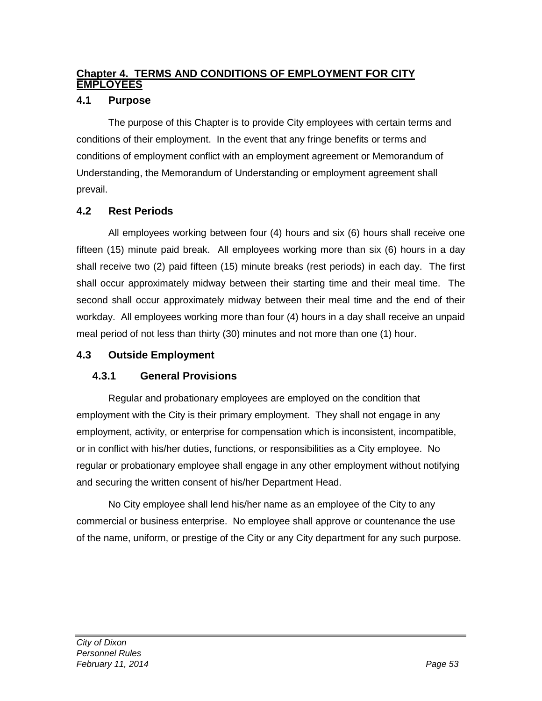### **Chapter 4. TERMS AND CONDITIONS OF EMPLOYMENT FOR CITY EMPLOYEES**

#### **4.1 Purpose**

The purpose of this Chapter is to provide City employees with certain terms and conditions of their employment. In the event that any fringe benefits or terms and conditions of employment conflict with an employment agreement or Memorandum of Understanding, the Memorandum of Understanding or employment agreement shall prevail.

#### **4.2 Rest Periods**

All employees working between four (4) hours and six (6) hours shall receive one fifteen (15) minute paid break. All employees working more than six (6) hours in a day shall receive two (2) paid fifteen (15) minute breaks (rest periods) in each day. The first shall occur approximately midway between their starting time and their meal time. The second shall occur approximately midway between their meal time and the end of their workday. All employees working more than four (4) hours in a day shall receive an unpaid meal period of not less than thirty (30) minutes and not more than one (1) hour.

#### **4.3 Outside Employment**

#### **4.3.1 General Provisions**

Regular and probationary employees are employed on the condition that employment with the City is their primary employment. They shall not engage in any employment, activity, or enterprise for compensation which is inconsistent, incompatible, or in conflict with his/her duties, functions, or responsibilities as a City employee. No regular or probationary employee shall engage in any other employment without notifying and securing the written consent of his/her Department Head.

No City employee shall lend his/her name as an employee of the City to any commercial or business enterprise. No employee shall approve or countenance the use of the name, uniform, or prestige of the City or any City department for any such purpose.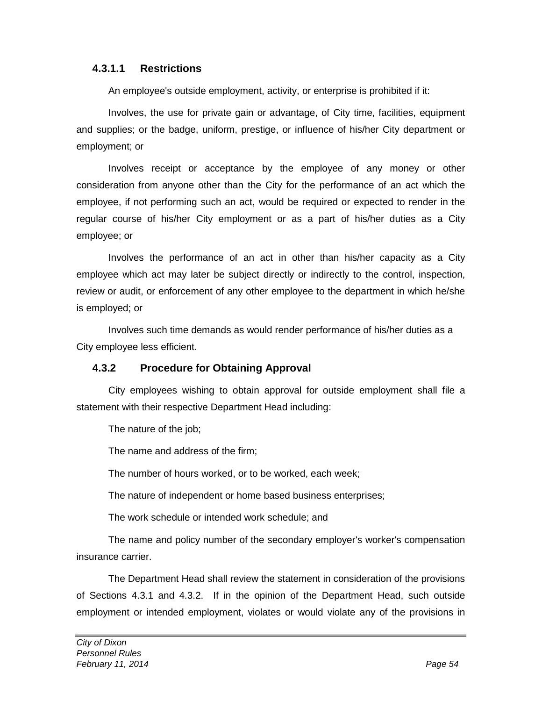#### **4.3.1.1 Restrictions**

An employee's outside employment, activity, or enterprise is prohibited if it:

Involves, the use for private gain or advantage, of City time, facilities, equipment and supplies; or the badge, uniform, prestige, or influence of his/her City department or employment; or

Involves receipt or acceptance by the employee of any money or other consideration from anyone other than the City for the performance of an act which the employee, if not performing such an act, would be required or expected to render in the regular course of his/her City employment or as a part of his/her duties as a City employee; or

Involves the performance of an act in other than his/her capacity as a City employee which act may later be subject directly or indirectly to the control, inspection, review or audit, or enforcement of any other employee to the department in which he/she is employed; or

Involves such time demands as would render performance of his/her duties as a City employee less efficient.

#### **4.3.2 Procedure for Obtaining Approval**

City employees wishing to obtain approval for outside employment shall file a statement with their respective Department Head including:

The nature of the job;

The name and address of the firm;

The number of hours worked, or to be worked, each week;

The nature of independent or home based business enterprises;

The work schedule or intended work schedule; and

The name and policy number of the secondary employer's worker's compensation insurance carrier.

The Department Head shall review the statement in consideration of the provisions of Sections 4.3.1 and 4.3.2. If in the opinion of the Department Head, such outside employment or intended employment, violates or would violate any of the provisions in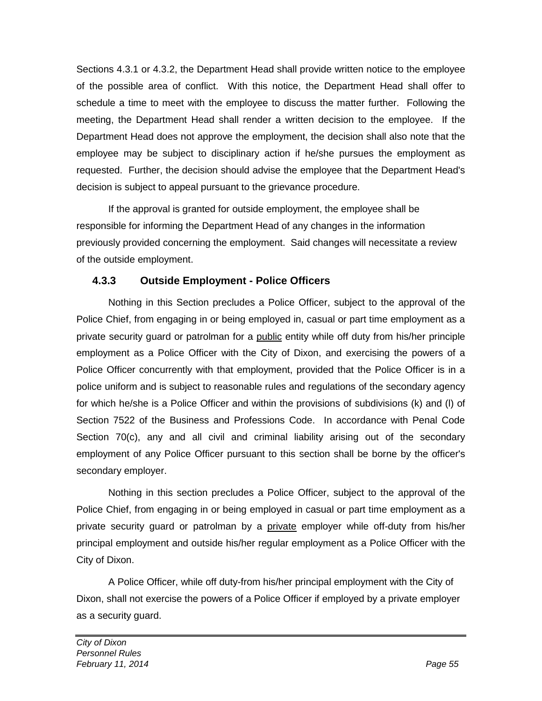Sections 4.3.1 or 4.3.2, the Department Head shall provide written notice to the employee of the possible area of conflict. With this notice, the Department Head shall offer to schedule a time to meet with the employee to discuss the matter further. Following the meeting, the Department Head shall render a written decision to the employee. If the Department Head does not approve the employment, the decision shall also note that the employee may be subject to disciplinary action if he/she pursues the employment as requested. Further, the decision should advise the employee that the Department Head's decision is subject to appeal pursuant to the grievance procedure.

If the approval is granted for outside employment, the employee shall be responsible for informing the Department Head of any changes in the information previously provided concerning the employment. Said changes will necessitate a review of the outside employment.

### **4.3.3 Outside Employment - Police Officers**

Nothing in this Section precludes a Police Officer, subject to the approval of the Police Chief, from engaging in or being employed in, casual or part time employment as a private security guard or patrolman for a public entity while off duty from his/her principle employment as a Police Officer with the City of Dixon, and exercising the powers of a Police Officer concurrently with that employment, provided that the Police Officer is in a police uniform and is subject to reasonable rules and regulations of the secondary agency for which he/she is a Police Officer and within the provisions of subdivisions (k) and (l) of Section 7522 of the Business and Professions Code. In accordance with Penal Code Section 70(c), any and all civil and criminal liability arising out of the secondary employment of any Police Officer pursuant to this section shall be borne by the officer's secondary employer.

Nothing in this section precludes a Police Officer, subject to the approval of the Police Chief, from engaging in or being employed in casual or part time employment as a private security guard or patrolman by a private employer while off-duty from his/her principal employment and outside his/her regular employment as a Police Officer with the City of Dixon.

A Police Officer, while off duty-from his/her principal employment with the City of Dixon, shall not exercise the powers of a Police Officer if employed by a private employer as a security guard.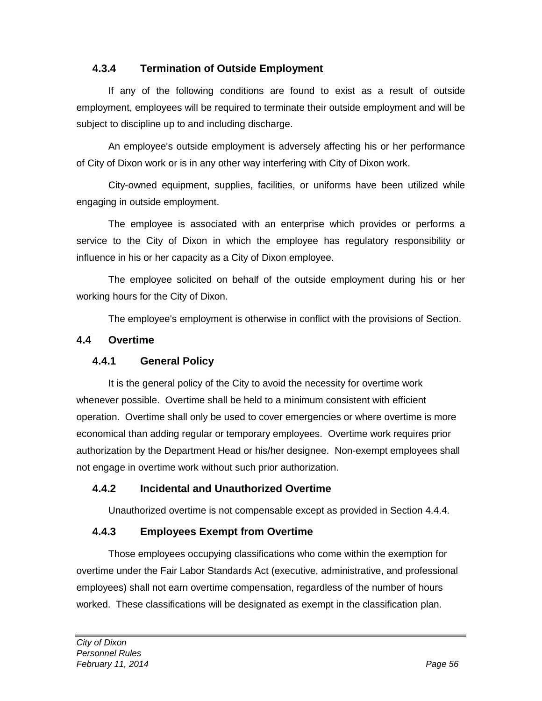### **4.3.4 Termination of Outside Employment**

If any of the following conditions are found to exist as a result of outside employment, employees will be required to terminate their outside employment and will be subject to discipline up to and including discharge.

An employee's outside employment is adversely affecting his or her performance of City of Dixon work or is in any other way interfering with City of Dixon work.

City-owned equipment, supplies, facilities, or uniforms have been utilized while engaging in outside employment.

The employee is associated with an enterprise which provides or performs a service to the City of Dixon in which the employee has regulatory responsibility or influence in his or her capacity as a City of Dixon employee.

The employee solicited on behalf of the outside employment during his or her working hours for the City of Dixon.

The employee's employment is otherwise in conflict with the provisions of Section.

#### **4.4 Overtime**

#### **4.4.1 General Policy**

It is the general policy of the City to avoid the necessity for overtime work whenever possible. Overtime shall be held to a minimum consistent with efficient operation. Overtime shall only be used to cover emergencies or where overtime is more economical than adding regular or temporary employees. Overtime work requires prior authorization by the Department Head or his/her designee. Non-exempt employees shall not engage in overtime work without such prior authorization.

# **4.4.2 Incidental and Unauthorized Overtime**

Unauthorized overtime is not compensable except as provided in Section 4.4.4.

# **4.4.3 Employees Exempt from Overtime**

Those employees occupying classifications who come within the exemption for overtime under the Fair Labor Standards Act (executive, administrative, and professional employees) shall not earn overtime compensation, regardless of the number of hours worked. These classifications will be designated as exempt in the classification plan.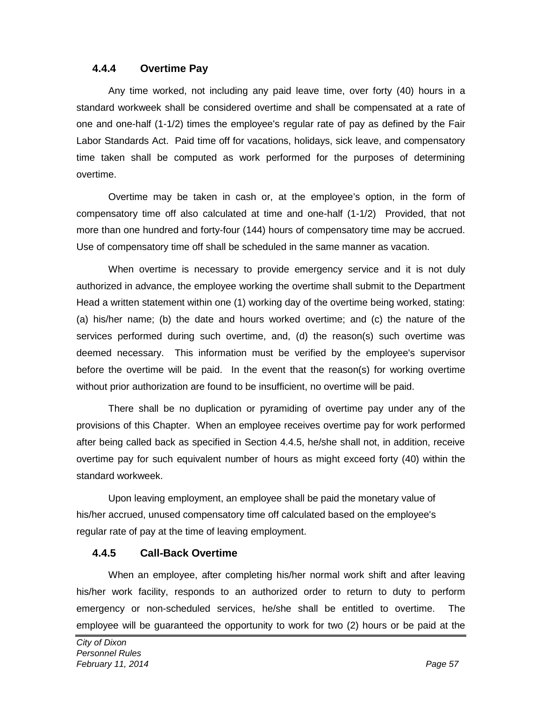#### **4.4.4 Overtime Pay**

Any time worked, not including any paid leave time, over forty (40) hours in a standard workweek shall be considered overtime and shall be compensated at a rate of one and one-half (1-1/2) times the employee's regular rate of pay as defined by the Fair Labor Standards Act. Paid time off for vacations, holidays, sick leave, and compensatory time taken shall be computed as work performed for the purposes of determining overtime.

Overtime may be taken in cash or, at the employee's option, in the form of compensatory time off also calculated at time and one-half (1-1/2) Provided, that not more than one hundred and forty-four (144) hours of compensatory time may be accrued. Use of compensatory time off shall be scheduled in the same manner as vacation.

When overtime is necessary to provide emergency service and it is not duly authorized in advance, the employee working the overtime shall submit to the Department Head a written statement within one (1) working day of the overtime being worked, stating: (a) his/her name; (b) the date and hours worked overtime; and (c) the nature of the services performed during such overtime, and, (d) the reason(s) such overtime was deemed necessary. This information must be verified by the employee's supervisor before the overtime will be paid. In the event that the reason(s) for working overtime without prior authorization are found to be insufficient, no overtime will be paid.

There shall be no duplication or pyramiding of overtime pay under any of the provisions of this Chapter. When an employee receives overtime pay for work performed after being called back as specified in Section 4.4.5, he/she shall not, in addition, receive overtime pay for such equivalent number of hours as might exceed forty (40) within the standard workweek.

Upon leaving employment, an employee shall be paid the monetary value of his/her accrued, unused compensatory time off calculated based on the employee's regular rate of pay at the time of leaving employment.

#### **4.4.5 Call-Back Overtime**

When an employee, after completing his/her normal work shift and after leaving his/her work facility, responds to an authorized order to return to duty to perform emergency or non-scheduled services, he/she shall be entitled to overtime. The employee will be guaranteed the opportunity to work for two (2) hours or be paid at the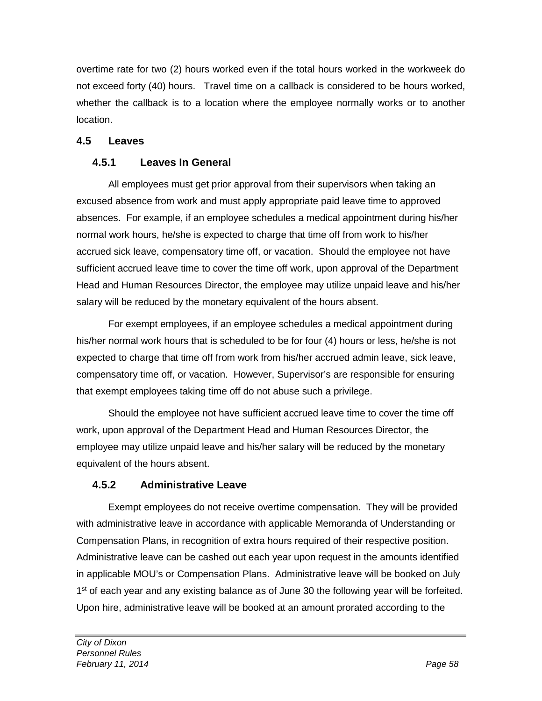overtime rate for two (2) hours worked even if the total hours worked in the workweek do not exceed forty (40) hours. Travel time on a callback is considered to be hours worked, whether the callback is to a location where the employee normally works or to another location.

### **4.5 Leaves**

# **4.5.1 Leaves In General**

All employees must get prior approval from their supervisors when taking an excused absence from work and must apply appropriate paid leave time to approved absences. For example, if an employee schedules a medical appointment during his/her normal work hours, he/she is expected to charge that time off from work to his/her accrued sick leave, compensatory time off, or vacation. Should the employee not have sufficient accrued leave time to cover the time off work, upon approval of the Department Head and Human Resources Director, the employee may utilize unpaid leave and his/her salary will be reduced by the monetary equivalent of the hours absent.

For exempt employees, if an employee schedules a medical appointment during his/her normal work hours that is scheduled to be for four (4) hours or less, he/she is not expected to charge that time off from work from his/her accrued admin leave, sick leave, compensatory time off, or vacation. However, Supervisor's are responsible for ensuring that exempt employees taking time off do not abuse such a privilege.

Should the employee not have sufficient accrued leave time to cover the time off work, upon approval of the Department Head and Human Resources Director, the employee may utilize unpaid leave and his/her salary will be reduced by the monetary equivalent of the hours absent.

# **4.5.2 Administrative Leave**

Exempt employees do not receive overtime compensation. They will be provided with administrative leave in accordance with applicable Memoranda of Understanding or Compensation Plans, in recognition of extra hours required of their respective position. Administrative leave can be cashed out each year upon request in the amounts identified in applicable MOU's or Compensation Plans. Administrative leave will be booked on July 1<sup>st</sup> of each year and any existing balance as of June 30 the following year will be forfeited. Upon hire, administrative leave will be booked at an amount prorated according to the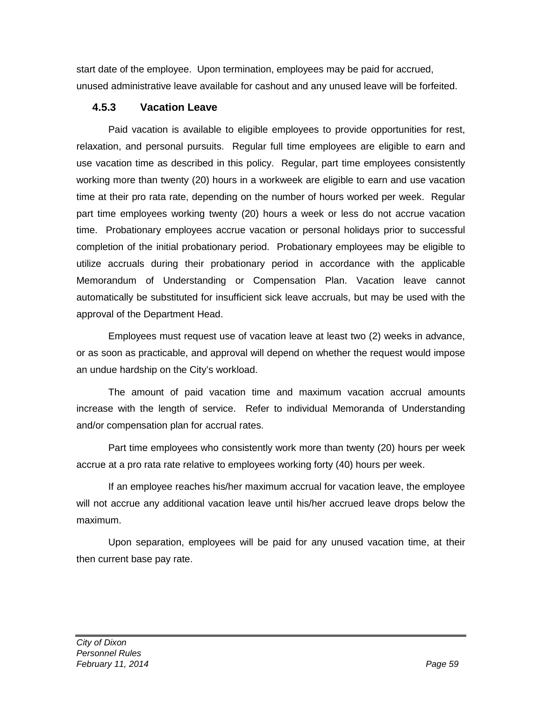start date of the employee. Upon termination, employees may be paid for accrued, unused administrative leave available for cashout and any unused leave will be forfeited.

#### **4.5.3 Vacation Leave**

Paid vacation is available to eligible employees to provide opportunities for rest, relaxation, and personal pursuits. Regular full time employees are eligible to earn and use vacation time as described in this policy. Regular, part time employees consistently working more than twenty (20) hours in a workweek are eligible to earn and use vacation time at their pro rata rate, depending on the number of hours worked per week. Regular part time employees working twenty (20) hours a week or less do not accrue vacation time. Probationary employees accrue vacation or personal holidays prior to successful completion of the initial probationary period. Probationary employees may be eligible to utilize accruals during their probationary period in accordance with the applicable Memorandum of Understanding or Compensation Plan. Vacation leave cannot automatically be substituted for insufficient sick leave accruals, but may be used with the approval of the Department Head.

Employees must request use of vacation leave at least two (2) weeks in advance, or as soon as practicable, and approval will depend on whether the request would impose an undue hardship on the City's workload.

The amount of paid vacation time and maximum vacation accrual amounts increase with the length of service. Refer to individual Memoranda of Understanding and/or compensation plan for accrual rates.

Part time employees who consistently work more than twenty (20) hours per week accrue at a pro rata rate relative to employees working forty (40) hours per week.

If an employee reaches his/her maximum accrual for vacation leave, the employee will not accrue any additional vacation leave until his/her accrued leave drops below the maximum.

Upon separation, employees will be paid for any unused vacation time, at their then current base pay rate.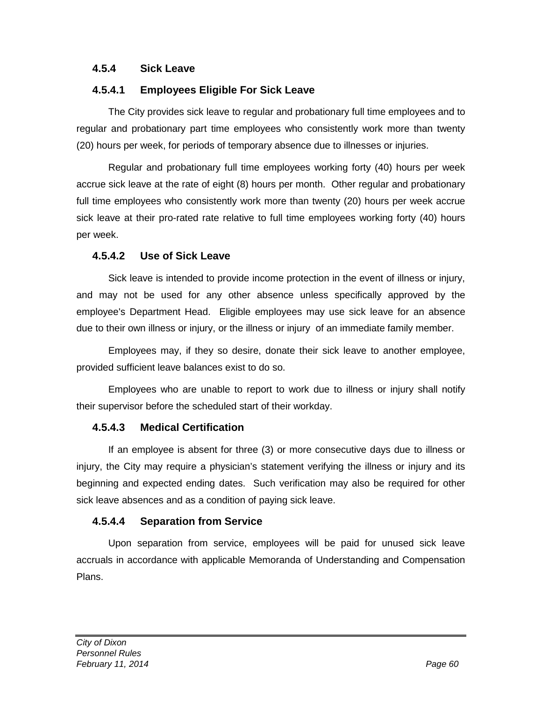#### **4.5.4 Sick Leave**

#### **4.5.4.1 Employees Eligible For Sick Leave**

The City provides sick leave to regular and probationary full time employees and to regular and probationary part time employees who consistently work more than twenty (20) hours per week, for periods of temporary absence due to illnesses or injuries.

Regular and probationary full time employees working forty (40) hours per week accrue sick leave at the rate of eight (8) hours per month. Other regular and probationary full time employees who consistently work more than twenty (20) hours per week accrue sick leave at their pro-rated rate relative to full time employees working forty (40) hours per week.

#### **4.5.4.2 Use of Sick Leave**

Sick leave is intended to provide income protection in the event of illness or injury, and may not be used for any other absence unless specifically approved by the employee's Department Head. Eligible employees may use sick leave for an absence due to their own illness or injury, or the illness or injury of an immediate family member.

Employees may, if they so desire, donate their sick leave to another employee, provided sufficient leave balances exist to do so.

Employees who are unable to report to work due to illness or injury shall notify their supervisor before the scheduled start of their workday.

#### **4.5.4.3 Medical Certification**

If an employee is absent for three (3) or more consecutive days due to illness or injury, the City may require a physician's statement verifying the illness or injury and its beginning and expected ending dates. Such verification may also be required for other sick leave absences and as a condition of paying sick leave.

#### **4.5.4.4 Separation from Service**

Upon separation from service, employees will be paid for unused sick leave accruals in accordance with applicable Memoranda of Understanding and Compensation Plans.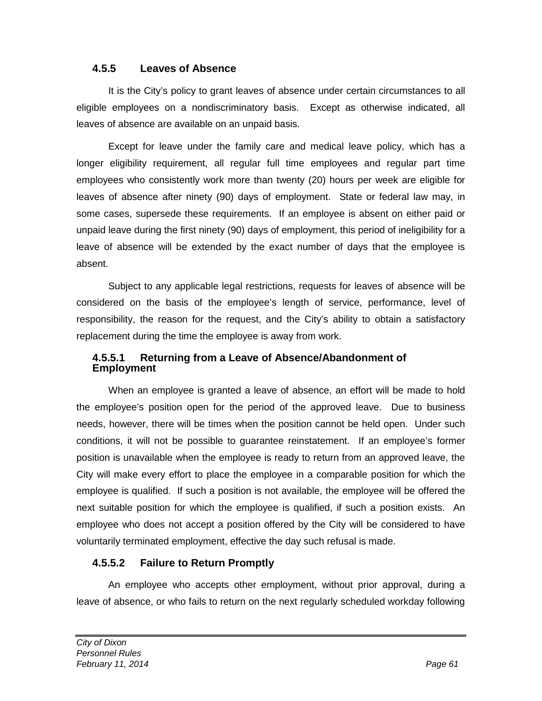#### **4.5.5 Leaves of Absence**

It is the City's policy to grant leaves of absence under certain circumstances to all eligible employees on a nondiscriminatory basis. Except as otherwise indicated, all leaves of absence are available on an unpaid basis.

Except for leave under the family care and medical leave policy, which has a longer eligibility requirement, all regular full time employees and regular part time employees who consistently work more than twenty (20) hours per week are eligible for leaves of absence after ninety (90) days of employment. State or federal law may, in some cases, supersede these requirements. If an employee is absent on either paid or unpaid leave during the first ninety (90) days of employment, this period of ineligibility for a leave of absence will be extended by the exact number of days that the employee is absent.

Subject to any applicable legal restrictions, requests for leaves of absence will be considered on the basis of the employee's length of service, performance, level of responsibility, the reason for the request, and the City's ability to obtain a satisfactory replacement during the time the employee is away from work.

#### **4.5.5.1 Returning from a Leave of Absence/Abandonment of Employment**

When an employee is granted a leave of absence, an effort will be made to hold the employee's position open for the period of the approved leave. Due to business needs, however, there will be times when the position cannot be held open. Under such conditions, it will not be possible to guarantee reinstatement. If an employee's former position is unavailable when the employee is ready to return from an approved leave, the City will make every effort to place the employee in a comparable position for which the employee is qualified. If such a position is not available, the employee will be offered the next suitable position for which the employee is qualified, if such a position exists. An employee who does not accept a position offered by the City will be considered to have voluntarily terminated employment, effective the day such refusal is made.

#### **4.5.5.2 Failure to Return Promptly**

An employee who accepts other employment, without prior approval, during a leave of absence, or who fails to return on the next regularly scheduled workday following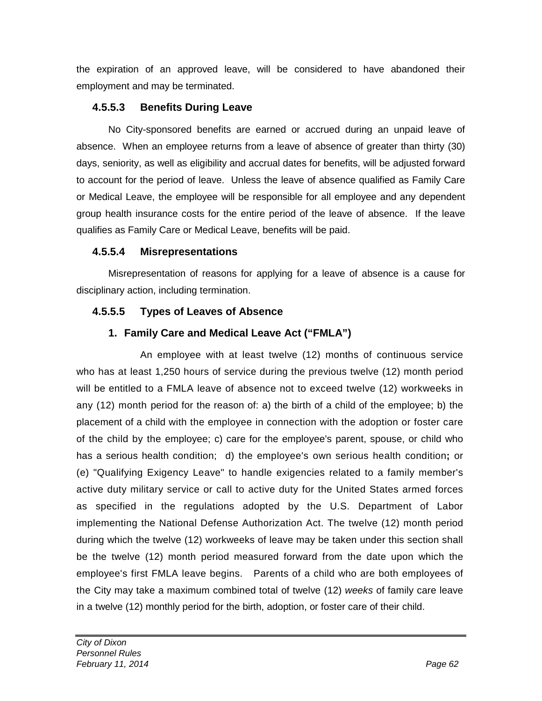the expiration of an approved leave, will be considered to have abandoned their employment and may be terminated.

# **4.5.5.3 Benefits During Leave**

No City-sponsored benefits are earned or accrued during an unpaid leave of absence. When an employee returns from a leave of absence of greater than thirty (30) days, seniority, as well as eligibility and accrual dates for benefits, will be adjusted forward to account for the period of leave. Unless the leave of absence qualified as Family Care or Medical Leave, the employee will be responsible for all employee and any dependent group health insurance costs for the entire period of the leave of absence. If the leave qualifies as Family Care or Medical Leave, benefits will be paid.

# **4.5.5.4 Misrepresentations**

Misrepresentation of reasons for applying for a leave of absence is a cause for disciplinary action, including termination.

# **4.5.5.5 Types of Leaves of Absence**

# **1. Family Care and Medical Leave Act ("FMLA")**

An employee with at least twelve (12) months of continuous service who has at least 1,250 hours of service during the previous twelve (12) month period will be entitled to a FMLA leave of absence not to exceed twelve (12) workweeks in any (12) month period for the reason of: a) the birth of a child of the employee; b) the placement of a child with the employee in connection with the adoption or foster care of the child by the employee; c) care for the employee's parent, spouse, or child who has a serious health condition; d) the employee's own serious health condition**;** or (e) "Qualifying Exigency Leave" to handle exigencies related to a family member's active duty military service or call to active duty for the United States armed forces as specified in the regulations adopted by the U.S. Department of Labor implementing the National Defense Authorization Act. The twelve (12) month period during which the twelve (12) workweeks of leave may be taken under this section shall be the twelve (12) month period measured forward from the date upon which the employee's first FMLA leave begins. Parents of a child who are both employees of the City may take a maximum combined total of twelve (12) *weeks* of family care leave in a twelve (12) monthly period for the birth, adoption, or foster care of their child.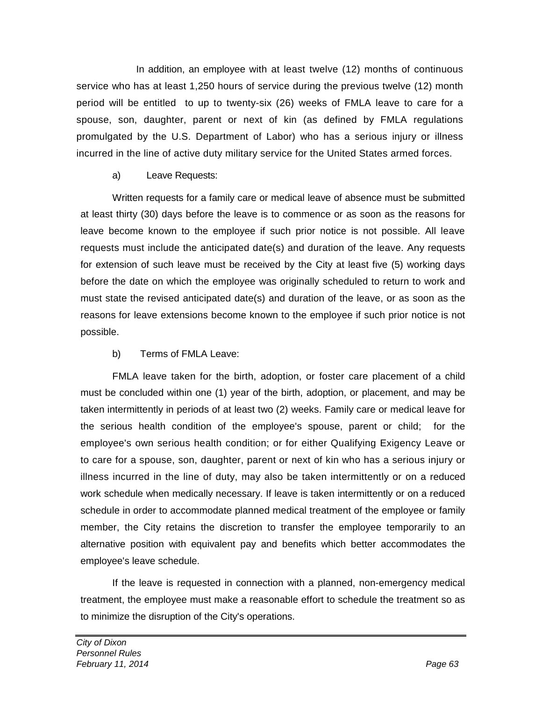In addition, an employee with at least twelve (12) months of continuous service who has at least 1,250 hours of service during the previous twelve (12) month period will be entitled to up to twenty-six (26) weeks of FMLA leave to care for a spouse, son, daughter, parent or next of kin (as defined by FMLA regulations promulgated by the U.S. Department of Labor) who has a serious injury or illness incurred in the line of active duty military service for the United States armed forces.

### a) Leave Requests:

Written requests for a family care or medical leave of absence must be submitted at least thirty (30) days before the leave is to commence or as soon as the reasons for leave become known to the employee if such prior notice is not possible. All leave requests must include the anticipated date(s) and duration of the leave. Any requests for extension of such leave must be received by the City at least five (5) working days before the date on which the employee was originally scheduled to return to work and must state the revised anticipated date(s) and duration of the leave, or as soon as the reasons for leave extensions become known to the employee if such prior notice is not possible.

# b) Terms of FMLA Leave:

FMLA leave taken for the birth, adoption, or foster care placement of a child must be concluded within one (1) year of the birth, adoption, or placement, and may be taken intermittently in periods of at least two (2) weeks. Family care or medical leave for the serious health condition of the employee's spouse, parent or child; for the employee's own serious health condition; or for either Qualifying Exigency Leave or to care for a spouse, son, daughter, parent or next of kin who has a serious injury or illness incurred in the line of duty, may also be taken intermittently or on a reduced work schedule when medically necessary. If leave is taken intermittently or on a reduced schedule in order to accommodate planned medical treatment of the employee or family member, the City retains the discretion to transfer the employee temporarily to an alternative position with equivalent pay and benefits which better accommodates the employee's leave schedule.

If the leave is requested in connection with a planned, non-emergency medical treatment, the employee must make a reasonable effort to schedule the treatment so as to minimize the disruption of the City's operations.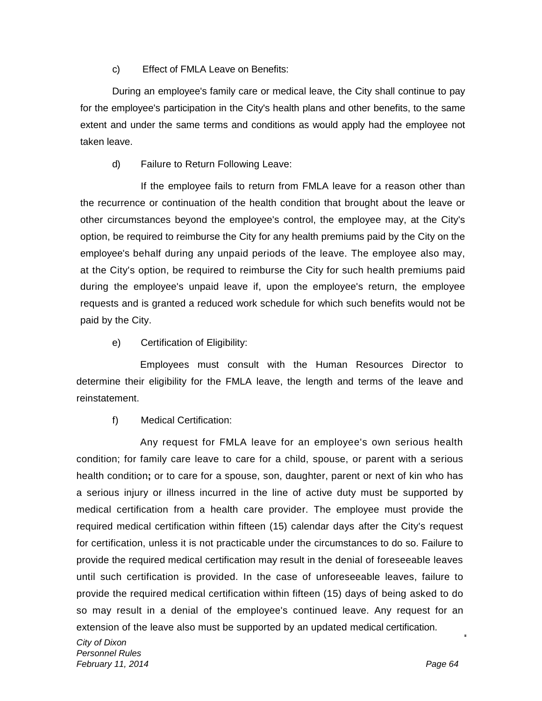c) Effect of FMLA Leave on Benefits:

During an employee's family care or medical leave, the City shall continue to pay for the employee's participation in the City's health plans and other benefits, to the same extent and under the same terms and conditions as would apply had the employee not taken leave.

d) Failure to Return Following Leave:

If the employee fails to return from FMLA leave for a reason other than the recurrence or continuation of the health condition that brought about the leave or other circumstances beyond the employee's control, the employee may, at the City's option, be required to reimburse the City for any health premiums paid by the City on the employee's behalf during any unpaid periods of the leave. The employee also may, at the City's option, be required to reimburse the City for such health premiums paid during the employee's unpaid leave if, upon the employee's return, the employee requests and is granted a reduced work schedule for which such benefits would not be paid by the City.

e) Certification of Eligibility:

Employees must consult with the Human Resources Director to determine their eligibility for the FMLA leave, the length and terms of the leave and reinstatement.

f) Medical Certification:

Any request for FMLA leave for an employee's own serious health condition; for family care leave to care for a child, spouse, or parent with a serious health condition**;** or to care for a spouse, son, daughter, parent or next of kin who has a serious injury or illness incurred in the line of active duty must be supported by medical certification from a health care provider. The employee must provide the required medical certification within fifteen (15) calendar days after the City's request for certification, unless it is not practicable under the circumstances to do so. Failure to provide the required medical certification may result in the denial of foreseeable leaves until such certification is provided. In the case of unforeseeable leaves, failure to provide the required medical certification within fifteen (15) days of being asked to do so may result in a denial of the employee's continued leave. Any request for an extension of the leave also must be supported by an updated medical certification.

*City of Dixon Personnel Rules February 11, 2014 Page 64*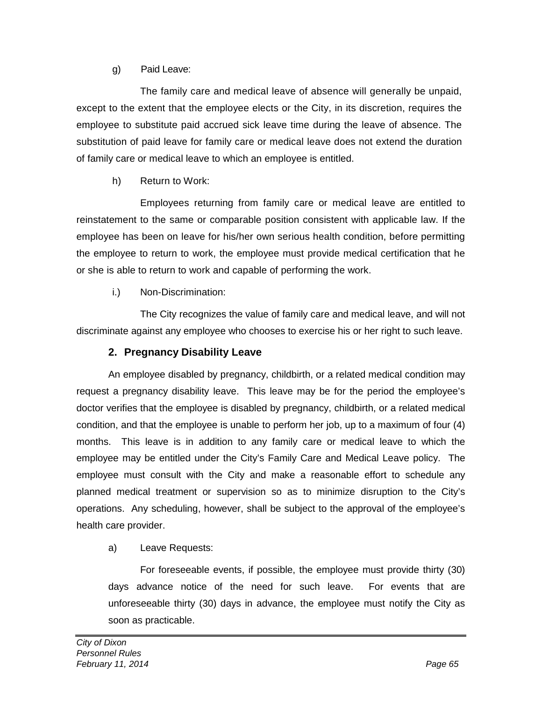### g) Paid Leave:

The family care and medical leave of absence will generally be unpaid, except to the extent that the employee elects or the City, in its discretion, requires the employee to substitute paid accrued sick leave time during the leave of absence. The substitution of paid leave for family care or medical leave does not extend the duration of family care or medical leave to which an employee is entitled.

### h) Return to Work:

Employees returning from family care or medical leave are entitled to reinstatement to the same or comparable position consistent with applicable law. If the employee has been on leave for his/her own serious health condition, before permitting the employee to return to work, the employee must provide medical certification that he or she is able to return to work and capable of performing the work.

### i.) Non-Discrimination:

The City recognizes the value of family care and medical leave, and will not discriminate against any employee who chooses to exercise his or her right to such leave.

### **2. Pregnancy Disability Leave**

An employee disabled by pregnancy, childbirth, or a related medical condition may request a pregnancy disability leave. This leave may be for the period the employee's doctor verifies that the employee is disabled by pregnancy, childbirth, or a related medical condition, and that the employee is unable to perform her job, up to a maximum of four (4) months. This leave is in addition to any family care or medical leave to which the employee may be entitled under the City's Family Care and Medical Leave policy. The employee must consult with the City and make a reasonable effort to schedule any planned medical treatment or supervision so as to minimize disruption to the City's operations. Any scheduling, however, shall be subject to the approval of the employee's health care provider.

### a) Leave Requests:

For foreseeable events, if possible, the employee must provide thirty (30) days advance notice of the need for such leave. For events that are unforeseeable thirty (30) days in advance, the employee must notify the City as soon as practicable.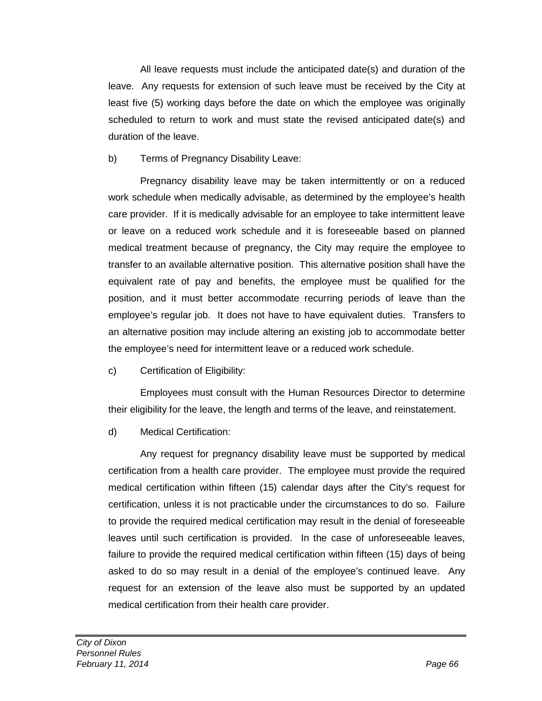All leave requests must include the anticipated date(s) and duration of the leave. Any requests for extension of such leave must be received by the City at least five (5) working days before the date on which the employee was originally scheduled to return to work and must state the revised anticipated date(s) and duration of the leave.

### b) Terms of Pregnancy Disability Leave:

Pregnancy disability leave may be taken intermittently or on a reduced work schedule when medically advisable, as determined by the employee's health care provider. If it is medically advisable for an employee to take intermittent leave or leave on a reduced work schedule and it is foreseeable based on planned medical treatment because of pregnancy, the City may require the employee to transfer to an available alternative position. This alternative position shall have the equivalent rate of pay and benefits, the employee must be qualified for the position, and it must better accommodate recurring periods of leave than the employee's regular job. It does not have to have equivalent duties. Transfers to an alternative position may include altering an existing job to accommodate better the employee's need for intermittent leave or a reduced work schedule.

c) Certification of Eligibility:

Employees must consult with the Human Resources Director to determine their eligibility for the leave, the length and terms of the leave, and reinstatement.

d) Medical Certification:

Any request for pregnancy disability leave must be supported by medical certification from a health care provider. The employee must provide the required medical certification within fifteen (15) calendar days after the City's request for certification, unless it is not practicable under the circumstances to do so. Failure to provide the required medical certification may result in the denial of foreseeable leaves until such certification is provided. In the case of unforeseeable leaves, failure to provide the required medical certification within fifteen (15) days of being asked to do so may result in a denial of the employee's continued leave. Any request for an extension of the leave also must be supported by an updated medical certification from their health care provider.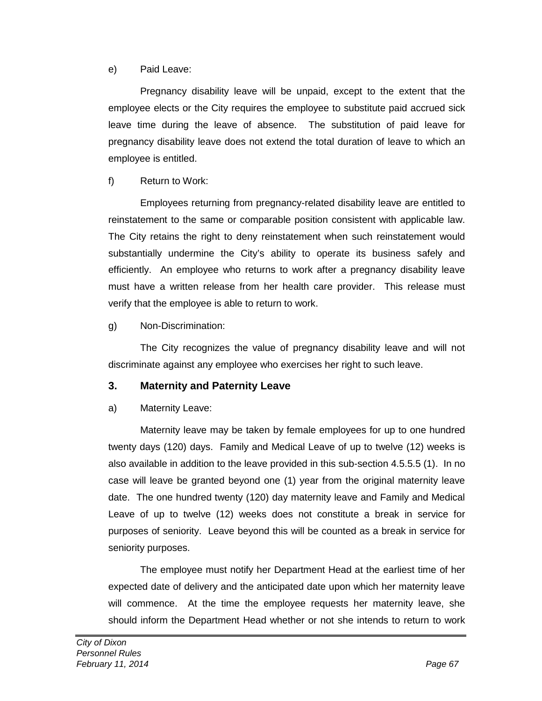#### e) Paid Leave:

Pregnancy disability leave will be unpaid, except to the extent that the employee elects or the City requires the employee to substitute paid accrued sick leave time during the leave of absence. The substitution of paid leave for pregnancy disability leave does not extend the total duration of leave to which an employee is entitled.

### f) Return to Work:

Employees returning from pregnancy-related disability leave are entitled to reinstatement to the same or comparable position consistent with applicable law. The City retains the right to deny reinstatement when such reinstatement would substantially undermine the City's ability to operate its business safely and efficiently. An employee who returns to work after a pregnancy disability leave must have a written release from her health care provider. This release must verify that the employee is able to return to work.

### g) Non-Discrimination:

The City recognizes the value of pregnancy disability leave and will not discriminate against any employee who exercises her right to such leave.

### **3. Maternity and Paternity Leave**

### a) Maternity Leave:

Maternity leave may be taken by female employees for up to one hundred twenty days (120) days. Family and Medical Leave of up to twelve (12) weeks is also available in addition to the leave provided in this sub-section 4.5.5.5 (1). In no case will leave be granted beyond one (1) year from the original maternity leave date. The one hundred twenty (120) day maternity leave and Family and Medical Leave of up to twelve (12) weeks does not constitute a break in service for purposes of seniority. Leave beyond this will be counted as a break in service for seniority purposes.

The employee must notify her Department Head at the earliest time of her expected date of delivery and the anticipated date upon which her maternity leave will commence. At the time the employee requests her maternity leave, she should inform the Department Head whether or not she intends to return to work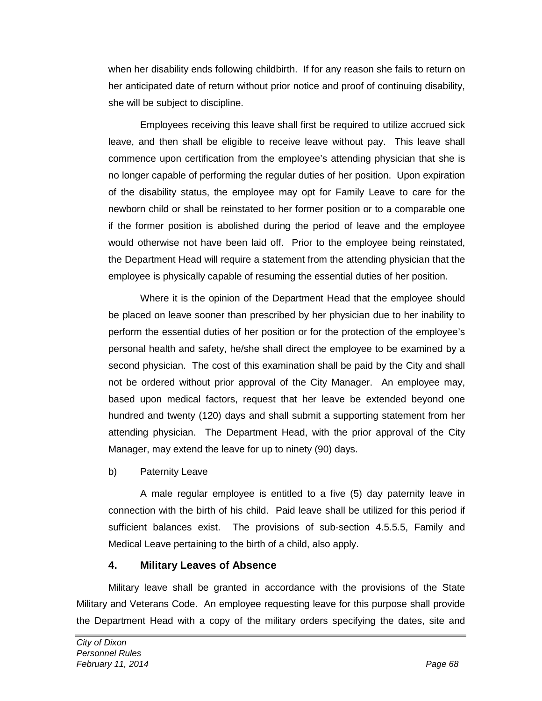when her disability ends following childbirth. If for any reason she fails to return on her anticipated date of return without prior notice and proof of continuing disability, she will be subject to discipline.

Employees receiving this leave shall first be required to utilize accrued sick leave, and then shall be eligible to receive leave without pay. This leave shall commence upon certification from the employee's attending physician that she is no longer capable of performing the regular duties of her position. Upon expiration of the disability status, the employee may opt for Family Leave to care for the newborn child or shall be reinstated to her former position or to a comparable one if the former position is abolished during the period of leave and the employee would otherwise not have been laid off. Prior to the employee being reinstated, the Department Head will require a statement from the attending physician that the employee is physically capable of resuming the essential duties of her position.

Where it is the opinion of the Department Head that the employee should be placed on leave sooner than prescribed by her physician due to her inability to perform the essential duties of her position or for the protection of the employee's personal health and safety, he/she shall direct the employee to be examined by a second physician. The cost of this examination shall be paid by the City and shall not be ordered without prior approval of the City Manager. An employee may, based upon medical factors, request that her leave be extended beyond one hundred and twenty (120) days and shall submit a supporting statement from her attending physician. The Department Head, with the prior approval of the City Manager, may extend the leave for up to ninety (90) days.

b) Paternity Leave

A male regular employee is entitled to a five (5) day paternity leave in connection with the birth of his child. Paid leave shall be utilized for this period if sufficient balances exist. The provisions of sub-section 4.5.5.5, Family and Medical Leave pertaining to the birth of a child, also apply.

# **4. Military Leaves of Absence**

Military leave shall be granted in accordance with the provisions of the State Military and Veterans Code. An employee requesting leave for this purpose shall provide the Department Head with a copy of the military orders specifying the dates, site and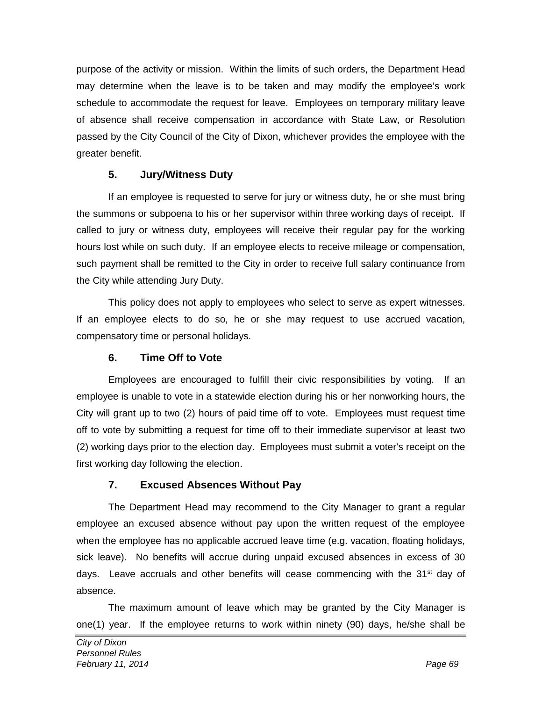purpose of the activity or mission. Within the limits of such orders, the Department Head may determine when the leave is to be taken and may modify the employee's work schedule to accommodate the request for leave. Employees on temporary military leave of absence shall receive compensation in accordance with State Law, or Resolution passed by the City Council of the City of Dixon, whichever provides the employee with the greater benefit.

### **5. Jury/Witness Duty**

If an employee is requested to serve for jury or witness duty, he or she must bring the summons or subpoena to his or her supervisor within three working days of receipt. If called to jury or witness duty, employees will receive their regular pay for the working hours lost while on such duty. If an employee elects to receive mileage or compensation, such payment shall be remitted to the City in order to receive full salary continuance from the City while attending Jury Duty.

This policy does not apply to employees who select to serve as expert witnesses. If an employee elects to do so, he or she may request to use accrued vacation, compensatory time or personal holidays.

### **6. Time Off to Vote**

Employees are encouraged to fulfill their civic responsibilities by voting. If an employee is unable to vote in a statewide election during his or her nonworking hours, the City will grant up to two (2) hours of paid time off to vote. Employees must request time off to vote by submitting a request for time off to their immediate supervisor at least two (2) working days prior to the election day. Employees must submit a voter's receipt on the first working day following the election.

# **7. Excused Absences Without Pay**

The Department Head may recommend to the City Manager to grant a regular employee an excused absence without pay upon the written request of the employee when the employee has no applicable accrued leave time (e.g. vacation, floating holidays, sick leave). No benefits will accrue during unpaid excused absences in excess of 30 days. Leave accruals and other benefits will cease commencing with the  $31<sup>st</sup>$  day of absence.

The maximum amount of leave which may be granted by the City Manager is one(1) year. If the employee returns to work within ninety (90) days, he/she shall be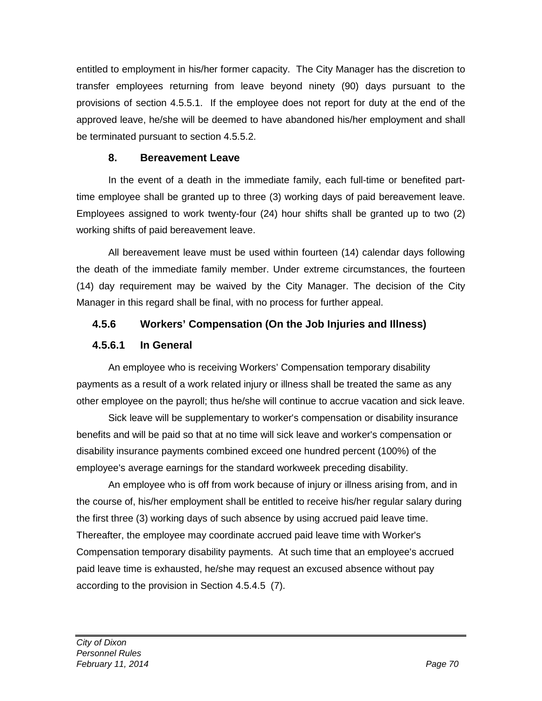entitled to employment in his/her former capacity. The City Manager has the discretion to transfer employees returning from leave beyond ninety (90) days pursuant to the provisions of section 4.5.5.1. If the employee does not report for duty at the end of the approved leave, he/she will be deemed to have abandoned his/her employment and shall be terminated pursuant to section 4.5.5.2.

# **8. Bereavement Leave**

In the event of a death in the immediate family, each full-time or benefited parttime employee shall be granted up to three (3) working days of paid bereavement leave. Employees assigned to work twenty-four (24) hour shifts shall be granted up to two (2) working shifts of paid bereavement leave.

All bereavement leave must be used within fourteen (14) calendar days following the death of the immediate family member. Under extreme circumstances, the fourteen (14) day requirement may be waived by the City Manager. The decision of the City Manager in this regard shall be final, with no process for further appeal.

# **4.5.6 Workers' Compensation (On the Job Injuries and Illness)**

# **4.5.6.1 In General**

An employee who is receiving Workers' Compensation temporary disability payments as a result of a work related injury or illness shall be treated the same as any other employee on the payroll; thus he/she will continue to accrue vacation and sick leave.

Sick leave will be supplementary to worker's compensation or disability insurance benefits and will be paid so that at no time will sick leave and worker's compensation or disability insurance payments combined exceed one hundred percent (100%) of the employee's average earnings for the standard workweek preceding disability.

An employee who is off from work because of injury or illness arising from, and in the course of, his/her employment shall be entitled to receive his/her regular salary during the first three (3) working days of such absence by using accrued paid leave time. Thereafter, the employee may coordinate accrued paid leave time with Worker's Compensation temporary disability payments. At such time that an employee's accrued paid leave time is exhausted, he/she may request an excused absence without pay according to the provision in Section 4.5.4.5 (7).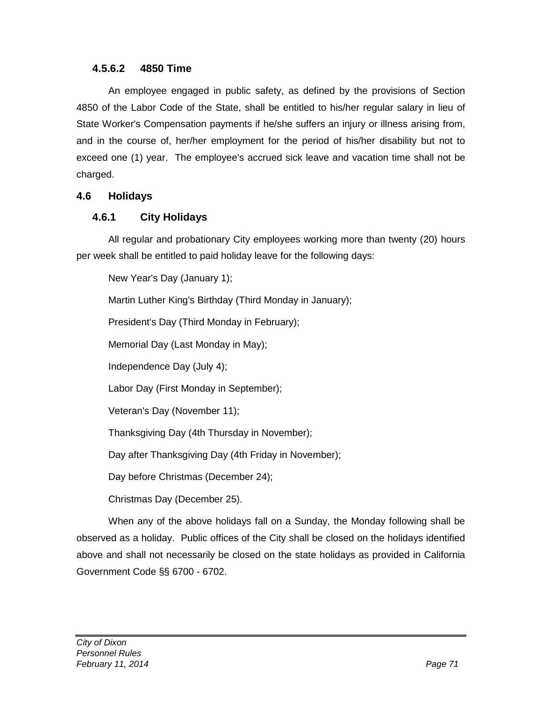### **4.5.6.2 4850 Time**

An employee engaged in public safety, as defined by the provisions of Section 4850 of the Labor Code of the State, shall be entitled to his/her regular salary in lieu of State Worker's Compensation payments if he/she suffers an injury or illness arising from, and in the course of, her/her employment for the period of his/her disability but not to exceed one (1) year. The employee's accrued sick leave and vacation time shall not be charged.

### **4.6 Holidays**

### **4.6.1 City Holidays**

All regular and probationary City employees working more than twenty (20) hours per week shall be entitled to paid holiday leave for the following days:

New Year's Day (January 1);

Martin Luther King's Birthday (Third Monday in January);

President's Day (Third Monday in February);

Memorial Day (Last Monday in May);

Independence Day (July 4);

Labor Day (First Monday in September);

Veteran's Day (November 11);

Thanksgiving Day (4th Thursday in November);

Day after Thanksgiving Day (4th Friday in November);

Day before Christmas (December 24);

Christmas Day (December 25).

When any of the above holidays fall on a Sunday, the Monday following shall be observed as a holiday. Public offices of the City shall be closed on the holidays identified above and shall not necessarily be closed on the state holidays as provided in California Government Code §§ 6700 - 6702.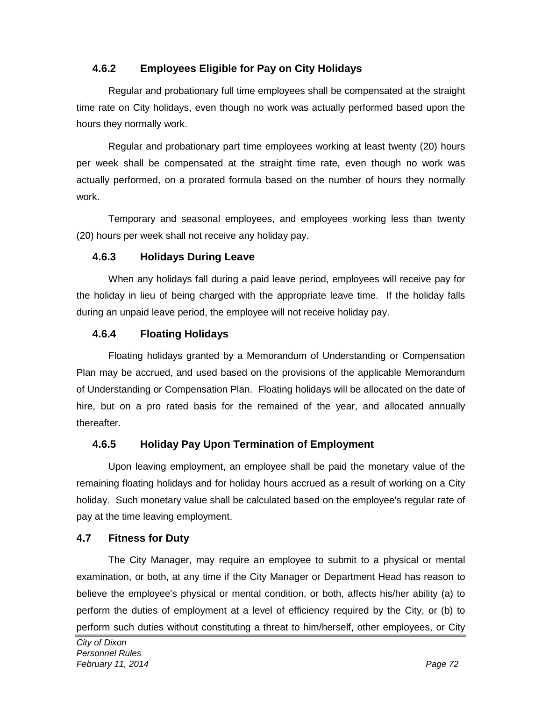# **4.6.2 Employees Eligible for Pay on City Holidays**

Regular and probationary full time employees shall be compensated at the straight time rate on City holidays, even though no work was actually performed based upon the hours they normally work.

Regular and probationary part time employees working at least twenty (20) hours per week shall be compensated at the straight time rate, even though no work was actually performed, on a prorated formula based on the number of hours they normally work.

Temporary and seasonal employees, and employees working less than twenty (20) hours per week shall not receive any holiday pay.

# **4.6.3 Holidays During Leave**

When any holidays fall during a paid leave period, employees will receive pay for the holiday in lieu of being charged with the appropriate leave time. If the holiday falls during an unpaid leave period, the employee will not receive holiday pay.

# **4.6.4 Floating Holidays**

Floating holidays granted by a Memorandum of Understanding or Compensation Plan may be accrued, and used based on the provisions of the applicable Memorandum of Understanding or Compensation Plan. Floating holidays will be allocated on the date of hire, but on a pro rated basis for the remained of the year, and allocated annually thereafter.

# **4.6.5 Holiday Pay Upon Termination of Employment**

Upon leaving employment, an employee shall be paid the monetary value of the remaining floating holidays and for holiday hours accrued as a result of working on a City holiday. Such monetary value shall be calculated based on the employee's regular rate of pay at the time leaving employment.

### **4.7 Fitness for Duty**

The City Manager, may require an employee to submit to a physical or mental examination, or both, at any time if the City Manager or Department Head has reason to believe the employee's physical or mental condition, or both, affects his/her ability (a) to perform the duties of employment at a level of efficiency required by the City, or (b) to perform such duties without constituting a threat to him/herself, other employees, or City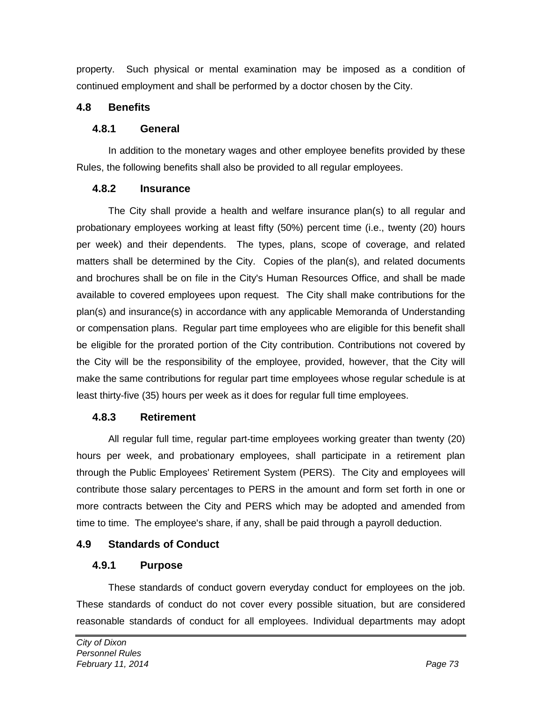property. Such physical or mental examination may be imposed as a condition of continued employment and shall be performed by a doctor chosen by the City.

# **4.8 Benefits**

### **4.8.1 General**

In addition to the monetary wages and other employee benefits provided by these Rules, the following benefits shall also be provided to all regular employees.

### **4.8.2 Insurance**

The City shall provide a health and welfare insurance plan(s) to all regular and probationary employees working at least fifty (50%) percent time (i.e., twenty (20) hours per week) and their dependents. The types, plans, scope of coverage, and related matters shall be determined by the City. Copies of the plan(s), and related documents and brochures shall be on file in the City's Human Resources Office, and shall be made available to covered employees upon request. The City shall make contributions for the plan(s) and insurance(s) in accordance with any applicable Memoranda of Understanding or compensation plans. Regular part time employees who are eligible for this benefit shall be eligible for the prorated portion of the City contribution. Contributions not covered by the City will be the responsibility of the employee, provided, however, that the City will make the same contributions for regular part time employees whose regular schedule is at least thirty-five (35) hours per week as it does for regular full time employees.

# **4.8.3 Retirement**

All regular full time, regular part-time employees working greater than twenty (20) hours per week, and probationary employees, shall participate in a retirement plan through the Public Employees' Retirement System (PERS). The City and employees will contribute those salary percentages to PERS in the amount and form set forth in one or more contracts between the City and PERS which may be adopted and amended from time to time. The employee's share, if any, shall be paid through a payroll deduction.

# **4.9 Standards of Conduct**

# **4.9.1 Purpose**

These standards of conduct govern everyday conduct for employees on the job. These standards of conduct do not cover every possible situation, but are considered reasonable standards of conduct for all employees. Individual departments may adopt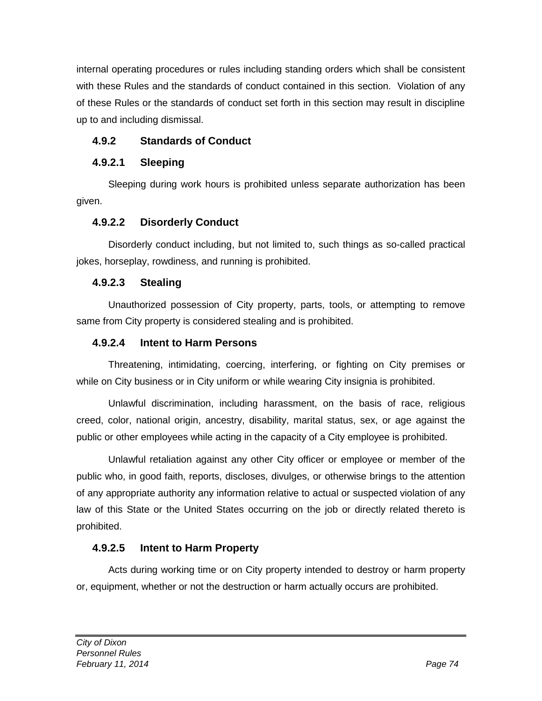internal operating procedures or rules including standing orders which shall be consistent with these Rules and the standards of conduct contained in this section. Violation of any of these Rules or the standards of conduct set forth in this section may result in discipline up to and including dismissal.

# **4.9.2 Standards of Conduct**

# **4.9.2.1 Sleeping**

Sleeping during work hours is prohibited unless separate authorization has been given.

# **4.9.2.2 Disorderly Conduct**

Disorderly conduct including, but not limited to, such things as so-called practical jokes, horseplay, rowdiness, and running is prohibited.

# **4.9.2.3 Stealing**

Unauthorized possession of City property, parts, tools, or attempting to remove same from City property is considered stealing and is prohibited.

# **4.9.2.4 Intent to Harm Persons**

Threatening, intimidating, coercing, interfering, or fighting on City premises or while on City business or in City uniform or while wearing City insignia is prohibited.

Unlawful discrimination, including harassment, on the basis of race, religious creed, color, national origin, ancestry, disability, marital status, sex, or age against the public or other employees while acting in the capacity of a City employee is prohibited.

Unlawful retaliation against any other City officer or employee or member of the public who, in good faith, reports, discloses, divulges, or otherwise brings to the attention of any appropriate authority any information relative to actual or suspected violation of any law of this State or the United States occurring on the job or directly related thereto is prohibited.

# **4.9.2.5 Intent to Harm Property**

Acts during working time or on City property intended to destroy or harm property or, equipment, whether or not the destruction or harm actually occurs are prohibited.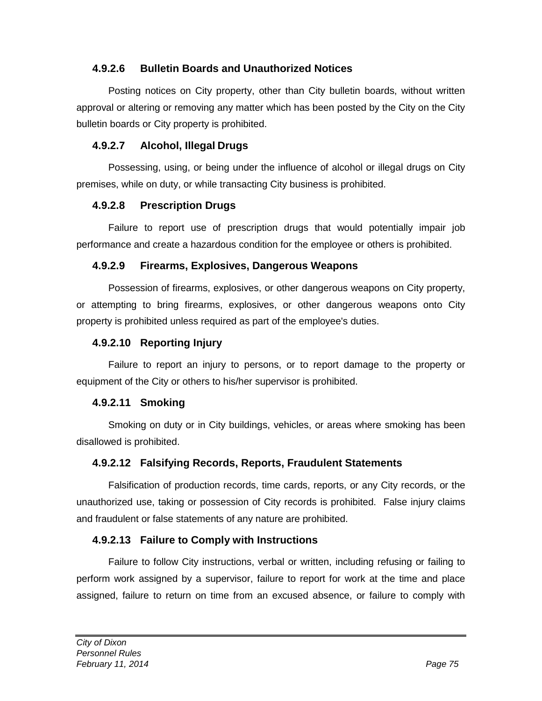# **4.9.2.6 Bulletin Boards and Unauthorized Notices**

Posting notices on City property, other than City bulletin boards, without written approval or altering or removing any matter which has been posted by the City on the City bulletin boards or City property is prohibited.

### **4.9.2.7 Alcohol, Illegal Drugs**

Possessing, using, or being under the influence of alcohol or illegal drugs on City premises, while on duty, or while transacting City business is prohibited.

### **4.9.2.8 Prescription Drugs**

Failure to report use of prescription drugs that would potentially impair job performance and create a hazardous condition for the employee or others is prohibited.

### **4.9.2.9 Firearms, Explosives, Dangerous Weapons**

Possession of firearms, explosives, or other dangerous weapons on City property, or attempting to bring firearms, explosives, or other dangerous weapons onto City property is prohibited unless required as part of the employee's duties.

# **4.9.2.10 Reporting Injury**

Failure to report an injury to persons, or to report damage to the property or equipment of the City or others to his/her supervisor is prohibited.

### **4.9.2.11 Smoking**

Smoking on duty or in City buildings, vehicles, or areas where smoking has been disallowed is prohibited.

# **4.9.2.12 Falsifying Records, Reports, Fraudulent Statements**

Falsification of production records, time cards, reports, or any City records, or the unauthorized use, taking or possession of City records is prohibited. False injury claims and fraudulent or false statements of any nature are prohibited.

# **4.9.2.13 Failure to Comply with Instructions**

Failure to follow City instructions, verbal or written, including refusing or failing to perform work assigned by a supervisor, failure to report for work at the time and place assigned, failure to return on time from an excused absence, or failure to comply with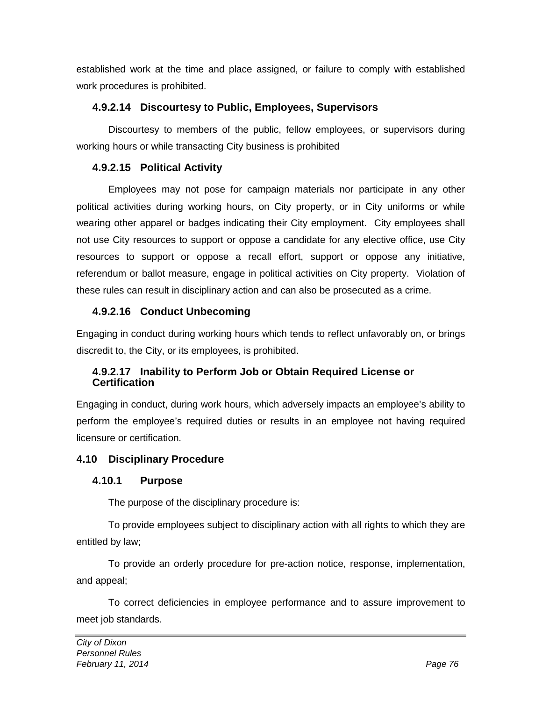established work at the time and place assigned, or failure to comply with established work procedures is prohibited.

# **4.9.2.14 Discourtesy to Public, Employees, Supervisors**

Discourtesy to members of the public, fellow employees, or supervisors during working hours or while transacting City business is prohibited

# **4.9.2.15 Political Activity**

Employees may not pose for campaign materials nor participate in any other political activities during working hours, on City property, or in City uniforms or while wearing other apparel or badges indicating their City employment. City employees shall not use City resources to support or oppose a candidate for any elective office, use City resources to support or oppose a recall effort, support or oppose any initiative, referendum or ballot measure, engage in political activities on City property. Violation of these rules can result in disciplinary action and can also be prosecuted as a crime.

# **4.9.2.16 Conduct Unbecoming**

Engaging in conduct during working hours which tends to reflect unfavorably on, or brings discredit to, the City, or its employees, is prohibited.

# **4.9.2.17 Inability to Perform Job or Obtain Required License or Certification**

Engaging in conduct, during work hours, which adversely impacts an employee's ability to perform the employee's required duties or results in an employee not having required licensure or certification.

# **4.10 Disciplinary Procedure**

# **4.10.1 Purpose**

The purpose of the disciplinary procedure is:

To provide employees subject to disciplinary action with all rights to which they are entitled by law;

To provide an orderly procedure for pre-action notice, response, implementation, and appeal;

To correct deficiencies in employee performance and to assure improvement to meet job standards.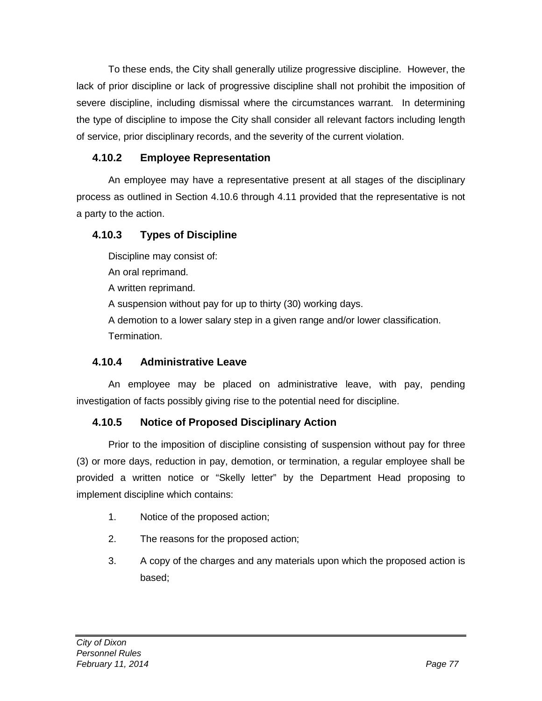To these ends, the City shall generally utilize progressive discipline. However, the lack of prior discipline or lack of progressive discipline shall not prohibit the imposition of severe discipline, including dismissal where the circumstances warrant. In determining the type of discipline to impose the City shall consider all relevant factors including length of service, prior disciplinary records, and the severity of the current violation.

# **4.10.2 Employee Representation**

An employee may have a representative present at all stages of the disciplinary process as outlined in Section 4.10.6 through 4.11 provided that the representative is not a party to the action.

# **4.10.3 Types of Discipline**

Discipline may consist of:

An oral reprimand.

A written reprimand.

A suspension without pay for up to thirty (30) working days.

A demotion to a lower salary step in a given range and/or lower classification. Termination.

# **4.10.4 Administrative Leave**

An employee may be placed on administrative leave, with pay, pending investigation of facts possibly giving rise to the potential need for discipline.

# **4.10.5 Notice of Proposed Disciplinary Action**

Prior to the imposition of discipline consisting of suspension without pay for three (3) or more days, reduction in pay, demotion, or termination, a regular employee shall be provided a written notice or "Skelly letter" by the Department Head proposing to implement discipline which contains:

- 1. Notice of the proposed action;
- 2. The reasons for the proposed action;
- 3. A copy of the charges and any materials upon which the proposed action is based;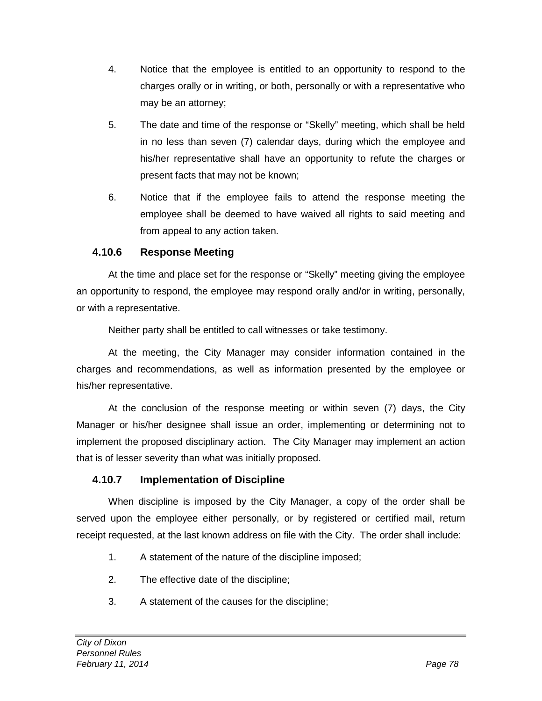- 4. Notice that the employee is entitled to an opportunity to respond to the charges orally or in writing, or both, personally or with a representative who may be an attorney;
- 5. The date and time of the response or "Skelly" meeting, which shall be held in no less than seven (7) calendar days, during which the employee and his/her representative shall have an opportunity to refute the charges or present facts that may not be known;
- 6. Notice that if the employee fails to attend the response meeting the employee shall be deemed to have waived all rights to said meeting and from appeal to any action taken.

# **4.10.6 Response Meeting**

At the time and place set for the response or "Skelly" meeting giving the employee an opportunity to respond, the employee may respond orally and/or in writing, personally, or with a representative.

Neither party shall be entitled to call witnesses or take testimony.

At the meeting, the City Manager may consider information contained in the charges and recommendations, as well as information presented by the employee or his/her representative.

At the conclusion of the response meeting or within seven (7) days, the City Manager or his/her designee shall issue an order, implementing or determining not to implement the proposed disciplinary action.The City Manager may implement an action that is of lesser severity than what was initially proposed.

# **4.10.7 Implementation of Discipline**

When discipline is imposed by the City Manager, a copy of the order shall be served upon the employee either personally, or by registered or certified mail, return receipt requested, at the last known address on file with the City. The order shall include:

- 1. A statement of the nature of the discipline imposed;
- 2. The effective date of the discipline;
- 3. A statement of the causes for the discipline;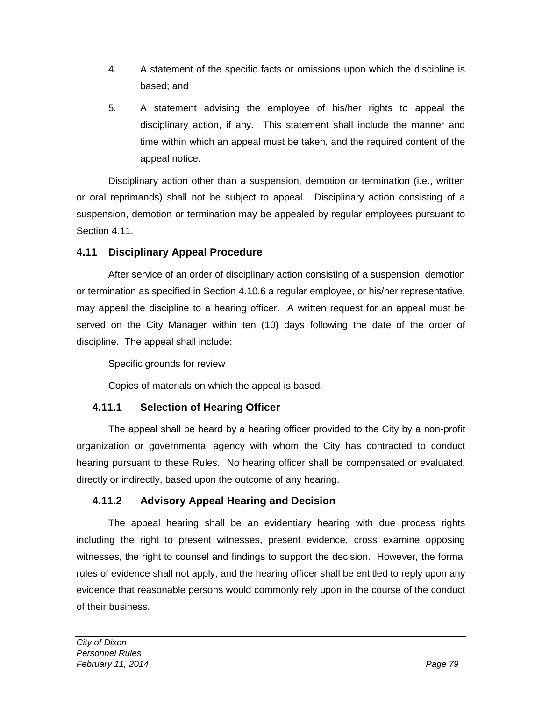- 4. A statement of the specific facts or omissions upon which the discipline is based; and
- 5. A statement advising the employee of his/her rights to appeal the disciplinary action, if any. This statement shall include the manner and time within which an appeal must be taken, and the required content of the appeal notice.

Disciplinary action other than a suspension, demotion or termination (i.e., written or oral reprimands) shall not be subject to appeal. Disciplinary action consisting of a suspension, demotion or termination may be appealed by regular employees pursuant to Section 4.11.

# **4.11 Disciplinary Appeal Procedure**

After service of an order of disciplinary action consisting of a suspension, demotion or termination as specified in Section 4.10.6 a regular employee, or his/her representative, may appeal the discipline to a hearing officer. A written request for an appeal must be served on the City Manager within ten (10) days following the date of the order of discipline. The appeal shall include:

Specific grounds for review

Copies of materials on which the appeal is based.

# **4.11.1 Selection of Hearing Officer**

The appeal shall be heard by a hearing officer provided to the City by a non-profit organization or governmental agency with whom the City has contracted to conduct hearing pursuant to these Rules. No hearing officer shall be compensated or evaluated, directly or indirectly, based upon the outcome of any hearing.

# **4.11.2 Advisory Appeal Hearing and Decision**

The appeal hearing shall be an evidentiary hearing with due process rights including the right to present witnesses, present evidence, cross examine opposing witnesses, the right to counsel and findings to support the decision. However, the formal rules of evidence shall not apply, and the hearing officer shall be entitled to reply upon any evidence that reasonable persons would commonly rely upon in the course of the conduct of their business.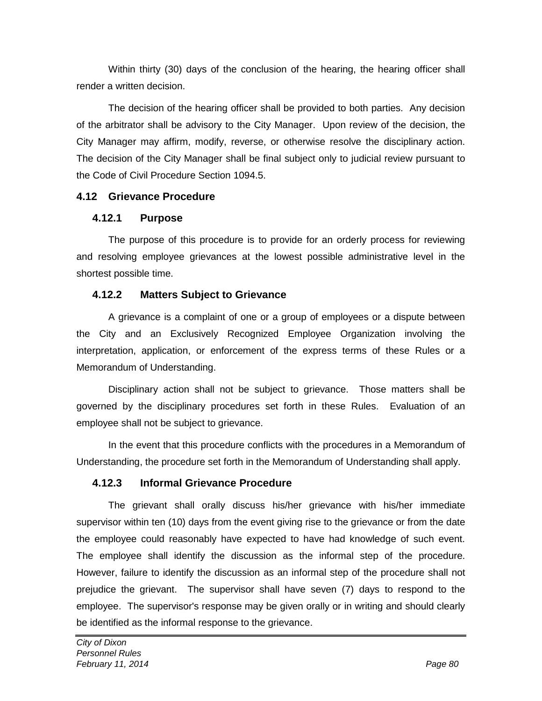Within thirty (30) days of the conclusion of the hearing, the hearing officer shall render a written decision.

The decision of the hearing officer shall be provided to both parties. Any decision of the arbitrator shall be advisory to the City Manager. Upon review of the decision, the City Manager may affirm, modify, reverse, or otherwise resolve the disciplinary action. The decision of the City Manager shall be final subject only to judicial review pursuant to the Code of Civil Procedure Section 1094.5.

# **4.12 Grievance Procedure**

### **4.12.1 Purpose**

The purpose of this procedure is to provide for an orderly process for reviewing and resolving employee grievances at the lowest possible administrative level in the shortest possible time.

# **4.12.2 Matters Subject to Grievance**

A grievance is a complaint of one or a group of employees or a dispute between the City and an Exclusively Recognized Employee Organization involving the interpretation, application, or enforcement of the express terms of these Rules or a Memorandum of Understanding.

Disciplinary action shall not be subject to grievance. Those matters shall be governed by the disciplinary procedures set forth in these Rules. Evaluation of an employee shall not be subject to grievance.

In the event that this procedure conflicts with the procedures in a Memorandum of Understanding, the procedure set forth in the Memorandum of Understanding shall apply.

# **4.12.3 Informal Grievance Procedure**

The grievant shall orally discuss his/her grievance with his/her immediate supervisor within ten (10) days from the event giving rise to the grievance or from the date the employee could reasonably have expected to have had knowledge of such event. The employee shall identify the discussion as the informal step of the procedure. However, failure to identify the discussion as an informal step of the procedure shall not prejudice the grievant. The supervisor shall have seven (7) days to respond to the employee. The supervisor's response may be given orally or in writing and should clearly be identified as the informal response to the grievance.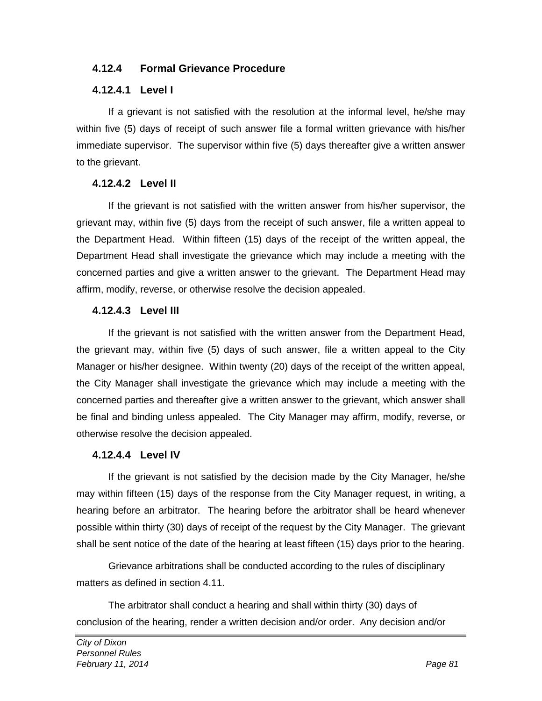### **4.12.4 Formal Grievance Procedure**

#### **4.12.4.1 Level I**

If a grievant is not satisfied with the resolution at the informal level, he/she may within five (5) days of receipt of such answer file a formal written grievance with his/her immediate supervisor. The supervisor within five (5) days thereafter give a written answer to the grievant.

### **4.12.4.2 Level II**

If the grievant is not satisfied with the written answer from his/her supervisor, the grievant may, within five (5) days from the receipt of such answer, file a written appeal to the Department Head. Within fifteen (15) days of the receipt of the written appeal, the Department Head shall investigate the grievance which may include a meeting with the concerned parties and give a written answer to the grievant. The Department Head may affirm, modify, reverse, or otherwise resolve the decision appealed.

#### **4.12.4.3 Level III**

If the grievant is not satisfied with the written answer from the Department Head, the grievant may, within five (5) days of such answer, file a written appeal to the City Manager or his/her designee. Within twenty (20) days of the receipt of the written appeal, the City Manager shall investigate the grievance which may include a meeting with the concerned parties and thereafter give a written answer to the grievant, which answer shall be final and binding unless appealed. The City Manager may affirm, modify, reverse, or otherwise resolve the decision appealed.

#### **4.12.4.4 Level IV**

If the grievant is not satisfied by the decision made by the City Manager, he/she may within fifteen (15) days of the response from the City Manager request, in writing, a hearing before an arbitrator. The hearing before the arbitrator shall be heard whenever possible within thirty (30) days of receipt of the request by the City Manager. The grievant shall be sent notice of the date of the hearing at least fifteen (15) days prior to the hearing.

Grievance arbitrations shall be conducted according to the rules of disciplinary matters as defined in section 4.11.

The arbitrator shall conduct a hearing and shall within thirty (30) days of conclusion of the hearing, render a written decision and/or order. Any decision and/or